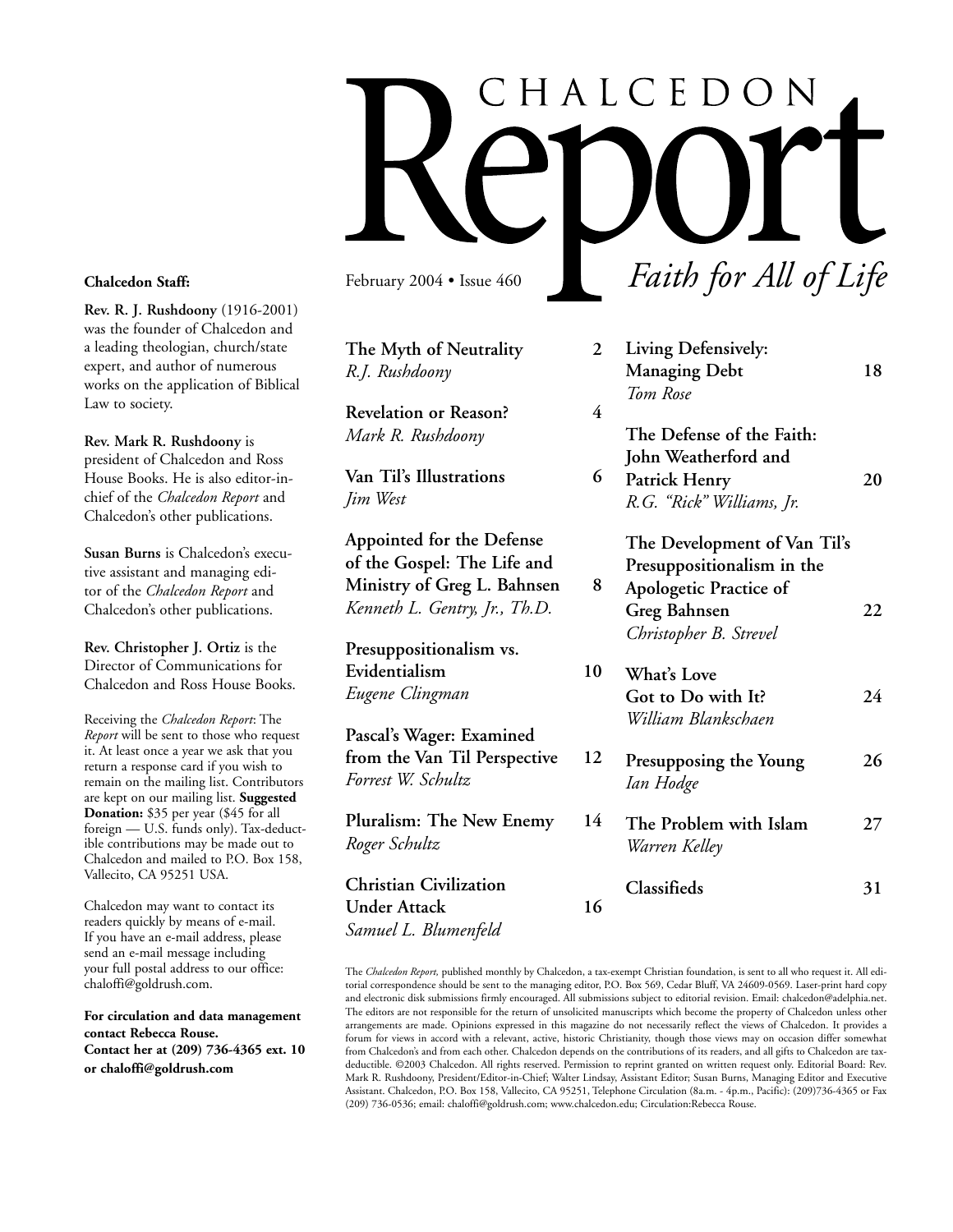# CHALCEDON *Faith for All of Life* February 2004 • Issue 460

*Roger Schultz*

**Christian Civilization**

*Samuel L. Blumenfeld*

**Under Attack 16**

**The Myth of Neutrality 2** *R.J. Rushdoony* **Revelation or Reason? 4** *Mark R. Rushdoony* **Van Til's Illustrations 6** *Jim West* **Appointed for the Defense of the Gospel: The Life and Ministry of Greg L. Bahnsen 8** *Kenneth L. Gentry, Jr., Th.D.* **Presuppositionalism vs. Evidentialism 10** *Eugene Clingman* **Pascal's Wager: Examined from the Van Til Perspective 12** *Forrest W. Schultz* **Pluralism: The New Enemy 14 Living Defensively: Managing Debt 18** *Tom Rose* **The Defense of the Faith: John Weatherford and Patrick Henry 20** *R.G. "Rick" Williams, Jr.* **The Development of Van Til's Presuppositionalism in the Apologetic Practice of Greg Bahnsen 22** *Christopher B. Strevel* **What's Love Got to Do with It? 24** *William Blankschaen* **Presupposing the Young 26** *Ian Hodge*

**The Problem with Islam 27** *Warren Kelley*

| Classifieds | 31 |
|-------------|----|
|             |    |

The *Chalcedon Report,* published monthly by Chalcedon, a tax-exempt Christian foundation, is sent to all who request it. All editorial correspondence should be sent to the managing editor, P.O. Box 569, Cedar Bluff, VA 24609-0569. Laser-print hard copy and electronic disk submissions firmly encouraged. All submissions subject to editorial revision. Email: chalcedon@adelphia.net. The editors are not responsible for the return of unsolicited manuscripts which become the property of Chalcedon unless other arrangements are made. Opinions expressed in this magazine do not necessarily reflect the views of Chalcedon. It provides a forum for views in accord with a relevant, active, historic Christianity, though those views may on occasion differ somewhat from Chalcedon's and from each other. Chalcedon depends on the contributions of its readers, and all gifts to Chalcedon are taxdeductible. ©2003 Chalcedon. All rights reserved. Permission to reprint granted on written request only. Editorial Board: Rev. Mark R. Rushdoony, President/Editor-in-Chief; Walter Lindsay, Assistant Editor; Susan Burns, Managing Editor and Executive Assistant. Chalcedon, P.O. Box 158, Vallecito, CA 95251, Telephone Circulation (8a.m. - 4p.m., Pacific): (209)736-4365 or Fax (209) 736-0536; email: chaloffi@goldrush.com; www.chalcedon.edu; Circulation:Rebecca Rouse.

### **Chalcedon Staff:**

**Rev. R. J. Rushdoony** (1916-2001) was the founder of Chalcedon and a leading theologian, church/state expert, and author of numerous works on the application of Biblical Law to society.

**Rev. Mark R. Rushdoony** is president of Chalcedon and Ross House Books. He is also editor-inchief of the *Chalcedon Report* and Chalcedon's other publications.

**Susan Burns** is Chalcedon's executive assistant and managing editor of the *Chalcedon Report* and Chalcedon's other publications.

**Rev. Christopher J. Ortiz** is the Director of Communications for Chalcedon and Ross House Books.

Receiving the *Chalcedon Report*: The *Report* will be sent to those who request it. At least once a year we ask that you return a response card if you wish to remain on the mailing list. Contributors are kept on our mailing list. **Suggested Donation:** \$35 per year (\$45 for all foreign — U.S. funds only). Tax-deductible contributions may be made out to Chalcedon and mailed to P.O. Box 158, Vallecito, CA 95251 USA.

Chalcedon may want to contact its readers quickly by means of e-mail. If you have an e-mail address, please send an e-mail message including your full postal address to our office: chaloffi@goldrush.com.

**For circulation and data management contact Rebecca Rouse. Contact her at (209) 736-4365 ext. 10 or chaloffi@goldrush.com**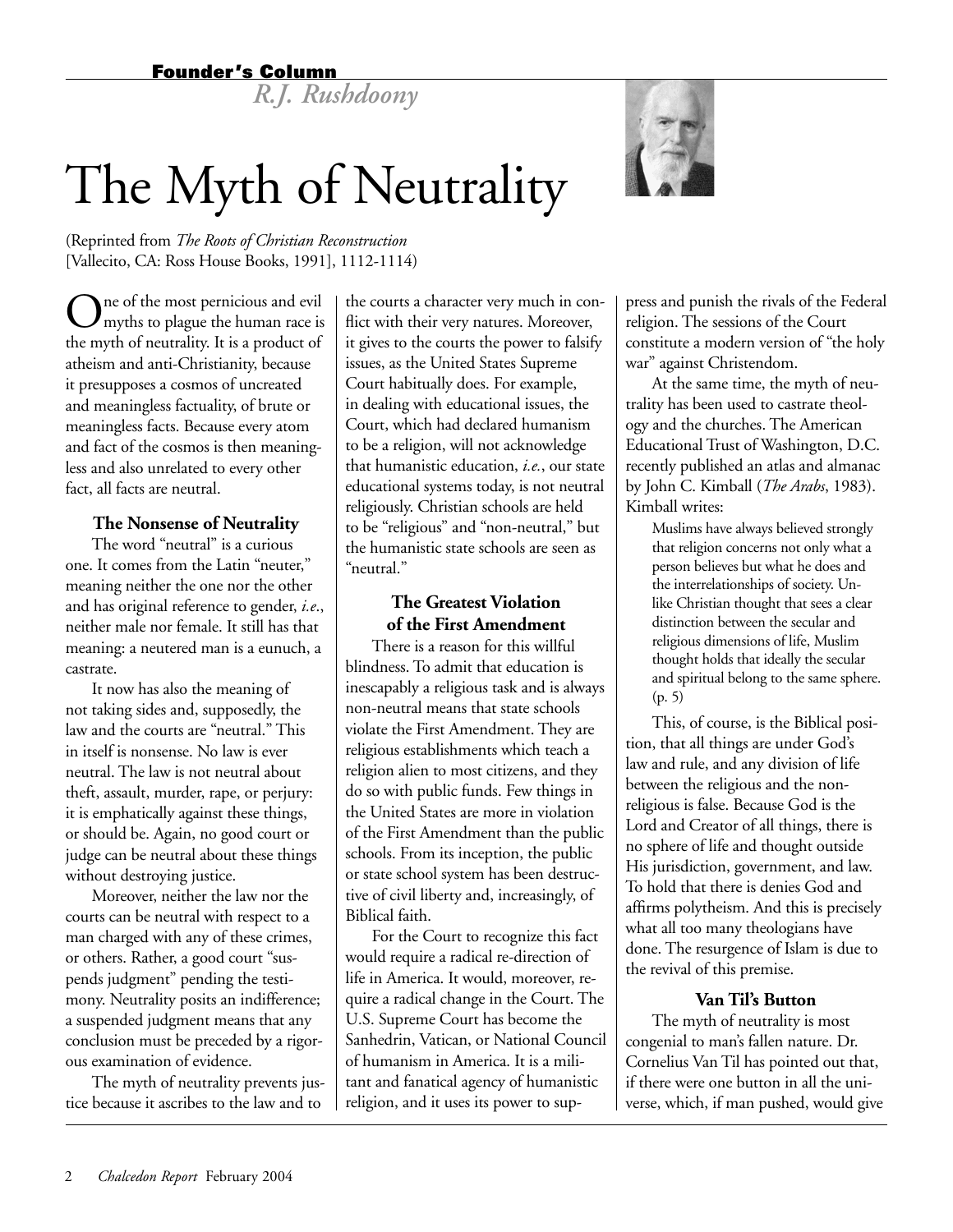## Founder's Column

*R.J. Rushdoony*

# The Myth of Neutrality

(Reprinted from *The Roots of Christian Reconstruction* [Vallecito, CA: Ross House Books, 1991], 1112-1114)

The of the most pernicious and evil myths to plague the human race is the myth of neutrality. It is a product of atheism and anti-Christianity, because it presupposes a cosmos of uncreated and meaningless factuality, of brute or meaningless facts. Because every atom and fact of the cosmos is then meaningless and also unrelated to every other fact, all facts are neutral.

## **The Nonsense of Neutrality**

The word "neutral" is a curious one. It comes from the Latin "neuter," meaning neither the one nor the other and has original reference to gender, *i.e*., neither male nor female. It still has that meaning: a neutered man is a eunuch, a castrate.

It now has also the meaning of not taking sides and, supposedly, the law and the courts are "neutral." This in itself is nonsense. No law is ever neutral. The law is not neutral about theft, assault, murder, rape, or perjury: it is emphatically against these things, or should be. Again, no good court or judge can be neutral about these things without destroying justice.

Moreover, neither the law nor the courts can be neutral with respect to a man charged with any of these crimes, or others. Rather, a good court "suspends judgment" pending the testimony. Neutrality posits an indifference; a suspended judgment means that any conclusion must be preceded by a rigorous examination of evidence.

The myth of neutrality prevents justice because it ascribes to the law and to the courts a character very much in conflict with their very natures. Moreover, it gives to the courts the power to falsify issues, as the United States Supreme Court habitually does. For example, in dealing with educational issues, the Court, which had declared humanism to be a religion, will not acknowledge that humanistic education, *i.e.*, our state educational systems today, is not neutral religiously. Christian schools are held to be "religious" and "non-neutral," but the humanistic state schools are seen as "neutral."

## **The Greatest Violation of the First Amendment**

There is a reason for this willful blindness. To admit that education is inescapably a religious task and is always non-neutral means that state schools violate the First Amendment. They are religious establishments which teach a religion alien to most citizens, and they do so with public funds. Few things in the United States are more in violation of the First Amendment than the public schools. From its inception, the public or state school system has been destructive of civil liberty and, increasingly, of Biblical faith.

For the Court to recognize this fact would require a radical re-direction of life in America. It would, moreover, require a radical change in the Court. The U.S. Supreme Court has become the Sanhedrin, Vatican, or National Council of humanism in America. It is a militant and fanatical agency of humanistic religion, and it uses its power to sup-



press and punish the rivals of the Federal religion. The sessions of the Court constitute a modern version of "the holy war" against Christendom.

At the same time, the myth of neutrality has been used to castrate theology and the churches. The American Educational Trust of Washington, D.C. recently published an atlas and almanac by John C. Kimball (*The Arabs*, 1983). Kimball writes:

Muslims have always believed strongly that religion concerns not only what a person believes but what he does and the interrelationships of society. Unlike Christian thought that sees a clear distinction between the secular and religious dimensions of life, Muslim thought holds that ideally the secular and spiritual belong to the same sphere. (p. 5)

This, of course, is the Biblical position, that all things are under God's law and rule, and any division of life between the religious and the nonreligious is false. Because God is the Lord and Creator of all things, there is no sphere of life and thought outside His jurisdiction, government, and law. To hold that there is denies God and affirms polytheism. And this is precisely what all too many theologians have done. The resurgence of Islam is due to the revival of this premise.

## **Van Til's Button**

The myth of neutrality is most congenial to man's fallen nature. Dr. Cornelius Van Til has pointed out that, if there were one button in all the universe, which, if man pushed, would give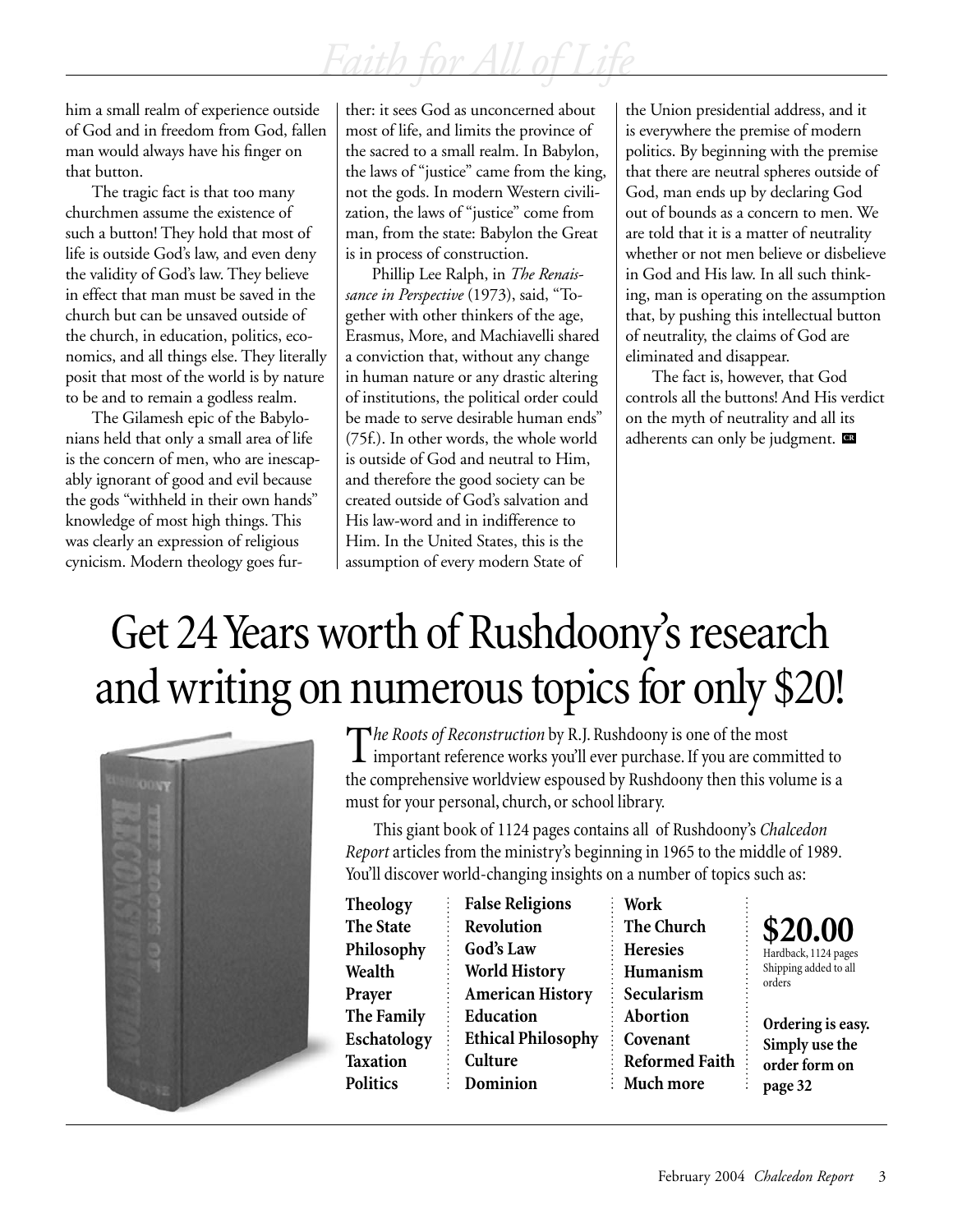him a small realm of experience outside of God and in freedom from God, fallen man would always have his finger on that button.

The tragic fact is that too many churchmen assume the existence of such a button! They hold that most of life is outside God's law, and even deny the validity of God's law. They believe in effect that man must be saved in the church but can be unsaved outside of the church, in education, politics, economics, and all things else. They literally posit that most of the world is by nature to be and to remain a godless realm.

The Gilamesh epic of the Babylonians held that only a small area of life is the concern of men, who are inescapably ignorant of good and evil because the gods "withheld in their own hands" knowledge of most high things. This was clearly an expression of religious cynicism. Modern theology goes further: it sees God as unconcerned about most of life, and limits the province of the sacred to a small realm. In Babylon, the laws of "justice" came from the king, not the gods. In modern Western civilization, the laws of "justice" come from man, from the state: Babylon the Great is in process of construction.

Phillip Lee Ralph, in *The Renaissance in Perspective* (1973), said, "Together with other thinkers of the age, Erasmus, More, and Machiavelli shared a conviction that, without any change in human nature or any drastic altering of institutions, the political order could be made to serve desirable human ends" (75f.). In other words, the whole world is outside of God and neutral to Him, and therefore the good society can be created outside of God's salvation and His law-word and in indifference to Him. In the United States, this is the assumption of every modern State of

the Union presidential address, and it is everywhere the premise of modern politics. By beginning with the premise that there are neutral spheres outside of God, man ends up by declaring God out of bounds as a concern to men. We are told that it is a matter of neutrality whether or not men believe or disbelieve in God and His law. In all such thinking, man is operating on the assumption that, by pushing this intellectual button of neutrality, the claims of God are eliminated and disappear.

The fact is, however, that God controls all the buttons! And His verdict on the myth of neutrality and all its adherents can only be judgment. **CR**

# Get 24 Years worth of Rushdoony's research and writing on numerous topics for only \$20!



The *Roots of Reconstruction* by R.J. Rushdoony is one of the most<br>important reference works you'll ever purchase. If you are committed to the comprehensive worldview espoused by Rushdoony then this volume is a must for your personal, church, or school library.

This giant book of 1124 pages contains all of Rushdoony's *Chalcedon Report* articles from the ministry's beginning in 1965 to the middle of 1989. You'll discover world-changing insights on a number of topics such as:

**Theology The State Philosophy Wealth Prayer The Family Eschatology Taxation Politics**

**False Religions Revolution God's Law World History American History Education Ethical Philosophy Culture Dominion**

**Work The Church Heresies Humanism Secularism Abortion Covenant Reformed Faith Much more**



**Ordering is easy. Simply use the order form on page 32**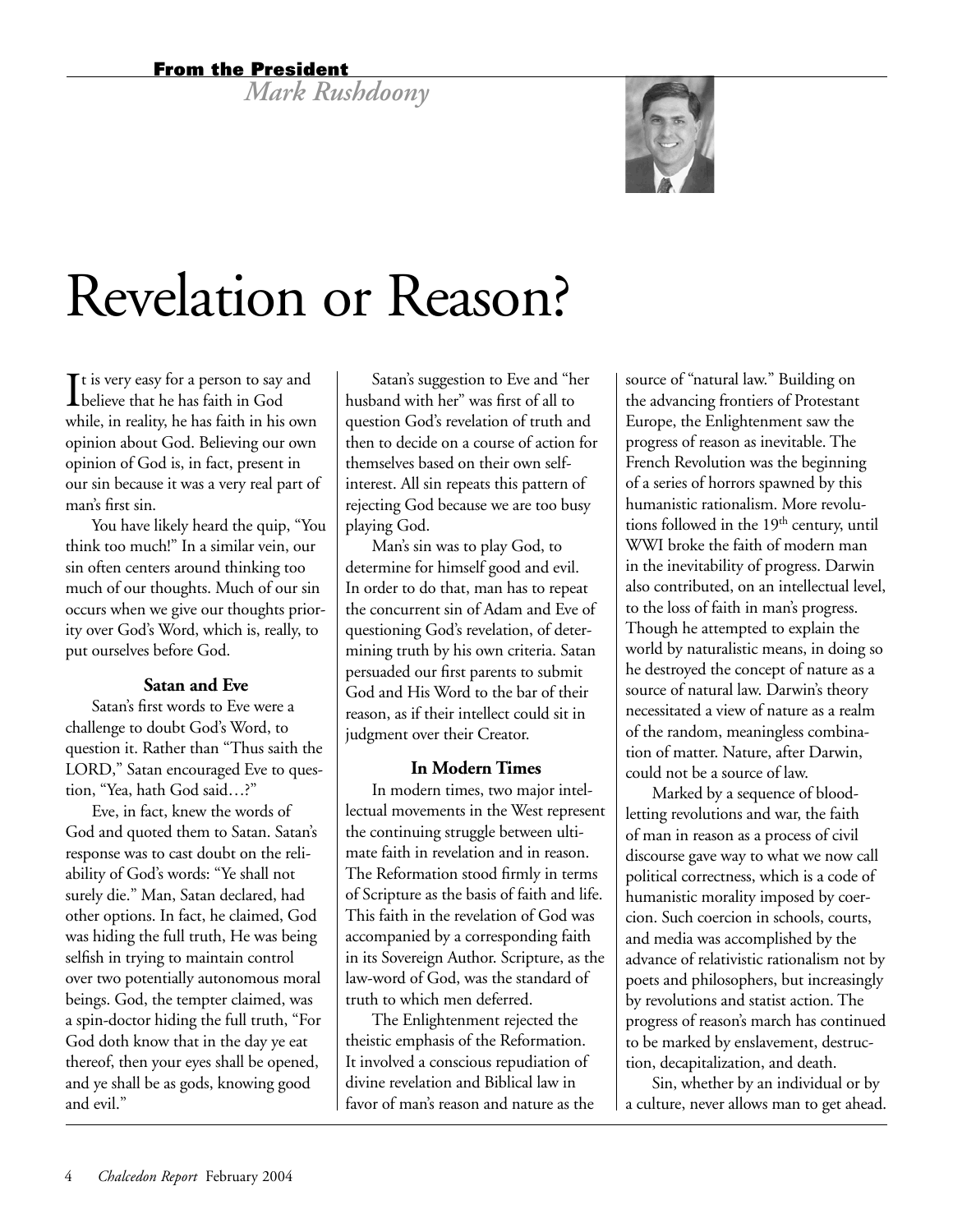## From the President

*Mark Rushdoony*



# Revelation or Reason?

It is very easy for a person to say<br>believe that he has faith in God  $\mathbf{T}$ t is very easy for a person to say and while, in reality, he has faith in his own opinion about God. Believing our own opinion of God is, in fact, present in our sin because it was a very real part of man's first sin.

You have likely heard the quip, "You think too much!" In a similar vein, our sin often centers around thinking too much of our thoughts. Much of our sin occurs when we give our thoughts priority over God's Word, which is, really, to put ourselves before God.

## **Satan and Eve**

Satan's first words to Eve were a challenge to doubt God's Word, to question it. Rather than "Thus saith the LORD," Satan encouraged Eve to question, "Yea, hath God said…?"

Eve, in fact, knew the words of God and quoted them to Satan. Satan's response was to cast doubt on the reliability of God's words: "Ye shall not surely die." Man, Satan declared, had other options. In fact, he claimed, God was hiding the full truth, He was being selfish in trying to maintain control over two potentially autonomous moral beings. God, the tempter claimed, was a spin-doctor hiding the full truth, "For God doth know that in the day ye eat thereof, then your eyes shall be opened, and ye shall be as gods, knowing good and evil."

Satan's suggestion to Eve and "her husband with her" was first of all to question God's revelation of truth and then to decide on a course of action for themselves based on their own selfinterest. All sin repeats this pattern of rejecting God because we are too busy playing God.

Man's sin was to play God, to determine for himself good and evil. In order to do that, man has to repeat the concurrent sin of Adam and Eve of questioning God's revelation, of determining truth by his own criteria. Satan persuaded our first parents to submit God and His Word to the bar of their reason, as if their intellect could sit in judgment over their Creator.

## **In Modern Times**

In modern times, two major intellectual movements in the West represent the continuing struggle between ultimate faith in revelation and in reason. The Reformation stood firmly in terms of Scripture as the basis of faith and life. This faith in the revelation of God was accompanied by a corresponding faith in its Sovereign Author. Scripture, as the law-word of God, was the standard of truth to which men deferred.

The Enlightenment rejected the theistic emphasis of the Reformation. It involved a conscious repudiation of divine revelation and Biblical law in favor of man's reason and nature as the source of "natural law." Building on the advancing frontiers of Protestant Europe, the Enlightenment saw the progress of reason as inevitable. The French Revolution was the beginning of a series of horrors spawned by this humanistic rationalism. More revolutions followed in the 19<sup>th</sup> century, until WWI broke the faith of modern man in the inevitability of progress. Darwin also contributed, on an intellectual level, to the loss of faith in man's progress. Though he attempted to explain the world by naturalistic means, in doing so he destroyed the concept of nature as a source of natural law. Darwin's theory necessitated a view of nature as a realm of the random, meaningless combination of matter. Nature, after Darwin, could not be a source of law.

Marked by a sequence of bloodletting revolutions and war, the faith of man in reason as a process of civil discourse gave way to what we now call political correctness, which is a code of humanistic morality imposed by coercion. Such coercion in schools, courts, and media was accomplished by the advance of relativistic rationalism not by poets and philosophers, but increasingly by revolutions and statist action. The progress of reason's march has continued to be marked by enslavement, destruction, decapitalization, and death.

Sin, whether by an individual or by a culture, never allows man to get ahead.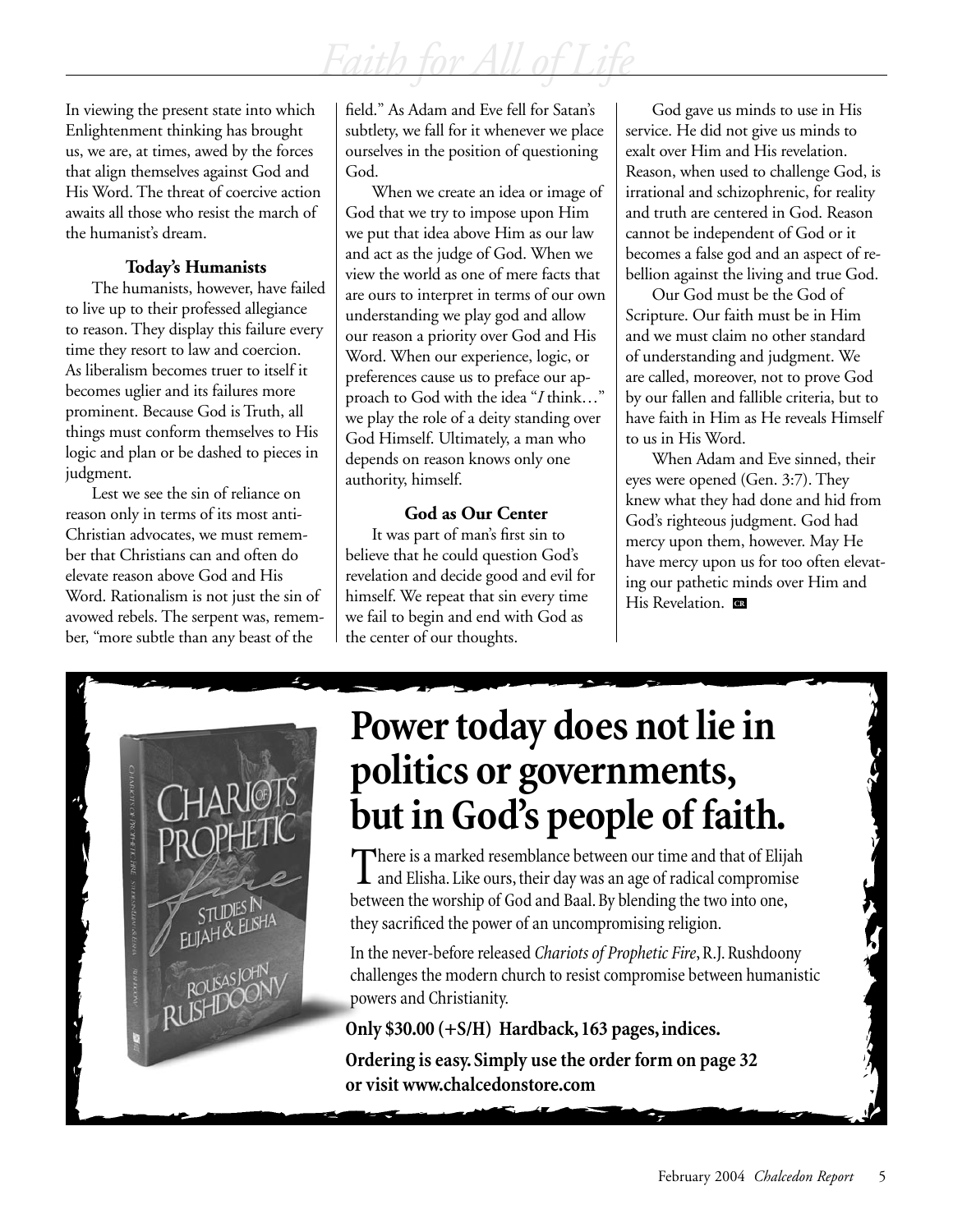In viewing the present state into which Enlightenment thinking has brought us, we are, at times, awed by the forces that align themselves against God and His Word. The threat of coercive action awaits all those who resist the march of the humanist's dream.

## **Today's Humanists**

The humanists, however, have failed to live up to their professed allegiance to reason. They display this failure every time they resort to law and coercion. As liberalism becomes truer to itself it becomes uglier and its failures more prominent. Because God is Truth, all things must conform themselves to His logic and plan or be dashed to pieces in judgment.

Lest we see the sin of reliance on reason only in terms of its most anti-Christian advocates, we must remember that Christians can and often do elevate reason above God and His Word. Rationalism is not just the sin of avowed rebels. The serpent was, remember, "more subtle than any beast of the

field." As Adam and Eve fell for Satan's subtlety, we fall for it whenever we place ourselves in the position of questioning God.

When we create an idea or image of God that we try to impose upon Him we put that idea above Him as our law and act as the judge of God. When we view the world as one of mere facts that are ours to interpret in terms of our own understanding we play god and allow our reason a priority over God and His Word. When our experience, logic, or preferences cause us to preface our approach to God with the idea "*I* think…" we play the role of a deity standing over God Himself. Ultimately, a man who depends on reason knows only one authority, himself.

## **God as Our Center**

It was part of man's first sin to believe that he could question God's revelation and decide good and evil for himself. We repeat that sin every time we fail to begin and end with God as the center of our thoughts.

God gave us minds to use in His service. He did not give us minds to exalt over Him and His revelation. Reason, when used to challenge God, is irrational and schizophrenic, for reality and truth are centered in God. Reason cannot be independent of God or it becomes a false god and an aspect of rebellion against the living and true God.

Our God must be the God of Scripture. Our faith must be in Him and we must claim no other standard of understanding and judgment. We are called, moreover, not to prove God by our fallen and fallible criteria, but to have faith in Him as He reveals Himself to us in His Word.

When Adam and Eve sinned, their eyes were opened (Gen. 3:7). They knew what they had done and hid from God's righteous judgment. God had mercy upon them, however. May He have mercy upon us for too often elevating our pathetic minds over Him and His Revelation. **CR**



# **Power today does not lie in politics or governments, but in God's people of faith.**

There is a marked resemblance between our time and that of Elijah<br>and Elisha. Like ours, their day was an age of radical compromise between the worship of God and Baal. By blending the two into one, they sacrificed the power of an uncompromising religion.

In the never-before released *Chariots of Prophetic Fire*, R.J. Rushdoony challenges the modern church to resist compromise between humanistic powers and Christianity.

## **Only \$30.00 (+S/H) Hardback, 163 pages, indices.**

**Ordering is easy. Simply use the order form on page 32 or visit www.chalcedonstore.com**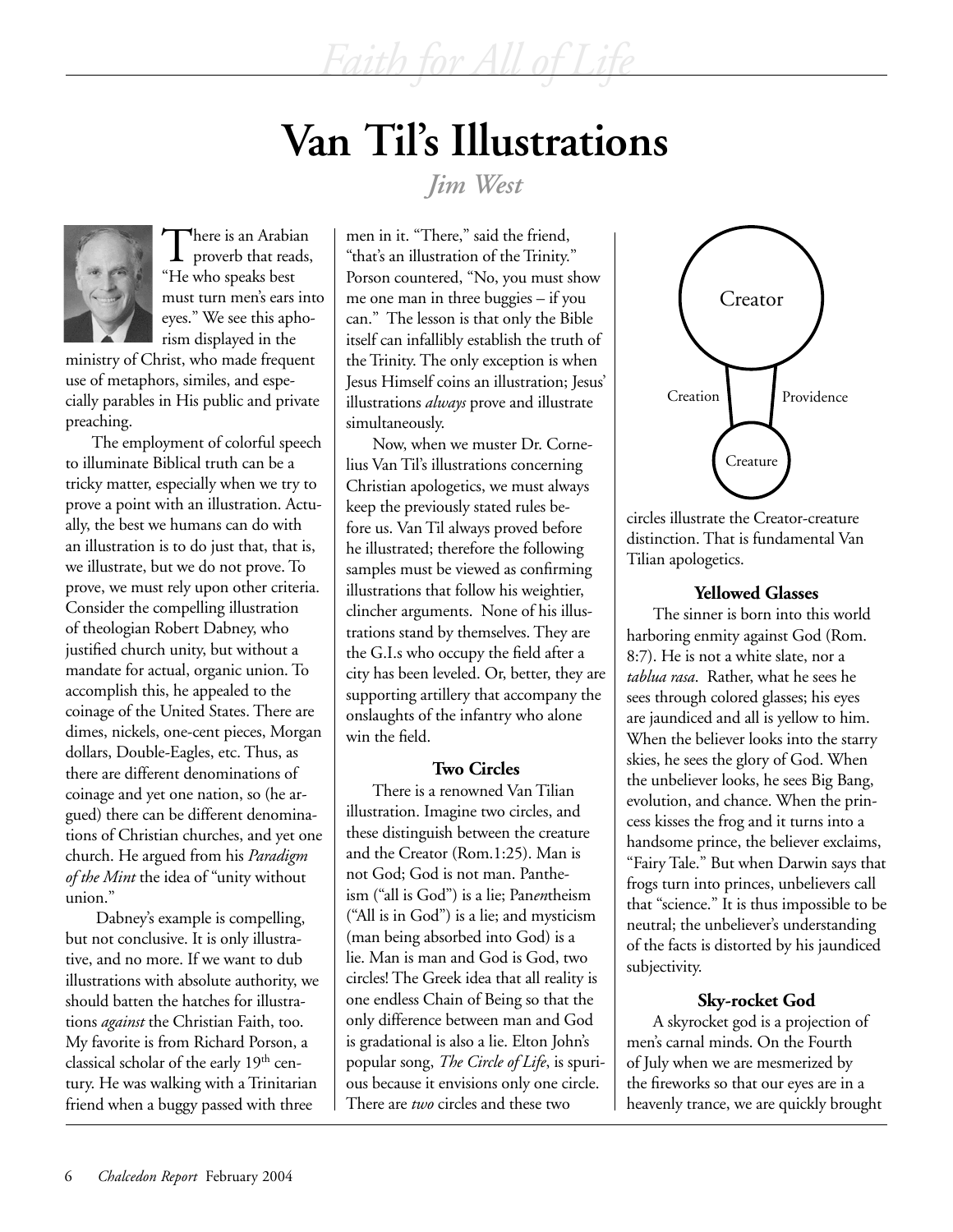# **Van Til's Illustrations**

*Faith for All of Life*

*Jim West*



There is an Arabian<br>proverb that reads, "He who speaks best must turn men's ears into eyes." We see this aphorism displayed in the

ministry of Christ, who made frequent use of metaphors, similes, and especially parables in His public and private preaching.

The employment of colorful speech to illuminate Biblical truth can be a tricky matter, especially when we try to prove a point with an illustration. Actually, the best we humans can do with an illustration is to do just that, that is, we illustrate, but we do not prove. To prove, we must rely upon other criteria. Consider the compelling illustration of theologian Robert Dabney, who justified church unity, but without a mandate for actual, organic union. To accomplish this, he appealed to the coinage of the United States. There are dimes, nickels, one-cent pieces, Morgan dollars, Double-Eagles, etc. Thus, as there are different denominations of coinage and yet one nation, so (he argued) there can be different denominations of Christian churches, and yet one church. He argued from his *Paradigm of the Mint* the idea of "unity without union."

 Dabney's example is compelling, but not conclusive. It is only illustrative, and no more. If we want to dub illustrations with absolute authority, we should batten the hatches for illustrations *against* the Christian Faith, too. My favorite is from Richard Porson, a classical scholar of the early 19<sup>th</sup> century. He was walking with a Trinitarian friend when a buggy passed with three

men in it. "There," said the friend, "that's an illustration of the Trinity." Porson countered, "No, you must show me one man in three buggies – if you can." The lesson is that only the Bible itself can infallibly establish the truth of the Trinity. The only exception is when Jesus Himself coins an illustration; Jesus' illustrations *always* prove and illustrate simultaneously.

Now, when we muster Dr. Cornelius Van Til's illustrations concerning Christian apologetics, we must always keep the previously stated rules before us. Van Til always proved before he illustrated; therefore the following samples must be viewed as confirming illustrations that follow his weightier, clincher arguments. None of his illustrations stand by themselves. They are the G.I.s who occupy the field after a city has been leveled. Or, better, they are supporting artillery that accompany the onslaughts of the infantry who alone win the field.

## **Two Circles**

There is a renowned Van Tilian illustration. Imagine two circles, and these distinguish between the creature and the Creator (Rom.1:25). Man is not God; God is not man. Pantheism ("all is God") is a lie; Pan*en*theism ("All is in God") is a lie; and mysticism (man being absorbed into God) is a lie. Man is man and God is God, two circles! The Greek idea that all reality is one endless Chain of Being so that the only difference between man and God is gradational is also a lie. Elton John's popular song, *The Circle of Life*, is spurious because it envisions only one circle. There are *two* circles and these two



circles illustrate the Creator-creature distinction. That is fundamental Van Tilian apologetics.

## **Yellowed Glasses**

The sinner is born into this world harboring enmity against God (Rom. 8:7). He is not a white slate, nor a *tablua rasa*. Rather, what he sees he sees through colored glasses; his eyes are jaundiced and all is yellow to him. When the believer looks into the starry skies, he sees the glory of God. When the unbeliever looks, he sees Big Bang, evolution, and chance. When the princess kisses the frog and it turns into a handsome prince, the believer exclaims, "Fairy Tale." But when Darwin says that frogs turn into princes, unbelievers call that "science." It is thus impossible to be neutral; the unbeliever's understanding of the facts is distorted by his jaundiced subjectivity.

## **Sky-rocket God**

A skyrocket god is a projection of men's carnal minds. On the Fourth of July when we are mesmerized by the fireworks so that our eyes are in a heavenly trance, we are quickly brought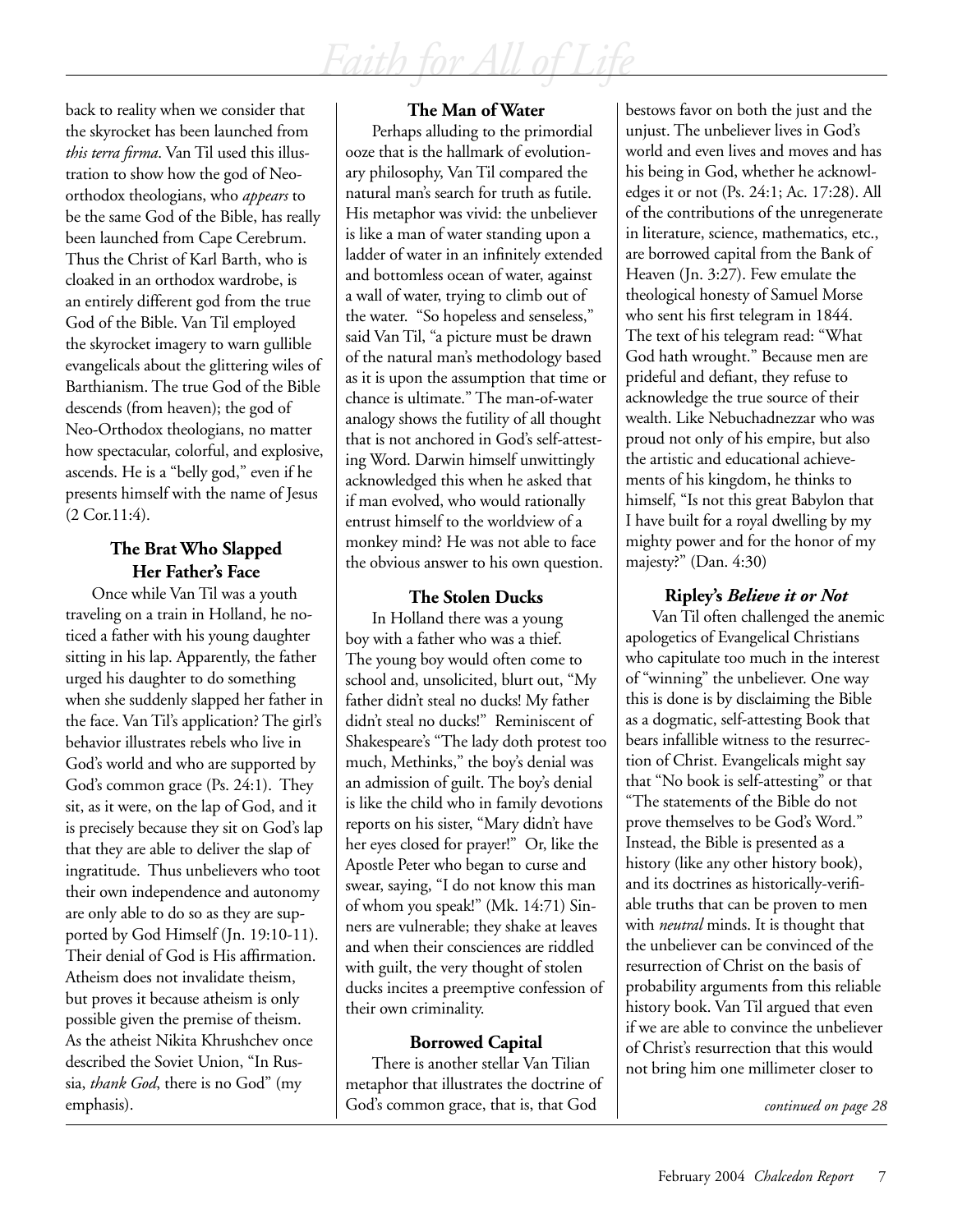back to reality when we consider that the skyrocket has been launched from *this terra firma*. Van Til used this illustration to show how the god of Neoorthodox theologians, who *appears* to be the same God of the Bible, has really been launched from Cape Cerebrum. Thus the Christ of Karl Barth, who is cloaked in an orthodox wardrobe, is an entirely different god from the true God of the Bible. Van Til employed the skyrocket imagery to warn gullible evangelicals about the glittering wiles of Barthianism. The true God of the Bible descends (from heaven); the god of Neo-Orthodox theologians, no matter how spectacular, colorful, and explosive, ascends. He is a "belly god," even if he presents himself with the name of Jesus (2 Cor.11:4).

## **The Brat Who Slapped Her Father's Face**

Once while Van Til was a youth traveling on a train in Holland, he noticed a father with his young daughter sitting in his lap. Apparently, the father urged his daughter to do something when she suddenly slapped her father in the face. Van Til's application? The girl's behavior illustrates rebels who live in God's world and who are supported by God's common grace (Ps. 24:1). They sit, as it were, on the lap of God, and it is precisely because they sit on God's lap that they are able to deliver the slap of ingratitude. Thus unbelievers who toot their own independence and autonomy are only able to do so as they are supported by God Himself (Jn. 19:10-11). Their denial of God is His affirmation. Atheism does not invalidate theism, but proves it because atheism is only possible given the premise of theism. As the atheist Nikita Khrushchev once described the Soviet Union, "In Russia, *thank God*, there is no God" (my emphasis).

## **The Man of Water**

Perhaps alluding to the primordial ooze that is the hallmark of evolutionary philosophy, Van Til compared the natural man's search for truth as futile. His metaphor was vivid: the unbeliever is like a man of water standing upon a ladder of water in an infinitely extended and bottomless ocean of water, against a wall of water, trying to climb out of the water. "So hopeless and senseless," said Van Til, "a picture must be drawn of the natural man's methodology based as it is upon the assumption that time or chance is ultimate." The man-of-water analogy shows the futility of all thought that is not anchored in God's self-attesting Word. Darwin himself unwittingly acknowledged this when he asked that if man evolved, who would rationally entrust himself to the worldview of a monkey mind? He was not able to face the obvious answer to his own question.

## **The Stolen Ducks**

In Holland there was a young boy with a father who was a thief. The young boy would often come to school and, unsolicited, blurt out, "My father didn't steal no ducks! My father didn't steal no ducks!" Reminiscent of Shakespeare's "The lady doth protest too much, Methinks," the boy's denial was an admission of guilt. The boy's denial is like the child who in family devotions reports on his sister, "Mary didn't have her eyes closed for prayer!" Or, like the Apostle Peter who began to curse and swear, saying, "I do not know this man of whom you speak!" (Mk. 14:71) Sinners are vulnerable; they shake at leaves and when their consciences are riddled with guilt, the very thought of stolen ducks incites a preemptive confession of their own criminality.

## **Borrowed Capital**

There is another stellar Van Tilian metaphor that illustrates the doctrine of God's common grace, that is, that God **continued** on page 28

bestows favor on both the just and the unjust. The unbeliever lives in God's world and even lives and moves and has his being in God, whether he acknowledges it or not (Ps. 24:1; Ac. 17:28). All of the contributions of the unregenerate in literature, science, mathematics, etc., are borrowed capital from the Bank of Heaven (Jn. 3:27). Few emulate the theological honesty of Samuel Morse who sent his first telegram in 1844. The text of his telegram read: "What God hath wrought." Because men are prideful and defiant, they refuse to acknowledge the true source of their wealth. Like Nebuchadnezzar who was proud not only of his empire, but also the artistic and educational achievements of his kingdom, he thinks to himself, "Is not this great Babylon that I have built for a royal dwelling by my mighty power and for the honor of my majesty?" (Dan. 4:30)

## **Ripley's** *Believe it or Not*

Van Til often challenged the anemic apologetics of Evangelical Christians who capitulate too much in the interest of "winning" the unbeliever. One way this is done is by disclaiming the Bible as a dogmatic, self-attesting Book that bears infallible witness to the resurrection of Christ. Evangelicals might say that "No book is self-attesting" or that "The statements of the Bible do not prove themselves to be God's Word." Instead, the Bible is presented as a history (like any other history book), and its doctrines as historically-verifiable truths that can be proven to men with *neutral* minds. It is thought that the unbeliever can be convinced of the resurrection of Christ on the basis of probability arguments from this reliable history book. Van Til argued that even if we are able to convince the unbeliever of Christ's resurrection that this would not bring him one millimeter closer to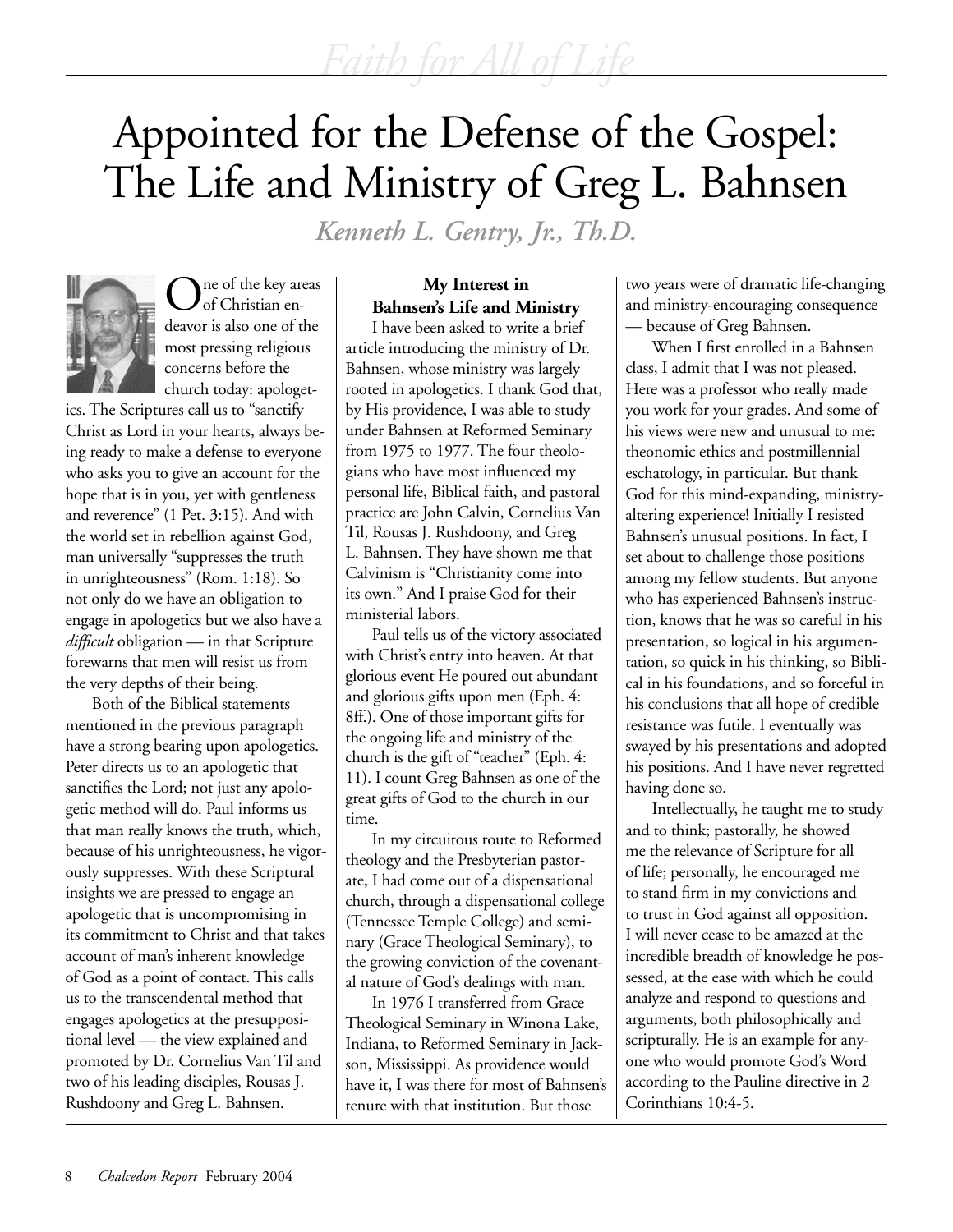# Appointed for the Defense of the Gospel: The Life and Ministry of Greg L. Bahnsen

*Kenneth L. Gentry, Jr., Th.D.*



ne of the key areas of Christian endeavor is also one of the most pressing religious concerns before the church today: apologet-

ics. The Scriptures call us to "sanctify Christ as Lord in your hearts, always being ready to make a defense to everyone who asks you to give an account for the hope that is in you, yet with gentleness and reverence" (1 Pet. 3:15). And with the world set in rebellion against God, man universally "suppresses the truth in unrighteousness" (Rom. 1:18). So not only do we have an obligation to engage in apologetics but we also have a *difficult* obligation — in that Scripture forewarns that men will resist us from the very depths of their being.

Both of the Biblical statements mentioned in the previous paragraph have a strong bearing upon apologetics. Peter directs us to an apologetic that sanctifies the Lord; not just any apologetic method will do. Paul informs us that man really knows the truth, which, because of his unrighteousness, he vigorously suppresses. With these Scriptural insights we are pressed to engage an apologetic that is uncompromising in its commitment to Christ and that takes account of man's inherent knowledge of God as a point of contact. This calls us to the transcendental method that engages apologetics at the presuppositional level — the view explained and promoted by Dr. Cornelius Van Til and two of his leading disciples, Rousas J. Rushdoony and Greg L. Bahnsen.

## **My Interest in Bahnsen's Life and Ministry**

I have been asked to write a brief article introducing the ministry of Dr. Bahnsen, whose ministry was largely rooted in apologetics. I thank God that, by His providence, I was able to study under Bahnsen at Reformed Seminary from 1975 to 1977. The four theologians who have most influenced my personal life, Biblical faith, and pastoral practice are John Calvin, Cornelius Van Til, Rousas J. Rushdoony, and Greg L. Bahnsen. They have shown me that Calvinism is "Christianity come into its own." And I praise God for their ministerial labors.

Paul tells us of the victory associated with Christ's entry into heaven. At that glorious event He poured out abundant and glorious gifts upon men (Eph. 4: 8ff.). One of those important gifts for the ongoing life and ministry of the church is the gift of "teacher" (Eph. 4: 11). I count Greg Bahnsen as one of the great gifts of God to the church in our time.

In my circuitous route to Reformed theology and the Presbyterian pastorate, I had come out of a dispensational church, through a dispensational college (Tennessee Temple College) and seminary (Grace Theological Seminary), to the growing conviction of the covenantal nature of God's dealings with man.

In 1976 I transferred from Grace Theological Seminary in Winona Lake, Indiana, to Reformed Seminary in Jackson, Mississippi. As providence would have it, I was there for most of Bahnsen's tenure with that institution. But those

two years were of dramatic life-changing and ministry-encouraging consequence — because of Greg Bahnsen.

When I first enrolled in a Bahnsen class, I admit that I was not pleased. Here was a professor who really made you work for your grades. And some of his views were new and unusual to me: theonomic ethics and postmillennial eschatology, in particular. But thank God for this mind-expanding, ministryaltering experience! Initially I resisted Bahnsen's unusual positions. In fact, I set about to challenge those positions among my fellow students. But anyone who has experienced Bahnsen's instruction, knows that he was so careful in his presentation, so logical in his argumentation, so quick in his thinking, so Biblical in his foundations, and so forceful in his conclusions that all hope of credible resistance was futile. I eventually was swayed by his presentations and adopted his positions. And I have never regretted having done so.

Intellectually, he taught me to study and to think; pastorally, he showed me the relevance of Scripture for all of life; personally, he encouraged me to stand firm in my convictions and to trust in God against all opposition. I will never cease to be amazed at the incredible breadth of knowledge he possessed, at the ease with which he could analyze and respond to questions and arguments, both philosophically and scripturally. He is an example for anyone who would promote God's Word according to the Pauline directive in 2 Corinthians 10:4-5.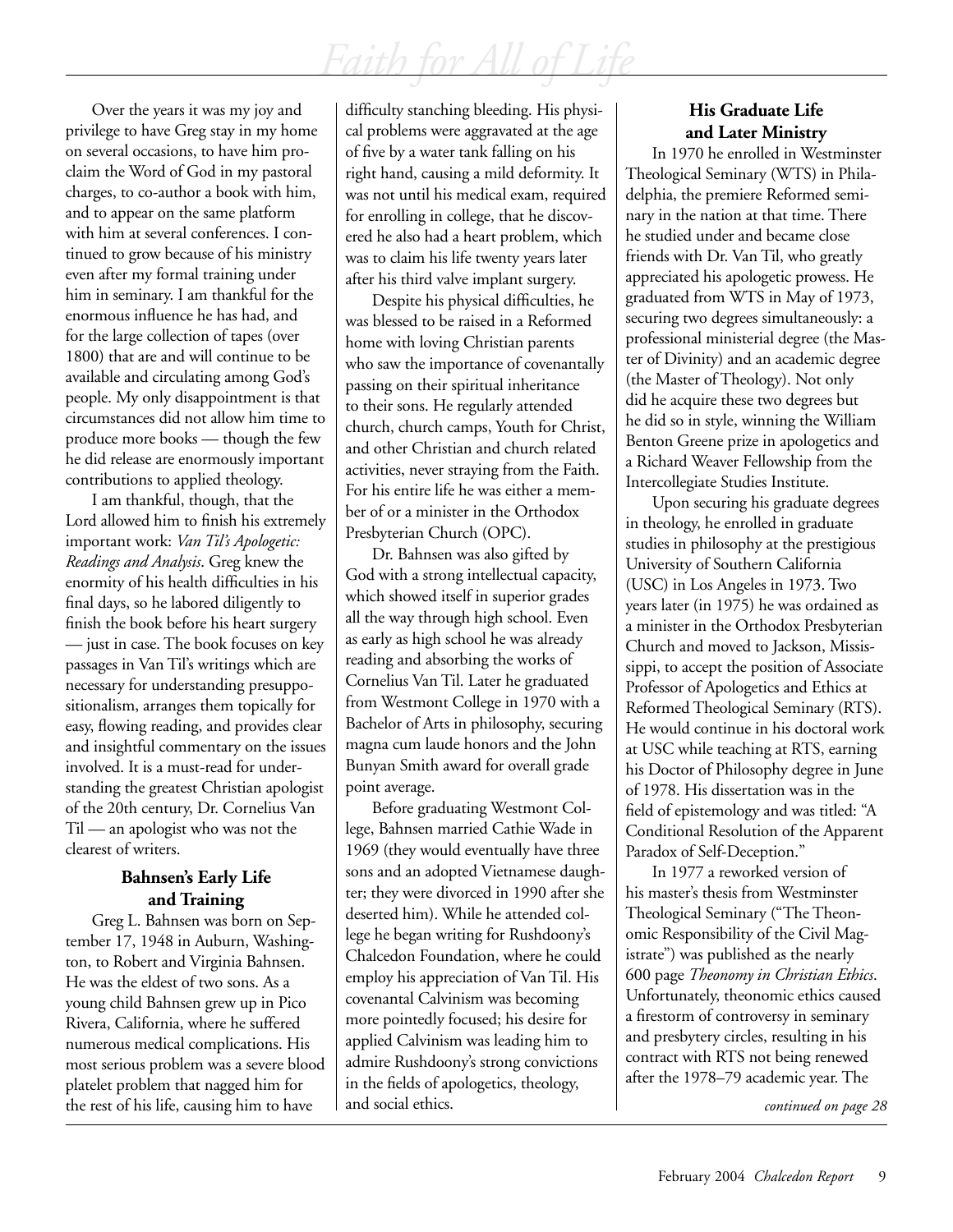Over the years it was my joy and privilege to have Greg stay in my home on several occasions, to have him proclaim the Word of God in my pastoral charges, to co-author a book with him, and to appear on the same platform with him at several conferences. I continued to grow because of his ministry even after my formal training under him in seminary. I am thankful for the enormous influence he has had, and for the large collection of tapes (over 1800) that are and will continue to be available and circulating among God's people. My only disappointment is that circumstances did not allow him time to produce more books — though the few he did release are enormously important contributions to applied theology.

I am thankful, though, that the Lord allowed him to finish his extremely important work: *Van Til's Apologetic: Readings and Analysis*. Greg knew the enormity of his health difficulties in his final days, so he labored diligently to finish the book before his heart surgery — just in case. The book focuses on key passages in Van Til's writings which are necessary for understanding presuppositionalism, arranges them topically for easy, flowing reading, and provides clear and insightful commentary on the issues involved. It is a must-read for understanding the greatest Christian apologist of the 20th century, Dr. Cornelius Van Til — an apologist who was not the clearest of writers.

## **Bahnsen's Early Life and Training**

Greg L. Bahnsen was born on September 17, 1948 in Auburn, Washington, to Robert and Virginia Bahnsen. He was the eldest of two sons. As a young child Bahnsen grew up in Pico Rivera, California, where he suffered numerous medical complications. His most serious problem was a severe blood platelet problem that nagged him for the rest of his life, causing him to have

difficulty stanching bleeding. His physical problems were aggravated at the age of five by a water tank falling on his right hand, causing a mild deformity. It was not until his medical exam, required for enrolling in college, that he discovered he also had a heart problem, which was to claim his life twenty years later after his third valve implant surgery.

Despite his physical difficulties, he was blessed to be raised in a Reformed home with loving Christian parents who saw the importance of covenantally passing on their spiritual inheritance to their sons. He regularly attended church, church camps, Youth for Christ, and other Christian and church related activities, never straying from the Faith. For his entire life he was either a member of or a minister in the Orthodox Presbyterian Church (OPC).

Dr. Bahnsen was also gifted by God with a strong intellectual capacity, which showed itself in superior grades all the way through high school. Even as early as high school he was already reading and absorbing the works of Cornelius Van Til. Later he graduated from Westmont College in 1970 with a Bachelor of Arts in philosophy, securing magna cum laude honors and the John Bunyan Smith award for overall grade point average.

Before graduating Westmont College, Bahnsen married Cathie Wade in 1969 (they would eventually have three sons and an adopted Vietnamese daughter; they were divorced in 1990 after she deserted him). While he attended college he began writing for Rushdoony's Chalcedon Foundation, where he could employ his appreciation of Van Til. His covenantal Calvinism was becoming more pointedly focused; his desire for applied Calvinism was leading him to admire Rushdoony's strong convictions in the fields of apologetics, theology, and social ethics.

## **His Graduate Life and Later Ministry**

In 1970 he enrolled in Westminster Theological Seminary (WTS) in Philadelphia, the premiere Reformed seminary in the nation at that time. There he studied under and became close friends with Dr. Van Til, who greatly appreciated his apologetic prowess. He graduated from WTS in May of 1973, securing two degrees simultaneously: a professional ministerial degree (the Master of Divinity) and an academic degree (the Master of Theology). Not only did he acquire these two degrees but he did so in style, winning the William Benton Greene prize in apologetics and a Richard Weaver Fellowship from the Intercollegiate Studies Institute.

Upon securing his graduate degrees in theology, he enrolled in graduate studies in philosophy at the prestigious University of Southern California (USC) in Los Angeles in 1973. Two years later (in 1975) he was ordained as a minister in the Orthodox Presbyterian Church and moved to Jackson, Mississippi, to accept the position of Associate Professor of Apologetics and Ethics at Reformed Theological Seminary (RTS). He would continue in his doctoral work at USC while teaching at RTS, earning his Doctor of Philosophy degree in June of 1978. His dissertation was in the field of epistemology and was titled: "A Conditional Resolution of the Apparent Paradox of Self-Deception."

In 1977 a reworked version of his master's thesis from Westminster Theological Seminary ("The Theonomic Responsibility of the Civil Magistrate") was published as the nearly 600 page *Theonomy in Christian Ethics*. Unfortunately, theonomic ethics caused a firestorm of controversy in seminary and presbytery circles, resulting in his contract with RTS not being renewed after the 1978–79 academic year. The

*continued on page 28*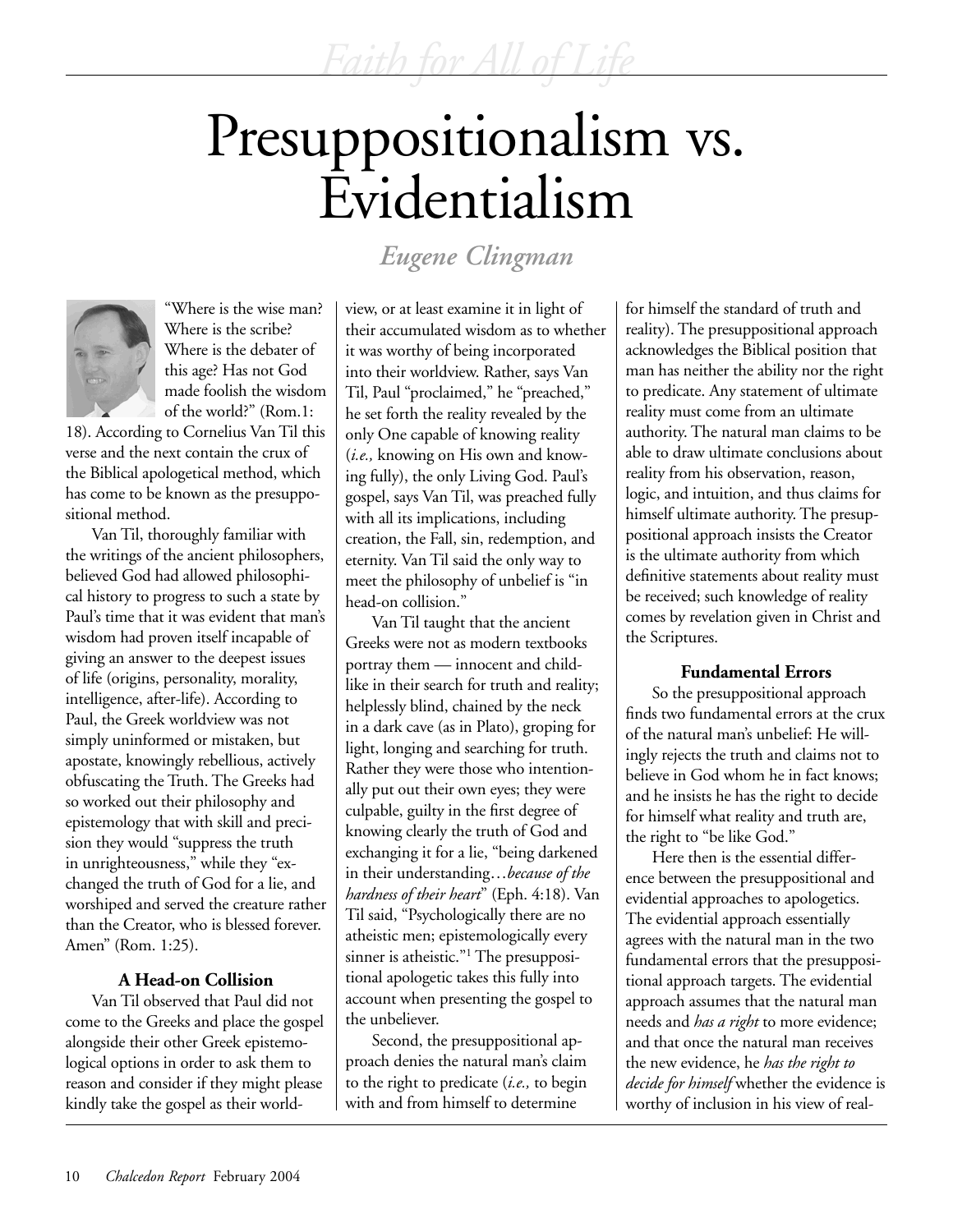# Presuppositionalism vs. Evidentialism

*Eugene Clingman*



"Where is the wise man? Where is the scribe? Where is the debater of this age? Has not God made foolish the wisdom of the world?" (Rom.1:

18). According to Cornelius Van Til this verse and the next contain the crux of the Biblical apologetical method, which has come to be known as the presuppositional method.

Van Til, thoroughly familiar with the writings of the ancient philosophers, believed God had allowed philosophical history to progress to such a state by Paul's time that it was evident that man's wisdom had proven itself incapable of giving an answer to the deepest issues of life (origins, personality, morality, intelligence, after-life). According to Paul, the Greek worldview was not simply uninformed or mistaken, but apostate, knowingly rebellious, actively obfuscating the Truth. The Greeks had so worked out their philosophy and epistemology that with skill and precision they would "suppress the truth in unrighteousness," while they "exchanged the truth of God for a lie, and worshiped and served the creature rather than the Creator, who is blessed forever. Amen" (Rom. 1:25).

## **A Head-on Collision**

Van Til observed that Paul did not come to the Greeks and place the gospel alongside their other Greek epistemological options in order to ask them to reason and consider if they might please kindly take the gospel as their worldview, or at least examine it in light of their accumulated wisdom as to whether it was worthy of being incorporated into their worldview. Rather, says Van Til, Paul "proclaimed," he "preached," he set forth the reality revealed by the only One capable of knowing reality (*i.e.,* knowing on His own and knowing fully), the only Living God. Paul's gospel, says Van Til, was preached fully with all its implications, including creation, the Fall, sin, redemption, and eternity. Van Til said the only way to meet the philosophy of unbelief is "in head-on collision."

Van Til taught that the ancient Greeks were not as modern textbooks portray them — innocent and childlike in their search for truth and reality; helplessly blind, chained by the neck in a dark cave (as in Plato), groping for light, longing and searching for truth. Rather they were those who intentionally put out their own eyes; they were culpable, guilty in the first degree of knowing clearly the truth of God and exchanging it for a lie, "being darkened in their understanding…*because of the hardness of their heart*" (Eph. 4:18). Van Til said, "Psychologically there are no atheistic men; epistemologically every sinner is atheistic."<sup>1</sup> The presuppositional apologetic takes this fully into account when presenting the gospel to the unbeliever.

Second, the presuppositional approach denies the natural man's claim to the right to predicate (*i.e.,* to begin with and from himself to determine

for himself the standard of truth and reality). The presuppositional approach acknowledges the Biblical position that man has neither the ability nor the right to predicate. Any statement of ultimate reality must come from an ultimate authority. The natural man claims to be able to draw ultimate conclusions about reality from his observation, reason, logic, and intuition, and thus claims for himself ultimate authority. The presuppositional approach insists the Creator is the ultimate authority from which definitive statements about reality must be received; such knowledge of reality comes by revelation given in Christ and the Scriptures.

## **Fundamental Errors**

So the presuppositional approach finds two fundamental errors at the crux of the natural man's unbelief: He willingly rejects the truth and claims not to believe in God whom he in fact knows; and he insists he has the right to decide for himself what reality and truth are, the right to "be like God."

Here then is the essential difference between the presuppositional and evidential approaches to apologetics. The evidential approach essentially agrees with the natural man in the two fundamental errors that the presuppositional approach targets. The evidential approach assumes that the natural man needs and *has a right* to more evidence; and that once the natural man receives the new evidence, he *has the right to decide for himself* whether the evidence is worthy of inclusion in his view of real-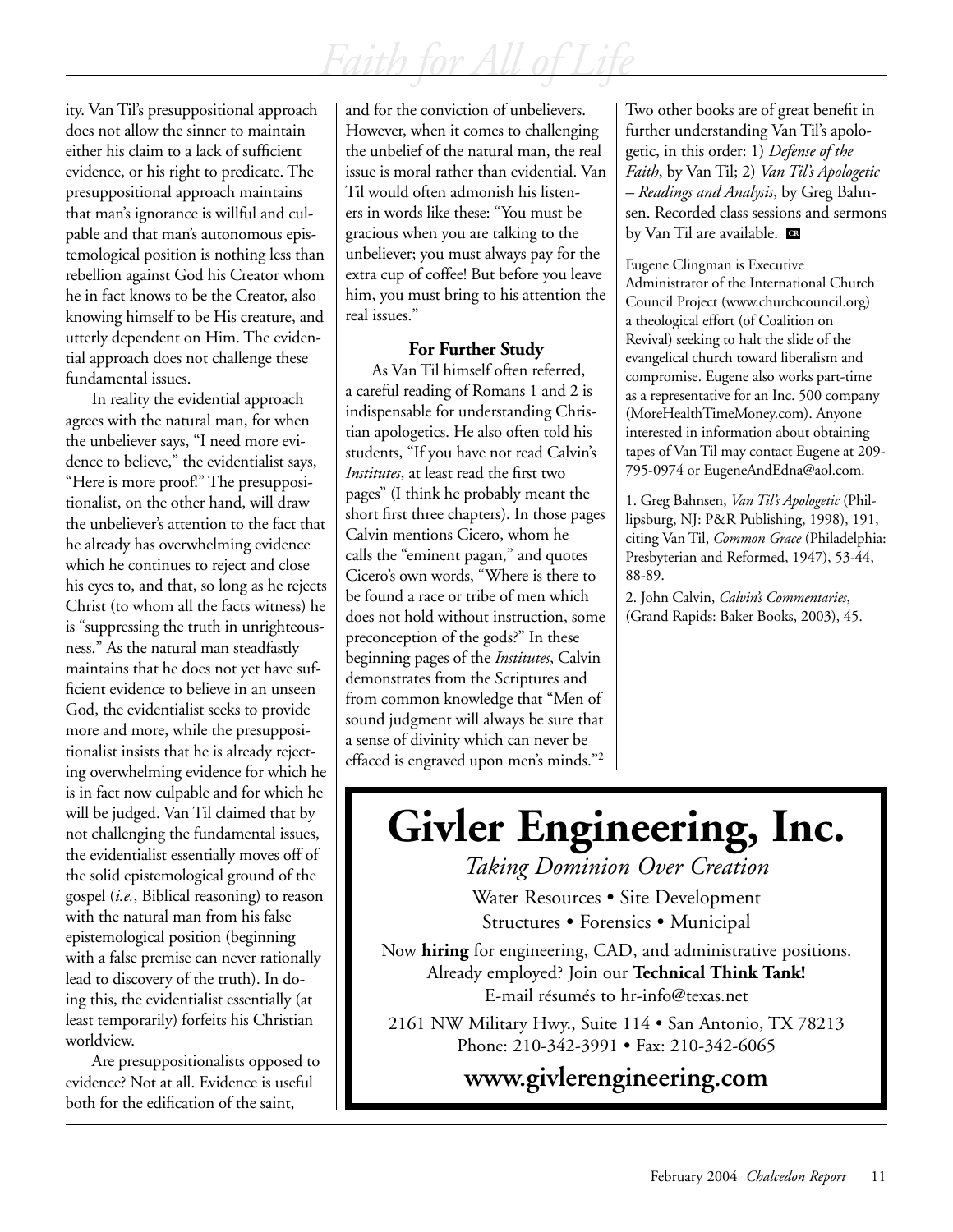ity. Van Til's presuppositional approach does not allow the sinner to maintain either his claim to a lack of sufficient evidence, or his right to predicate. The presuppositional approach maintains that man's ignorance is willful and culpable and that man's autonomous epistemological position is nothing less than rebellion against God his Creator whom he in fact knows to be the Creator, also knowing himself to be His creature, and utterly dependent on Him. The evidential approach does not challenge these fundamental issues.

In reality the evidential approach agrees with the natural man, for when the unbeliever says, "I need more evidence to believe," the evidentialist says, "Here is more proof!" The presuppositionalist, on the other hand, will draw the unbeliever's attention to the fact that he already has overwhelming evidence which he continues to reject and close his eyes to, and that, so long as he rejects Christ (to whom all the facts witness) he is "suppressing the truth in unrighteousness." As the natural man steadfastly maintains that he does not yet have sufficient evidence to believe in an unseen God, the evidentialist seeks to provide more and more, while the presuppositionalist insists that he is already rejecting overwhelming evidence for which he is in fact now culpable and for which he will be judged. Van Til claimed that by not challenging the fundamental issues, the evidentialist essentially moves off of the solid epistemological ground of the gospel (*i.e.*, Biblical reasoning) to reason with the natural man from his false epistemological position (beginning with a false premise can never rationally lead to discovery of the truth). In doing this, the evidentialist essentially (at least temporarily) forfeits his Christian worldview.

Are presuppositionalists opposed to evidence? Not at all. Evidence is useful both for the edification of the saint,

and for the conviction of unbelievers. However, when it comes to challenging the unbelief of the natural man, the real issue is moral rather than evidential. Van Til would often admonish his listeners in words like these: "You must be gracious when you are talking to the unbeliever; you must always pay for the extra cup of coffee! But before you leave him, you must bring to his attention the real issues."

## **For Further Study**

As Van Til himself often referred, a careful reading of Romans 1 and 2 is indispensable for understanding Christian apologetics. He also often told his students, "If you have not read Calvin's *Institutes*, at least read the first two pages" (I think he probably meant the short first three chapters). In those pages Calvin mentions Cicero, whom he calls the "eminent pagan," and quotes Cicero's own words, "Where is there to be found a race or tribe of men which does not hold without instruction, some preconception of the gods?" In these beginning pages of the *Institutes*, Calvin demonstrates from the Scriptures and from common knowledge that "Men of sound judgment will always be sure that a sense of divinity which can never be effaced is engraved upon men's minds."2

Two other books are of great benefit in further understanding Van Til's apologetic, in this order: 1) *Defense of the Faith*, by Van Til; 2) *Van Til's Apologetic – Readings and Analysis*, by Greg Bahnsen. Recorded class sessions and sermons by Van Til are available. **CR**

Eugene Clingman is Executive Administrator of the International Church Council Project (www.churchcouncil.org) a theological effort (of Coalition on Revival) seeking to halt the slide of the evangelical church toward liberalism and compromise. Eugene also works part-time as a representative for an Inc. 500 company (MoreHealthTimeMoney.com). Anyone interested in information about obtaining tapes of Van Til may contact Eugene at 209- 795-0974 or EugeneAndEdna@aol.com.

1. Greg Bahnsen, *Van Til's Apologetic* (Phillipsburg, NJ: P&R Publishing, 1998), 191, citing Van Til, *Common Grace* (Philadelphia: Presbyterian and Reformed, 1947), 53-44, 88-89.

2. John Calvin, *Calvin's Commentaries*, (Grand Rapids: Baker Books, 2003), 45.

# **Givler Engineering, Inc.**

*Taking Dominion Over Creation*

Water Resources • Site Development Structures • Forensics • Municipal

Now **hiring** for engineering, CAD, and administrative positions. Already employed? Join our **Technical Think Tank!** E-mail résumés to hr-info@texas.net

2161 NW Military Hwy., Suite 114 • San Antonio, TX 78213 Phone: 210-342-3991 • Fax: 210-342-6065

## **www.givlerengineering.com**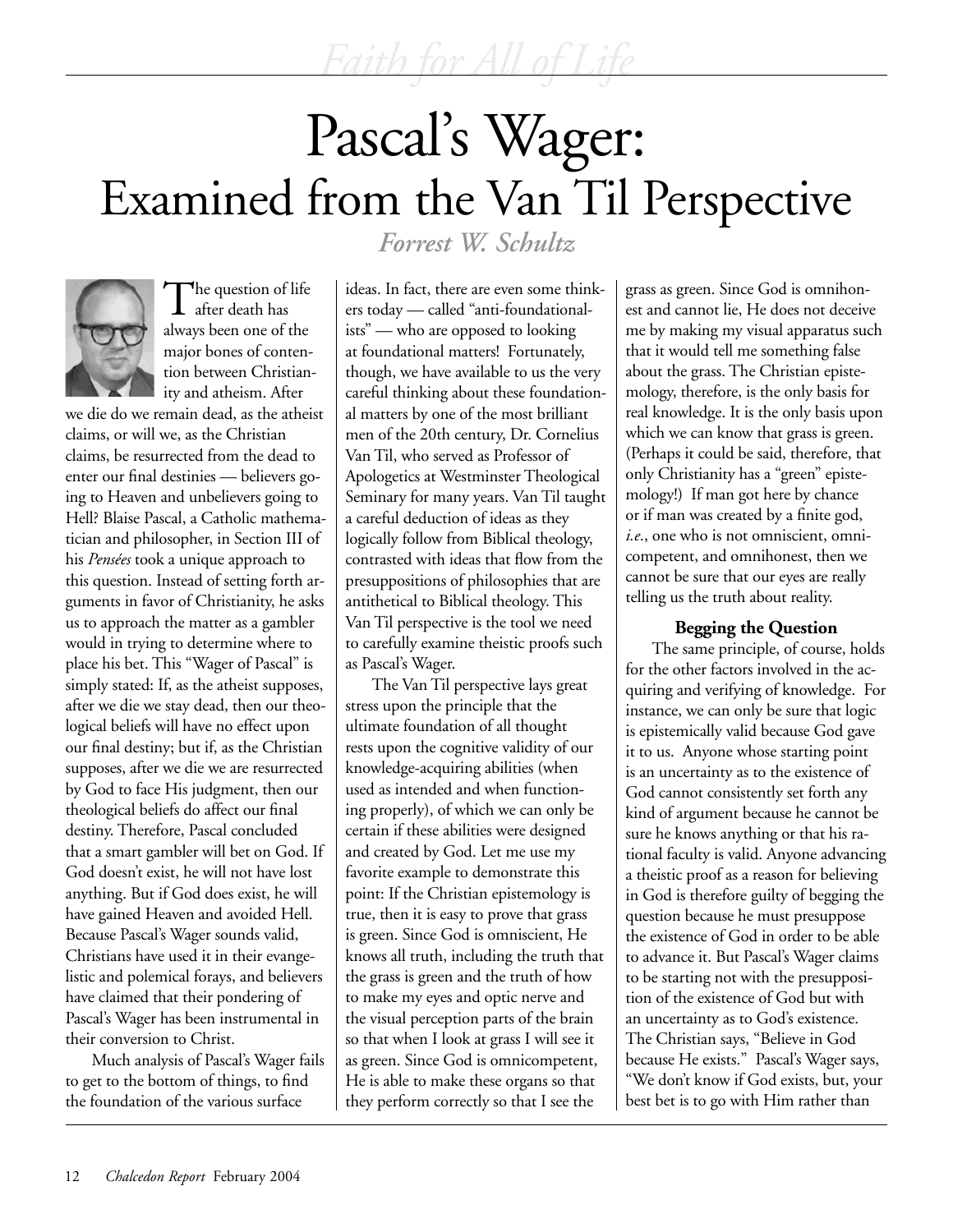# Pascal's Wager: Examined from the Van Til Perspective



The question of life after death has always been one of the major bones of contention between Christianity and atheism. After

we die do we remain dead, as the atheist claims, or will we, as the Christian claims, be resurrected from the dead to enter our final destinies — believers going to Heaven and unbelievers going to Hell? Blaise Pascal, a Catholic mathematician and philosopher, in Section III of his *Pensées* took a unique approach to this question. Instead of setting forth arguments in favor of Christianity, he asks us to approach the matter as a gambler would in trying to determine where to place his bet. This "Wager of Pascal" is simply stated: If, as the atheist supposes, after we die we stay dead, then our theological beliefs will have no effect upon our final destiny; but if, as the Christian supposes, after we die we are resurrected by God to face His judgment, then our theological beliefs do affect our final destiny. Therefore, Pascal concluded that a smart gambler will bet on God. If God doesn't exist, he will not have lost anything. But if God does exist, he will have gained Heaven and avoided Hell. Because Pascal's Wager sounds valid, Christians have used it in their evangelistic and polemical forays, and believers have claimed that their pondering of Pascal's Wager has been instrumental in their conversion to Christ.

Much analysis of Pascal's Wager fails to get to the bottom of things, to find the foundation of the various surface

*Forrest W. Schultz*

ideas. In fact, there are even some thinkers today — called "anti-foundationalists" — who are opposed to looking at foundational matters! Fortunately, though, we have available to us the very careful thinking about these foundational matters by one of the most brilliant men of the 20th century, Dr. Cornelius Van Til, who served as Professor of Apologetics at Westminster Theological Seminary for many years. Van Til taught a careful deduction of ideas as they logically follow from Biblical theology, contrasted with ideas that flow from the presuppositions of philosophies that are antithetical to Biblical theology. This Van Til perspective is the tool we need to carefully examine theistic proofs such as Pascal's Wager.

The Van Til perspective lays great stress upon the principle that the ultimate foundation of all thought rests upon the cognitive validity of our knowledge-acquiring abilities (when used as intended and when functioning properly), of which we can only be certain if these abilities were designed and created by God. Let me use my favorite example to demonstrate this point: If the Christian epistemology is true, then it is easy to prove that grass is green. Since God is omniscient, He knows all truth, including the truth that the grass is green and the truth of how to make my eyes and optic nerve and the visual perception parts of the brain so that when I look at grass I will see it as green. Since God is omnicompetent, He is able to make these organs so that they perform correctly so that I see the

grass as green. Since God is omnihonest and cannot lie, He does not deceive me by making my visual apparatus such that it would tell me something false about the grass. The Christian epistemology, therefore, is the only basis for real knowledge. It is the only basis upon which we can know that grass is green. (Perhaps it could be said, therefore, that only Christianity has a "green" epistemology!) If man got here by chance or if man was created by a finite god, *i.e*., one who is not omniscient, omnicompetent, and omnihonest, then we cannot be sure that our eyes are really telling us the truth about reality.

## **Begging the Question**

The same principle, of course, holds for the other factors involved in the acquiring and verifying of knowledge. For instance, we can only be sure that logic is epistemically valid because God gave it to us. Anyone whose starting point is an uncertainty as to the existence of God cannot consistently set forth any kind of argument because he cannot be sure he knows anything or that his rational faculty is valid. Anyone advancing a theistic proof as a reason for believing in God is therefore guilty of begging the question because he must presuppose the existence of God in order to be able to advance it. But Pascal's Wager claims to be starting not with the presupposition of the existence of God but with an uncertainty as to God's existence. The Christian says, "Believe in God because He exists." Pascal's Wager says, "We don't know if God exists, but, your best bet is to go with Him rather than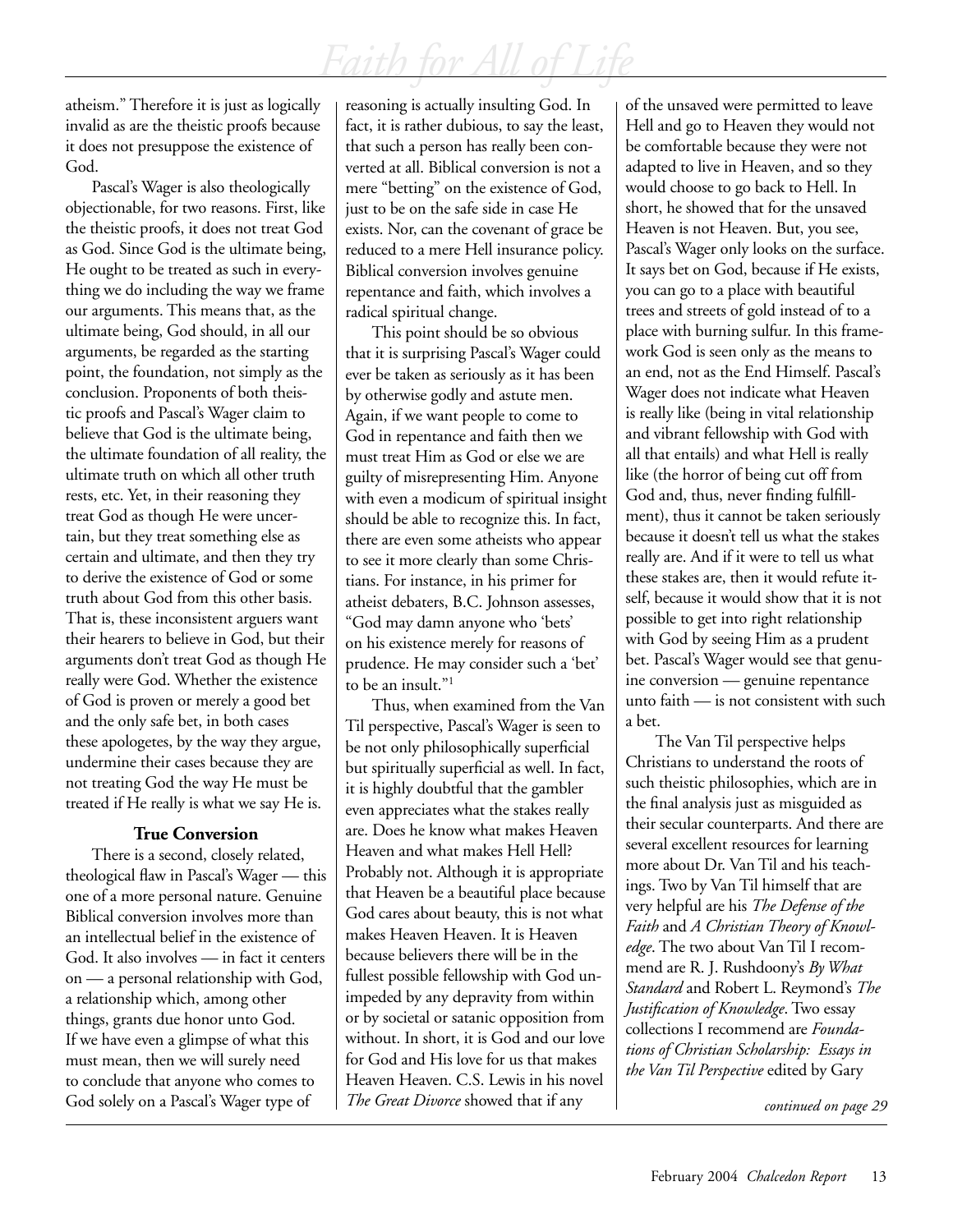atheism." Therefore it is just as logically invalid as are the theistic proofs because it does not presuppose the existence of God.

Pascal's Wager is also theologically objectionable, for two reasons. First, like the theistic proofs, it does not treat God as God. Since God is the ultimate being, He ought to be treated as such in everything we do including the way we frame our arguments. This means that, as the ultimate being, God should, in all our arguments, be regarded as the starting point, the foundation, not simply as the conclusion. Proponents of both theistic proofs and Pascal's Wager claim to believe that God is the ultimate being, the ultimate foundation of all reality, the ultimate truth on which all other truth rests, etc. Yet, in their reasoning they treat God as though He were uncertain, but they treat something else as certain and ultimate, and then they try to derive the existence of God or some truth about God from this other basis. That is, these inconsistent arguers want their hearers to believe in God, but their arguments don't treat God as though He really were God. Whether the existence of God is proven or merely a good bet and the only safe bet, in both cases these apologetes, by the way they argue, undermine their cases because they are not treating God the way He must be treated if He really is what we say He is.

### **True Conversion**

There is a second, closely related, theological flaw in Pascal's Wager — this one of a more personal nature. Genuine Biblical conversion involves more than an intellectual belief in the existence of God. It also involves — in fact it centers on — a personal relationship with God, a relationship which, among other things, grants due honor unto God. If we have even a glimpse of what this must mean, then we will surely need to conclude that anyone who comes to God solely on a Pascal's Wager type of

reasoning is actually insulting God. In fact, it is rather dubious, to say the least, that such a person has really been converted at all. Biblical conversion is not a mere "betting" on the existence of God, just to be on the safe side in case He exists. Nor, can the covenant of grace be reduced to a mere Hell insurance policy. Biblical conversion involves genuine repentance and faith, which involves a radical spiritual change.

This point should be so obvious that it is surprising Pascal's Wager could ever be taken as seriously as it has been by otherwise godly and astute men. Again, if we want people to come to God in repentance and faith then we must treat Him as God or else we are guilty of misrepresenting Him. Anyone with even a modicum of spiritual insight should be able to recognize this. In fact, there are even some atheists who appear to see it more clearly than some Christians. For instance, in his primer for atheist debaters, B.C. Johnson assesses, "God may damn anyone who 'bets' on his existence merely for reasons of prudence. He may consider such a 'bet' to be an insult."1

Thus, when examined from the Van Til perspective, Pascal's Wager is seen to be not only philosophically superficial but spiritually superficial as well. In fact, it is highly doubtful that the gambler even appreciates what the stakes really are. Does he know what makes Heaven Heaven and what makes Hell Hell? Probably not. Although it is appropriate that Heaven be a beautiful place because God cares about beauty, this is not what makes Heaven Heaven. It is Heaven because believers there will be in the fullest possible fellowship with God unimpeded by any depravity from within or by societal or satanic opposition from without. In short, it is God and our love for God and His love for us that makes Heaven Heaven. C.S. Lewis in his novel *The Great Divorce* showed that if any

of the unsaved were permitted to leave Hell and go to Heaven they would not be comfortable because they were not adapted to live in Heaven, and so they would choose to go back to Hell. In short, he showed that for the unsaved Heaven is not Heaven. But, you see, Pascal's Wager only looks on the surface. It says bet on God, because if He exists, you can go to a place with beautiful trees and streets of gold instead of to a place with burning sulfur. In this framework God is seen only as the means to an end, not as the End Himself. Pascal's Wager does not indicate what Heaven is really like (being in vital relationship and vibrant fellowship with God with all that entails) and what Hell is really like (the horror of being cut off from God and, thus, never finding fulfillment), thus it cannot be taken seriously because it doesn't tell us what the stakes really are. And if it were to tell us what these stakes are, then it would refute itself, because it would show that it is not possible to get into right relationship with God by seeing Him as a prudent bet. Pascal's Wager would see that genuine conversion — genuine repentance unto faith — is not consistent with such a bet.

 The Van Til perspective helps Christians to understand the roots of such theistic philosophies, which are in the final analysis just as misguided as their secular counterparts. And there are several excellent resources for learning more about Dr. Van Til and his teachings. Two by Van Til himself that are very helpful are his *The Defense of the Faith* and *A Christian Theory of Knowledge*. The two about Van Til I recommend are R. J. Rushdoony's *By What Standard* and Robert L. Reymond's *The Justification of Knowledge*. Two essay collections I recommend are *Foundations of Christian Scholarship: Essays in the Van Til Perspective* edited by Gary

*continued on page 29*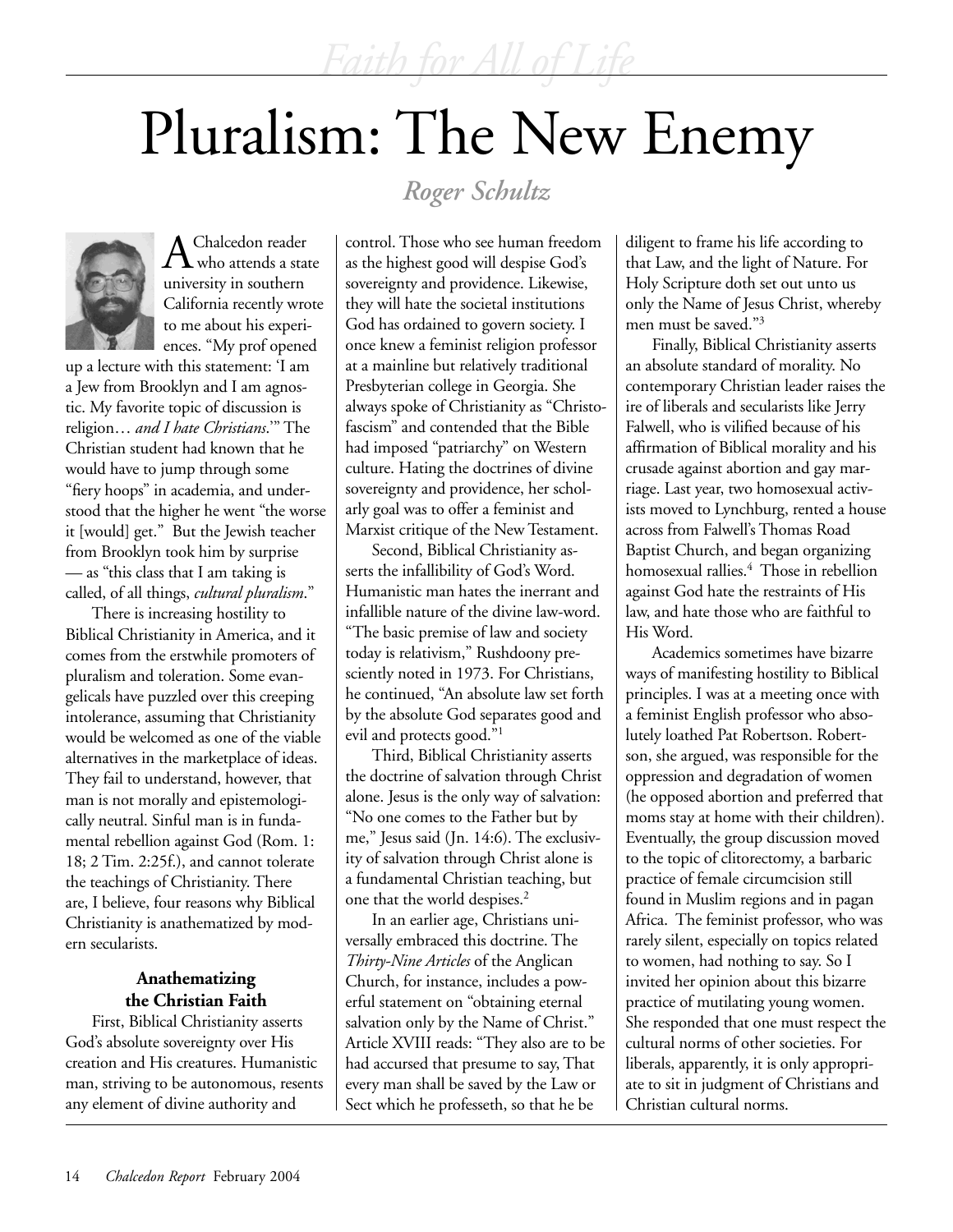# Pluralism: The New Enemy

## *Roger Schultz*



Chalcedon reader who attends a state university in southern California recently wrote to me about his experiences. "My prof opened

up a lecture with this statement: 'I am a Jew from Brooklyn and I am agnostic. My favorite topic of discussion is religion… *and I hate Christians*.'" The Christian student had known that he would have to jump through some "fiery hoops" in academia, and understood that the higher he went "the worse it [would] get." But the Jewish teacher from Brooklyn took him by surprise — as "this class that I am taking is called, of all things, *cultural pluralism*."

There is increasing hostility to Biblical Christianity in America, and it comes from the erstwhile promoters of pluralism and toleration. Some evangelicals have puzzled over this creeping intolerance, assuming that Christianity would be welcomed as one of the viable alternatives in the marketplace of ideas. They fail to understand, however, that man is not morally and epistemologically neutral. Sinful man is in fundamental rebellion against God (Rom. 1: 18; 2 Tim. 2:25f.), and cannot tolerate the teachings of Christianity. There are, I believe, four reasons why Biblical Christianity is anathematized by modern secularists.

## **Anathematizing the Christian Faith**

First, Biblical Christianity asserts God's absolute sovereignty over His creation and His creatures. Humanistic man, striving to be autonomous, resents any element of divine authority and

control. Those who see human freedom as the highest good will despise God's sovereignty and providence. Likewise, they will hate the societal institutions God has ordained to govern society. I once knew a feminist religion professor at a mainline but relatively traditional Presbyterian college in Georgia. She always spoke of Christianity as "Christofascism" and contended that the Bible had imposed "patriarchy" on Western culture. Hating the doctrines of divine sovereignty and providence, her scholarly goal was to offer a feminist and Marxist critique of the New Testament.

Second, Biblical Christianity asserts the infallibility of God's Word. Humanistic man hates the inerrant and infallible nature of the divine law-word. "The basic premise of law and society today is relativism," Rushdoony presciently noted in 1973. For Christians, he continued, "An absolute law set forth by the absolute God separates good and evil and protects good."1

Third, Biblical Christianity asserts the doctrine of salvation through Christ alone. Jesus is the only way of salvation: "No one comes to the Father but by me," Jesus said (Jn. 14:6). The exclusivity of salvation through Christ alone is a fundamental Christian teaching, but one that the world despises.<sup>2</sup>

In an earlier age, Christians universally embraced this doctrine. The *Thirty-Nine Articles* of the Anglican Church, for instance, includes a powerful statement on "obtaining eternal salvation only by the Name of Christ." Article XVIII reads: "They also are to be had accursed that presume to say, That every man shall be saved by the Law or Sect which he professeth, so that he be

diligent to frame his life according to that Law, and the light of Nature. For Holy Scripture doth set out unto us only the Name of Jesus Christ, whereby men must be saved."3

Finally, Biblical Christianity asserts an absolute standard of morality. No contemporary Christian leader raises the ire of liberals and secularists like Jerry Falwell, who is vilified because of his affirmation of Biblical morality and his crusade against abortion and gay marriage. Last year, two homosexual activists moved to Lynchburg, rented a house across from Falwell's Thomas Road Baptist Church, and began organizing homosexual rallies.4 Those in rebellion against God hate the restraints of His law, and hate those who are faithful to His Word.

Academics sometimes have bizarre ways of manifesting hostility to Biblical principles. I was at a meeting once with a feminist English professor who absolutely loathed Pat Robertson. Robertson, she argued, was responsible for the oppression and degradation of women (he opposed abortion and preferred that moms stay at home with their children). Eventually, the group discussion moved to the topic of clitorectomy, a barbaric practice of female circumcision still found in Muslim regions and in pagan Africa. The feminist professor, who was rarely silent, especially on topics related to women, had nothing to say. So I invited her opinion about this bizarre practice of mutilating young women. She responded that one must respect the cultural norms of other societies. For liberals, apparently, it is only appropriate to sit in judgment of Christians and Christian cultural norms.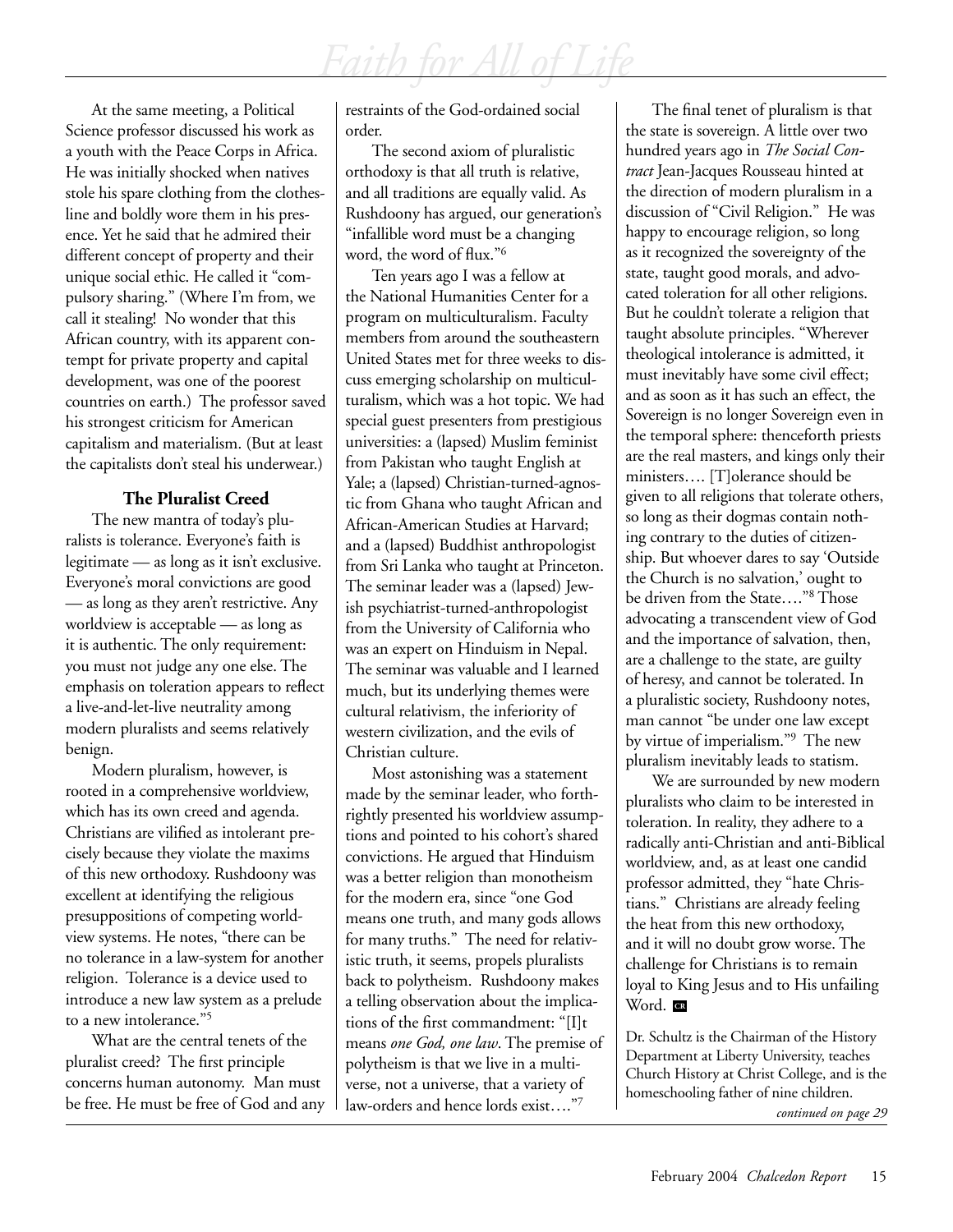At the same meeting, a Political Science professor discussed his work as a youth with the Peace Corps in Africa. He was initially shocked when natives stole his spare clothing from the clothesline and boldly wore them in his presence. Yet he said that he admired their different concept of property and their unique social ethic. He called it "compulsory sharing." (Where I'm from, we call it stealing! No wonder that this African country, with its apparent contempt for private property and capital development, was one of the poorest countries on earth.) The professor saved his strongest criticism for American capitalism and materialism. (But at least the capitalists don't steal his underwear.)

## **The Pluralist Creed**

The new mantra of today's pluralists is tolerance. Everyone's faith is legitimate — as long as it isn't exclusive. Everyone's moral convictions are good — as long as they aren't restrictive. Any worldview is acceptable — as long as it is authentic. The only requirement: you must not judge any one else. The emphasis on toleration appears to reflect a live-and-let-live neutrality among modern pluralists and seems relatively benign.

Modern pluralism, however, is rooted in a comprehensive worldview, which has its own creed and agenda. Christians are vilified as intolerant precisely because they violate the maxims of this new orthodoxy. Rushdoony was excellent at identifying the religious presuppositions of competing worldview systems. He notes, "there can be no tolerance in a law-system for another religion. Tolerance is a device used to introduce a new law system as a prelude to a new intolerance."5

What are the central tenets of the pluralist creed? The first principle concerns human autonomy. Man must be free. He must be free of God and any restraints of the God-ordained social order.

The second axiom of pluralistic orthodoxy is that all truth is relative, and all traditions are equally valid. As Rushdoony has argued, our generation's "infallible word must be a changing word, the word of flux."6

Ten years ago I was a fellow at the National Humanities Center for a program on multiculturalism. Faculty members from around the southeastern United States met for three weeks to discuss emerging scholarship on multiculturalism, which was a hot topic. We had special guest presenters from prestigious universities: a (lapsed) Muslim feminist from Pakistan who taught English at Yale; a (lapsed) Christian-turned-agnostic from Ghana who taught African and African-American Studies at Harvard; and a (lapsed) Buddhist anthropologist from Sri Lanka who taught at Princeton. The seminar leader was a (lapsed) Jewish psychiatrist-turned-anthropologist from the University of California who was an expert on Hinduism in Nepal. The seminar was valuable and I learned much, but its underlying themes were cultural relativism, the inferiority of western civilization, and the evils of Christian culture.

Most astonishing was a statement made by the seminar leader, who forthrightly presented his worldview assumptions and pointed to his cohort's shared convictions. He argued that Hinduism was a better religion than monotheism for the modern era, since "one God means one truth, and many gods allows for many truths." The need for relativistic truth, it seems, propels pluralists back to polytheism. Rushdoony makes a telling observation about the implications of the first commandment: "[I]t means *one God, one law*. The premise of polytheism is that we live in a multiverse, not a universe, that a variety of law-orders and hence lords exist…."7

The final tenet of pluralism is that the state is sovereign. A little over two hundred years ago in *The Social Contract* Jean-Jacques Rousseau hinted at the direction of modern pluralism in a discussion of "Civil Religion." He was happy to encourage religion, so long as it recognized the sovereignty of the state, taught good morals, and advocated toleration for all other religions. But he couldn't tolerate a religion that taught absolute principles. "Wherever theological intolerance is admitted, it must inevitably have some civil effect; and as soon as it has such an effect, the Sovereign is no longer Sovereign even in the temporal sphere: thenceforth priests are the real masters, and kings only their ministers…. [T]olerance should be given to all religions that tolerate others, so long as their dogmas contain nothing contrary to the duties of citizenship. But whoever dares to say 'Outside the Church is no salvation,' ought to be driven from the State…."8 Those advocating a transcendent view of God and the importance of salvation, then, are a challenge to the state, are guilty of heresy, and cannot be tolerated. In a pluralistic society, Rushdoony notes, man cannot "be under one law except by virtue of imperialism."9 The new pluralism inevitably leads to statism.

We are surrounded by new modern pluralists who claim to be interested in toleration. In reality, they adhere to a radically anti-Christian and anti-Biblical worldview, and, as at least one candid professor admitted, they "hate Christians." Christians are already feeling the heat from this new orthodoxy, and it will no doubt grow worse. The challenge for Christians is to remain loyal to King Jesus and to His unfailing Word. **CR** 

Dr. Schultz is the Chairman of the History Department at Liberty University, teaches Church History at Christ College, and is the homeschooling father of nine children.

*continued on page 29*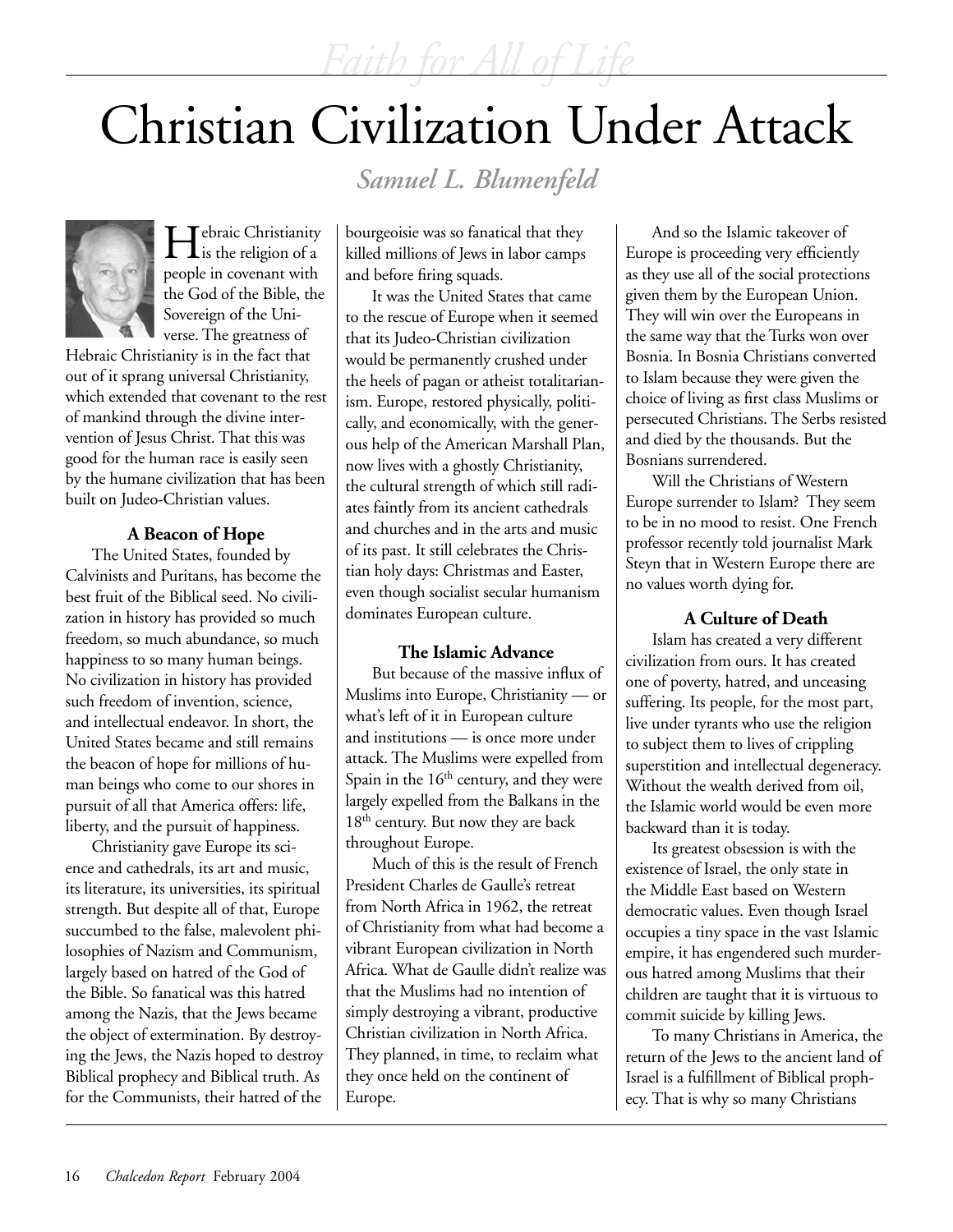# Christian Civilization Under Attack

*Samuel L. Blumenfeld*



Hebraic Christianity is the religion of a people in covenant with the God of the Bible, the Sovereign of the Universe. The greatness of

Hebraic Christianity is in the fact that out of it sprang universal Christianity, which extended that covenant to the rest of mankind through the divine intervention of Jesus Christ. That this was good for the human race is easily seen by the humane civilization that has been built on Judeo-Christian values.

## **A Beacon of Hope**

The United States, founded by Calvinists and Puritans, has become the best fruit of the Biblical seed. No civilization in history has provided so much freedom, so much abundance, so much happiness to so many human beings. No civilization in history has provided such freedom of invention, science, and intellectual endeavor. In short, the United States became and still remains the beacon of hope for millions of human beings who come to our shores in pursuit of all that America offers: life, liberty, and the pursuit of happiness.

Christianity gave Europe its science and cathedrals, its art and music, its literature, its universities, its spiritual strength. But despite all of that, Europe succumbed to the false, malevolent philosophies of Nazism and Communism, largely based on hatred of the God of the Bible. So fanatical was this hatred among the Nazis, that the Jews became the object of extermination. By destroying the Jews, the Nazis hoped to destroy Biblical prophecy and Biblical truth. As for the Communists, their hatred of the

bourgeoisie was so fanatical that they killed millions of Jews in labor camps and before firing squads.

It was the United States that came to the rescue of Europe when it seemed that its Judeo-Christian civilization would be permanently crushed under the heels of pagan or atheist totalitarianism. Europe, restored physically, politically, and economically, with the generous help of the American Marshall Plan, now lives with a ghostly Christianity, the cultural strength of which still radiates faintly from its ancient cathedrals and churches and in the arts and music of its past. It still celebrates the Christian holy days: Christmas and Easter, even though socialist secular humanism dominates European culture.

## **The Islamic Advance**

But because of the massive influx of Muslims into Europe, Christianity — or what's left of it in European culture and institutions — is once more under attack. The Muslims were expelled from Spain in the  $16<sup>th</sup>$  century, and they were largely expelled from the Balkans in the 18<sup>th</sup> century. But now they are back throughout Europe.

Much of this is the result of French President Charles de Gaulle's retreat from North Africa in 1962, the retreat of Christianity from what had become a vibrant European civilization in North Africa. What de Gaulle didn't realize was that the Muslims had no intention of simply destroying a vibrant, productive Christian civilization in North Africa. They planned, in time, to reclaim what they once held on the continent of Europe.

And so the Islamic takeover of Europe is proceeding very efficiently as they use all of the social protections given them by the European Union. They will win over the Europeans in the same way that the Turks won over Bosnia. In Bosnia Christians converted to Islam because they were given the choice of living as first class Muslims or persecuted Christians. The Serbs resisted and died by the thousands. But the Bosnians surrendered.

Will the Christians of Western Europe surrender to Islam? They seem to be in no mood to resist. One French professor recently told journalist Mark Steyn that in Western Europe there are no values worth dying for.

## **A Culture of Death**

Islam has created a very different civilization from ours. It has created one of poverty, hatred, and unceasing suffering. Its people, for the most part, live under tyrants who use the religion to subject them to lives of crippling superstition and intellectual degeneracy. Without the wealth derived from oil, the Islamic world would be even more backward than it is today.

Its greatest obsession is with the existence of Israel, the only state in the Middle East based on Western democratic values. Even though Israel occupies a tiny space in the vast Islamic empire, it has engendered such murderous hatred among Muslims that their children are taught that it is virtuous to commit suicide by killing Jews.

To many Christians in America, the return of the Jews to the ancient land of Israel is a fulfillment of Biblical prophecy. That is why so many Christians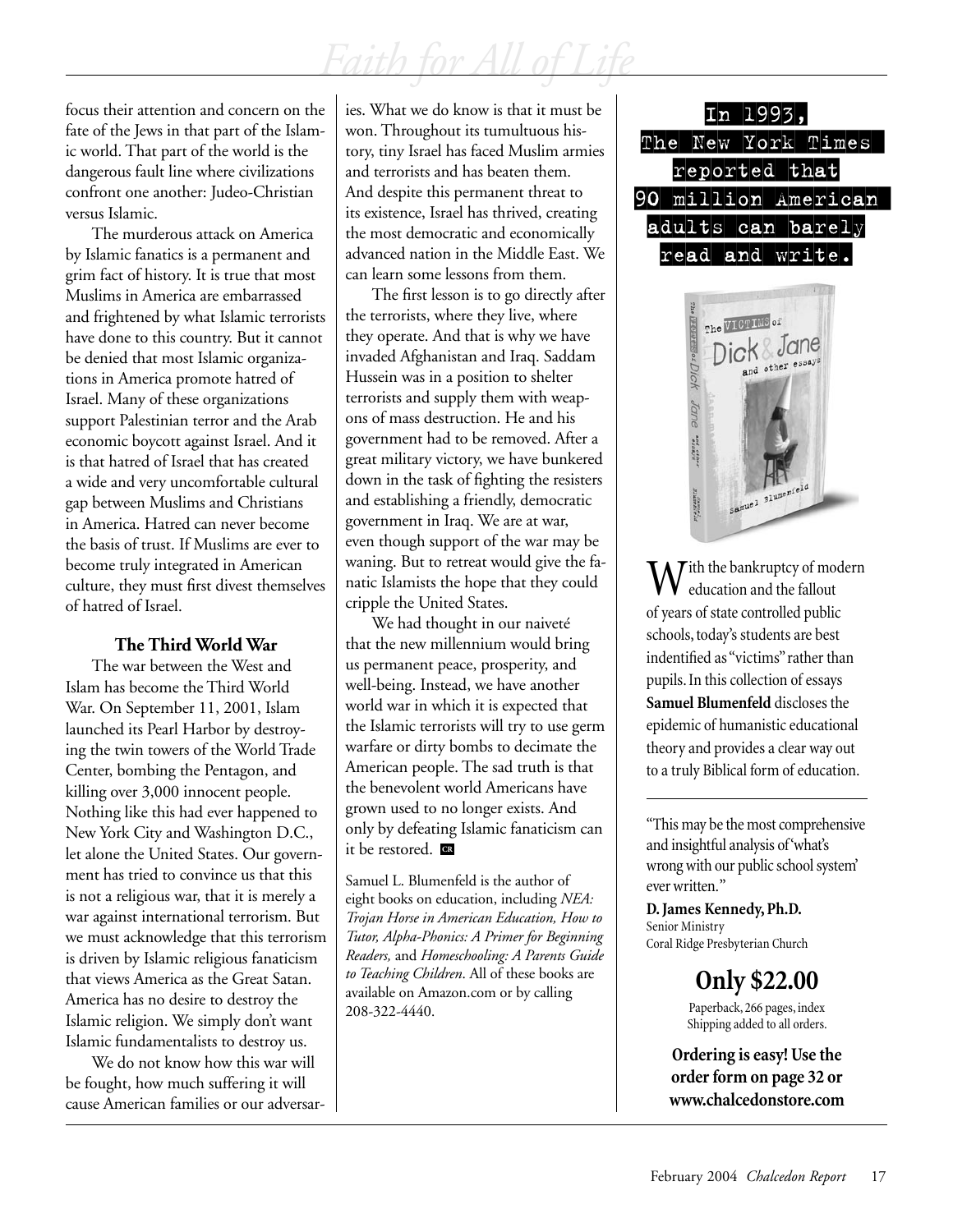focus their attention and concern on the fate of the Jews in that part of the Islamic world. That part of the world is the dangerous fault line where civilizations confront one another: Judeo-Christian versus Islamic.

The murderous attack on America by Islamic fanatics is a permanent and grim fact of history. It is true that most Muslims in America are embarrassed and frightened by what Islamic terrorists have done to this country. But it cannot be denied that most Islamic organizations in America promote hatred of Israel. Many of these organizations support Palestinian terror and the Arab economic boycott against Israel. And it is that hatred of Israel that has created a wide and very uncomfortable cultural gap between Muslims and Christians in America. Hatred can never become the basis of trust. If Muslims are ever to become truly integrated in American culture, they must first divest themselves of hatred of Israel.

## **The Third World War**

The war between the West and Islam has become the Third World War. On September 11, 2001, Islam launched its Pearl Harbor by destroying the twin towers of the World Trade Center, bombing the Pentagon, and killing over 3,000 innocent people. Nothing like this had ever happened to New York City and Washington D.C., let alone the United States. Our government has tried to convince us that this is not a religious war, that it is merely a war against international terrorism. But we must acknowledge that this terrorism is driven by Islamic religious fanaticism that views America as the Great Satan. America has no desire to destroy the Islamic religion. We simply don't want Islamic fundamentalists to destroy us.

We do not know how this war will be fought, how much suffering it will cause American families or our adversaries. What we do know is that it must be won. Throughout its tumultuous history, tiny Israel has faced Muslim armies and terrorists and has beaten them. And despite this permanent threat to its existence, Israel has thrived, creating the most democratic and economically advanced nation in the Middle East. We can learn some lessons from them.

The first lesson is to go directly after the terrorists, where they live, where they operate. And that is why we have invaded Afghanistan and Iraq. Saddam Hussein was in a position to shelter terrorists and supply them with weapons of mass destruction. He and his government had to be removed. After a great military victory, we have bunkered down in the task of fighting the resisters and establishing a friendly, democratic government in Iraq. We are at war, even though support of the war may be waning. But to retreat would give the fanatic Islamists the hope that they could cripple the United States.

We had thought in our naiveté that the new millennium would bring us permanent peace, prosperity, and well-being. Instead, we have another world war in which it is expected that the Islamic terrorists will try to use germ warfare or dirty bombs to decimate the American people. The sad truth is that the benevolent world Americans have grown used to no longer exists. And only by defeating Islamic fanaticism can it be restored. **CR**

Samuel L. Blumenfeld is the author of eight books on education, including *NEA: Trojan Horse in American Education, How to Tutor, Alpha-Phonics: A Primer for Beginning Readers,* and *Homeschooling: A Parents Guide to Teaching Children*. All of these books are available on Amazon.com or by calling 208-322-4440.





 $M^{\text{Jith}}$  the bankruptcy of modern education and the fallout of years of state controlled public schools, today's students are best indentified as "victims" rather than pupils. In this collection of essays **Samuel Blumenfeld** discloses the epidemic of humanistic educational theory and provides a clear way out to a truly Biblical form of education.

"This may be the most comprehensive and insightful analysis of 'what's wrong with our public school system' ever written. "

**D. James Kennedy, Ph.D.** Senior Ministry Coral Ridge Presbyterian Church

**Only \$22.00**

Paperback, 266 pages, index Shipping added to all orders.

**Ordering is easy! Use the order form on page 32 or www.chalcedonstore.com**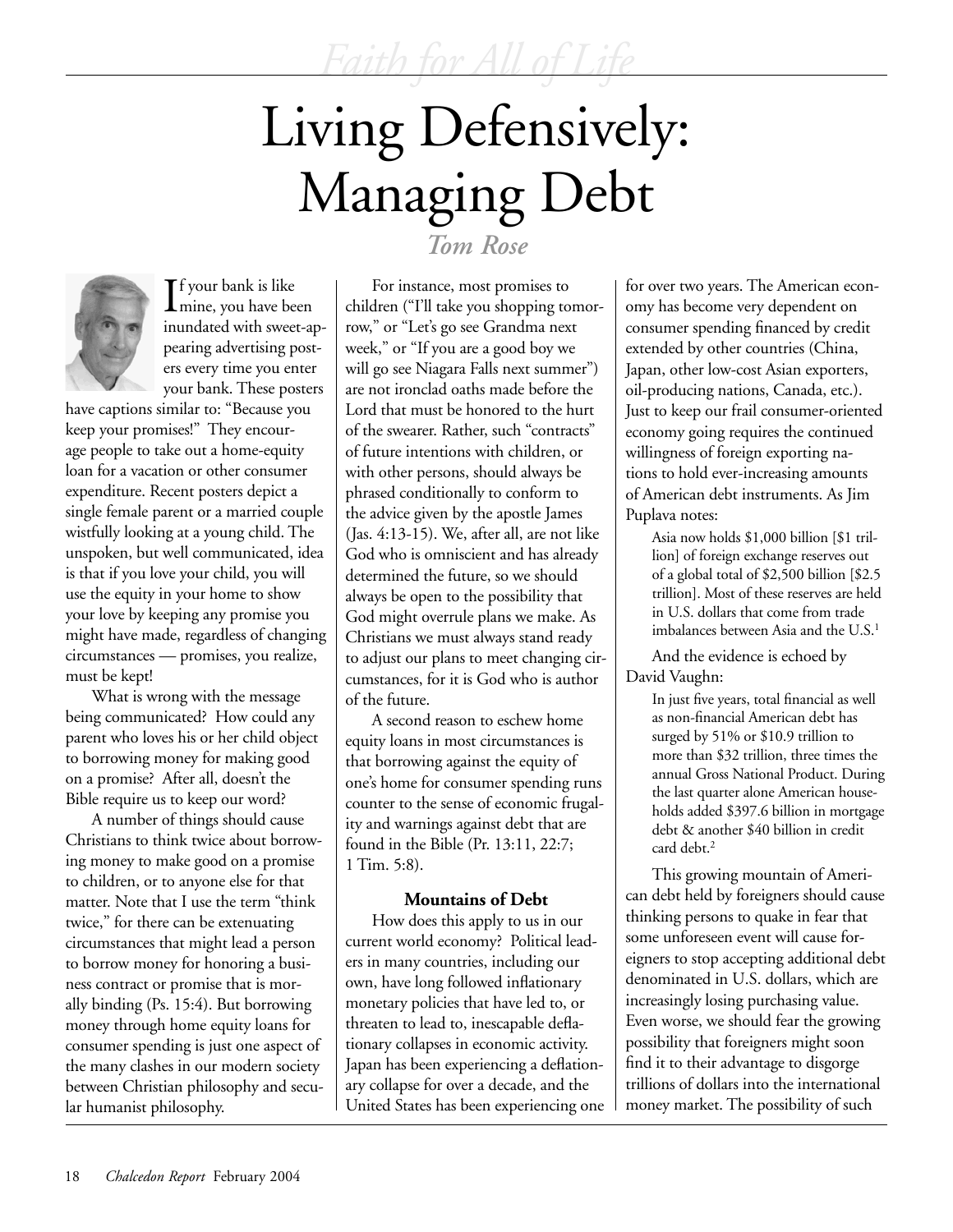# Living Defensively: Managing Debt



If your bank is like<br>mine, you have been mine, you have been inundated with sweet-appearing advertising posters every time you enter your bank. These posters

have captions similar to: "Because you keep your promises!" They encourage people to take out a home-equity loan for a vacation or other consumer expenditure. Recent posters depict a single female parent or a married couple wistfully looking at a young child. The unspoken, but well communicated, idea is that if you love your child, you will use the equity in your home to show your love by keeping any promise you might have made, regardless of changing circumstances — promises, you realize, must be kept!

What is wrong with the message being communicated? How could any parent who loves his or her child object to borrowing money for making good on a promise? After all, doesn't the Bible require us to keep our word?

A number of things should cause Christians to think twice about borrowing money to make good on a promise to children, or to anyone else for that matter. Note that I use the term "think twice," for there can be extenuating circumstances that might lead a person to borrow money for honoring a business contract or promise that is morally binding (Ps. 15:4). But borrowing money through home equity loans for consumer spending is just one aspect of the many clashes in our modern society between Christian philosophy and secular humanist philosophy.

## *Tom Rose*

For instance, most promises to children ("I'll take you shopping tomorrow," or "Let's go see Grandma next week," or "If you are a good boy we will go see Niagara Falls next summer") are not ironclad oaths made before the Lord that must be honored to the hurt of the swearer. Rather, such "contracts" of future intentions with children, or with other persons, should always be phrased conditionally to conform to the advice given by the apostle James (Jas. 4:13-15). We, after all, are not like God who is omniscient and has already determined the future, so we should always be open to the possibility that God might overrule plans we make. As Christians we must always stand ready to adjust our plans to meet changing circumstances, for it is God who is author of the future.

A second reason to eschew home equity loans in most circumstances is that borrowing against the equity of one's home for consumer spending runs counter to the sense of economic frugality and warnings against debt that are found in the Bible (Pr. 13:11, 22:7; 1 Tim. 5:8).

## **Mountains of Debt**

How does this apply to us in our current world economy? Political leaders in many countries, including our own, have long followed inflationary monetary policies that have led to, or threaten to lead to, inescapable deflationary collapses in economic activity. Japan has been experiencing a deflationary collapse for over a decade, and the United States has been experiencing one for over two years. The American economy has become very dependent on consumer spending financed by credit extended by other countries (China, Japan, other low-cost Asian exporters, oil-producing nations, Canada, etc.). Just to keep our frail consumer-oriented economy going requires the continued willingness of foreign exporting nations to hold ever-increasing amounts of American debt instruments. As Jim Puplava notes:

Asia now holds \$1,000 billion [\$1 trillion] of foreign exchange reserves out of a global total of \$2,500 billion [\$2.5 trillion]. Most of these reserves are held in U.S. dollars that come from trade imbalances between Asia and the U.S.<sup>1</sup>

And the evidence is echoed by David Vaughn:

> In just five years, total financial as well as non-financial American debt has surged by 51% or \$10.9 trillion to more than \$32 trillion, three times the annual Gross National Product. During the last quarter alone American households added \$397.6 billion in mortgage debt & another \$40 billion in credit card debt.2

This growing mountain of American debt held by foreigners should cause thinking persons to quake in fear that some unforeseen event will cause foreigners to stop accepting additional debt denominated in U.S. dollars, which are increasingly losing purchasing value. Even worse, we should fear the growing possibility that foreigners might soon find it to their advantage to disgorge trillions of dollars into the international money market. The possibility of such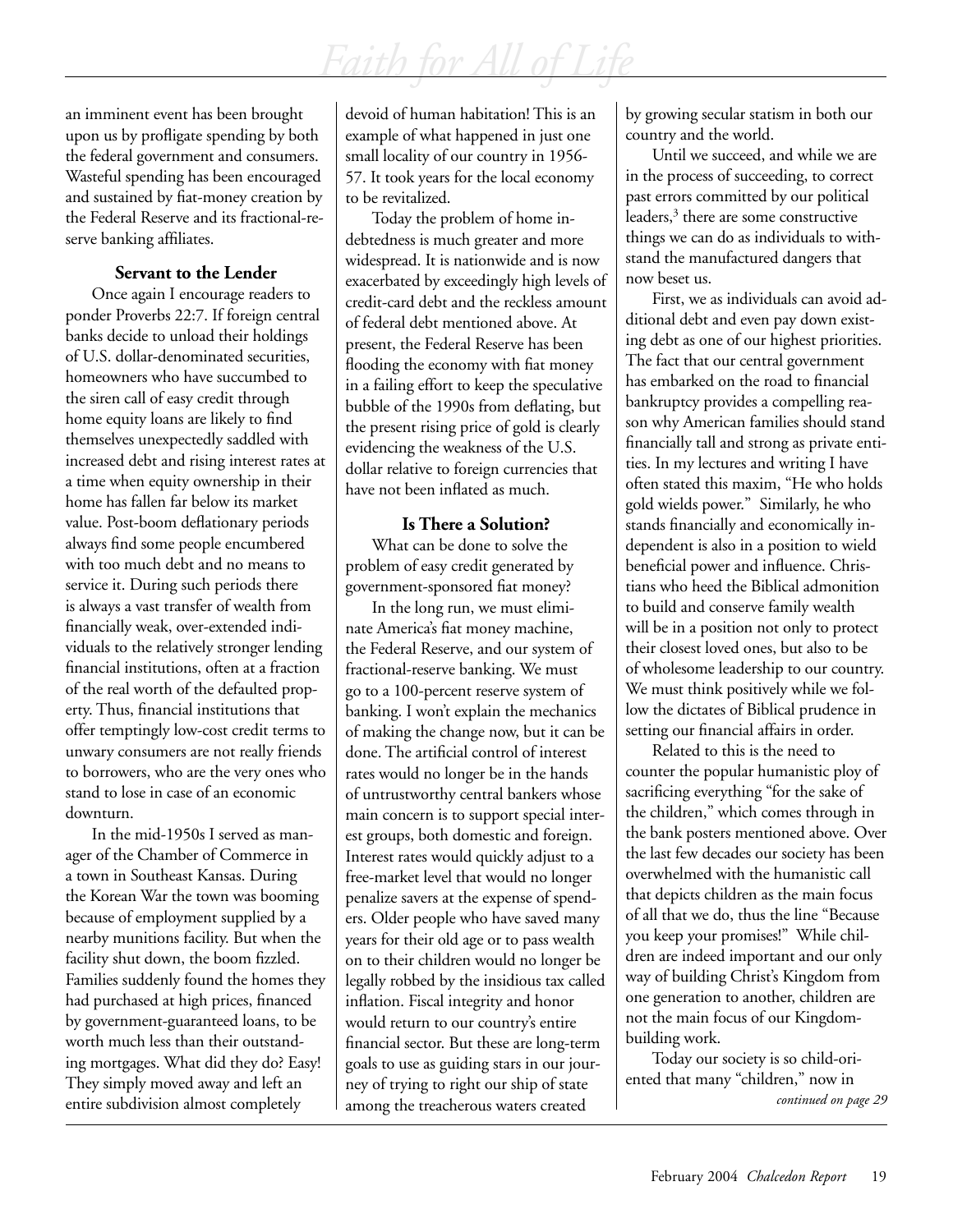an imminent event has been brought upon us by profligate spending by both the federal government and consumers. Wasteful spending has been encouraged and sustained by fiat-money creation by the Federal Reserve and its fractional-reserve banking affiliates.

## **Servant to the Lender**

Once again I encourage readers to ponder Proverbs 22:7. If foreign central banks decide to unload their holdings of U.S. dollar-denominated securities, homeowners who have succumbed to the siren call of easy credit through home equity loans are likely to find themselves unexpectedly saddled with increased debt and rising interest rates at a time when equity ownership in their home has fallen far below its market value. Post-boom deflationary periods always find some people encumbered with too much debt and no means to service it. During such periods there is always a vast transfer of wealth from financially weak, over-extended individuals to the relatively stronger lending financial institutions, often at a fraction of the real worth of the defaulted property. Thus, financial institutions that offer temptingly low-cost credit terms to unwary consumers are not really friends to borrowers, who are the very ones who stand to lose in case of an economic downturn.

In the mid-1950s I served as manager of the Chamber of Commerce in a town in Southeast Kansas. During the Korean War the town was booming because of employment supplied by a nearby munitions facility. But when the facility shut down, the boom fizzled. Families suddenly found the homes they had purchased at high prices, financed by government-guaranteed loans, to be worth much less than their outstanding mortgages. What did they do? Easy! They simply moved away and left an entire subdivision almost completely

devoid of human habitation! This is an example of what happened in just one small locality of our country in 1956- 57. It took years for the local economy to be revitalized.

Today the problem of home indebtedness is much greater and more widespread. It is nationwide and is now exacerbated by exceedingly high levels of credit-card debt and the reckless amount of federal debt mentioned above. At present, the Federal Reserve has been flooding the economy with fiat money in a failing effort to keep the speculative bubble of the 1990s from deflating, but the present rising price of gold is clearly evidencing the weakness of the U.S. dollar relative to foreign currencies that have not been inflated as much.

## **Is There a Solution?**

What can be done to solve the problem of easy credit generated by government-sponsored fiat money?

In the long run, we must eliminate America's fiat money machine, the Federal Reserve, and our system of fractional-reserve banking. We must go to a 100-percent reserve system of banking. I won't explain the mechanics of making the change now, but it can be done. The artificial control of interest rates would no longer be in the hands of untrustworthy central bankers whose main concern is to support special interest groups, both domestic and foreign. Interest rates would quickly adjust to a free-market level that would no longer penalize savers at the expense of spenders. Older people who have saved many years for their old age or to pass wealth on to their children would no longer be legally robbed by the insidious tax called inflation. Fiscal integrity and honor would return to our country's entire financial sector. But these are long-term goals to use as guiding stars in our journey of trying to right our ship of state among the treacherous waters created

by growing secular statism in both our country and the world.

Until we succeed, and while we are in the process of succeeding, to correct past errors committed by our political leaders,<sup>3</sup> there are some constructive things we can do as individuals to withstand the manufactured dangers that now beset us.

First, we as individuals can avoid additional debt and even pay down existing debt as one of our highest priorities. The fact that our central government has embarked on the road to financial bankruptcy provides a compelling reason why American families should stand financially tall and strong as private entities. In my lectures and writing I have often stated this maxim, "He who holds gold wields power." Similarly, he who stands financially and economically independent is also in a position to wield beneficial power and influence. Christians who heed the Biblical admonition to build and conserve family wealth will be in a position not only to protect their closest loved ones, but also to be of wholesome leadership to our country. We must think positively while we follow the dictates of Biblical prudence in setting our financial affairs in order.

Related to this is the need to counter the popular humanistic ploy of sacrificing everything "for the sake of the children," which comes through in the bank posters mentioned above. Over the last few decades our society has been overwhelmed with the humanistic call that depicts children as the main focus of all that we do, thus the line "Because you keep your promises!" While children are indeed important and our only way of building Christ's Kingdom from one generation to another, children are not the main focus of our Kingdombuilding work.

Today our society is so child-oriented that many "children," now in *continued on page 29*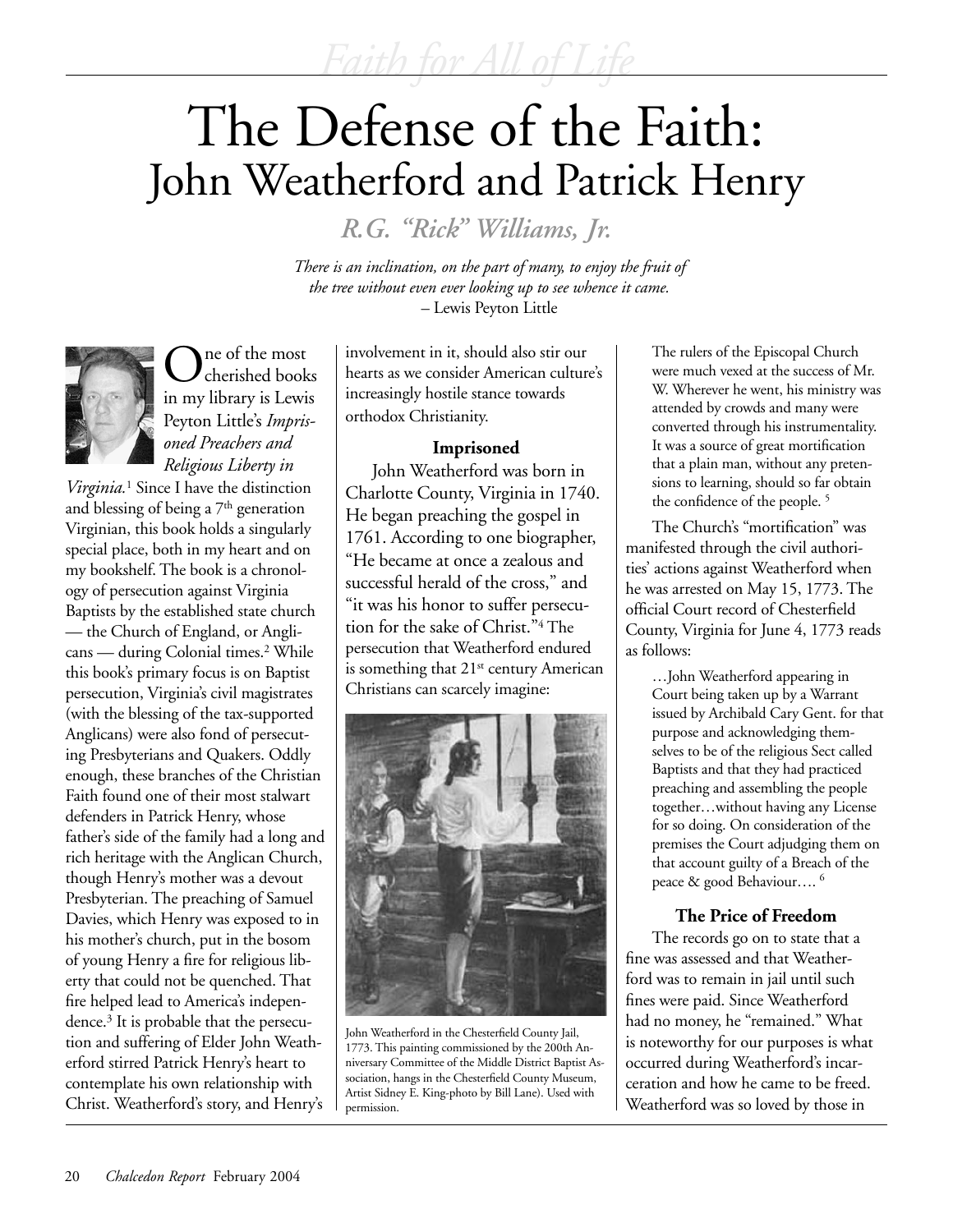# The Defense of the Faith: John Weatherford and Patrick Henry

*R.G. "Rick" Williams, Jr.*

*There is an inclination, on the part of many, to enjoy the fruit of the tree without even ever looking up to see whence it came.* – Lewis Peyton Little



ne of the most cherished books in my library is Lewis Peyton Little's *Imprisoned Preachers and Religious Liberty in* 

*Virginia.*<sup>1</sup> Since I have the distinction and blessing of being a 7<sup>th</sup> generation Virginian, this book holds a singularly special place, both in my heart and on my bookshelf. The book is a chronology of persecution against Virginia Baptists by the established state church — the Church of England, or Anglicans — during Colonial times.<sup>2</sup> While this book's primary focus is on Baptist persecution, Virginia's civil magistrates (with the blessing of the tax-supported Anglicans) were also fond of persecuting Presbyterians and Quakers. Oddly enough, these branches of the Christian Faith found one of their most stalwart defenders in Patrick Henry, whose father's side of the family had a long and rich heritage with the Anglican Church, though Henry's mother was a devout Presbyterian. The preaching of Samuel Davies, which Henry was exposed to in his mother's church, put in the bosom of young Henry a fire for religious liberty that could not be quenched. That fire helped lead to America's independence.3 It is probable that the persecution and suffering of Elder John Weatherford stirred Patrick Henry's heart to contemplate his own relationship with Christ. Weatherford's story, and Henry's involvement in it, should also stir our hearts as we consider American culture's increasingly hostile stance towards orthodox Christianity.

## **Imprisoned**

John Weatherford was born in Charlotte County, Virginia in 1740. He began preaching the gospel in 1761. According to one biographer, "He became at once a zealous and successful herald of the cross," and "it was his honor to suffer persecution for the sake of Christ."4 The persecution that Weatherford endured is something that  $21<sup>st</sup>$  century American Christians can scarcely imagine:



John Weatherford in the Chesterfield County Jail, 1773. This painting commissioned by the 200th Anniversary Committee of the Middle District Baptist Association, hangs in the Chesterfield County Museum, Artist Sidney E. King-photo by Bill Lane). Used with permission.

The rulers of the Episcopal Church were much vexed at the success of Mr. W. Wherever he went, his ministry was attended by crowds and many were converted through his instrumentality. It was a source of great mortification that a plain man, without any pretensions to learning, should so far obtain the confidence of the people. 5

The Church's "mortification" was manifested through the civil authorities' actions against Weatherford when he was arrested on May 15, 1773. The official Court record of Chesterfield County, Virginia for June 4, 1773 reads as follows:

…John Weatherford appearing in Court being taken up by a Warrant issued by Archibald Cary Gent. for that purpose and acknowledging themselves to be of the religious Sect called Baptists and that they had practiced preaching and assembling the people together…without having any License for so doing. On consideration of the premises the Court adjudging them on that account guilty of a Breach of the peace & good Behaviour…. 6

## **The Price of Freedom**

The records go on to state that a fine was assessed and that Weatherford was to remain in jail until such fines were paid. Since Weatherford had no money, he "remained." What is noteworthy for our purposes is what occurred during Weatherford's incarceration and how he came to be freed. Weatherford was so loved by those in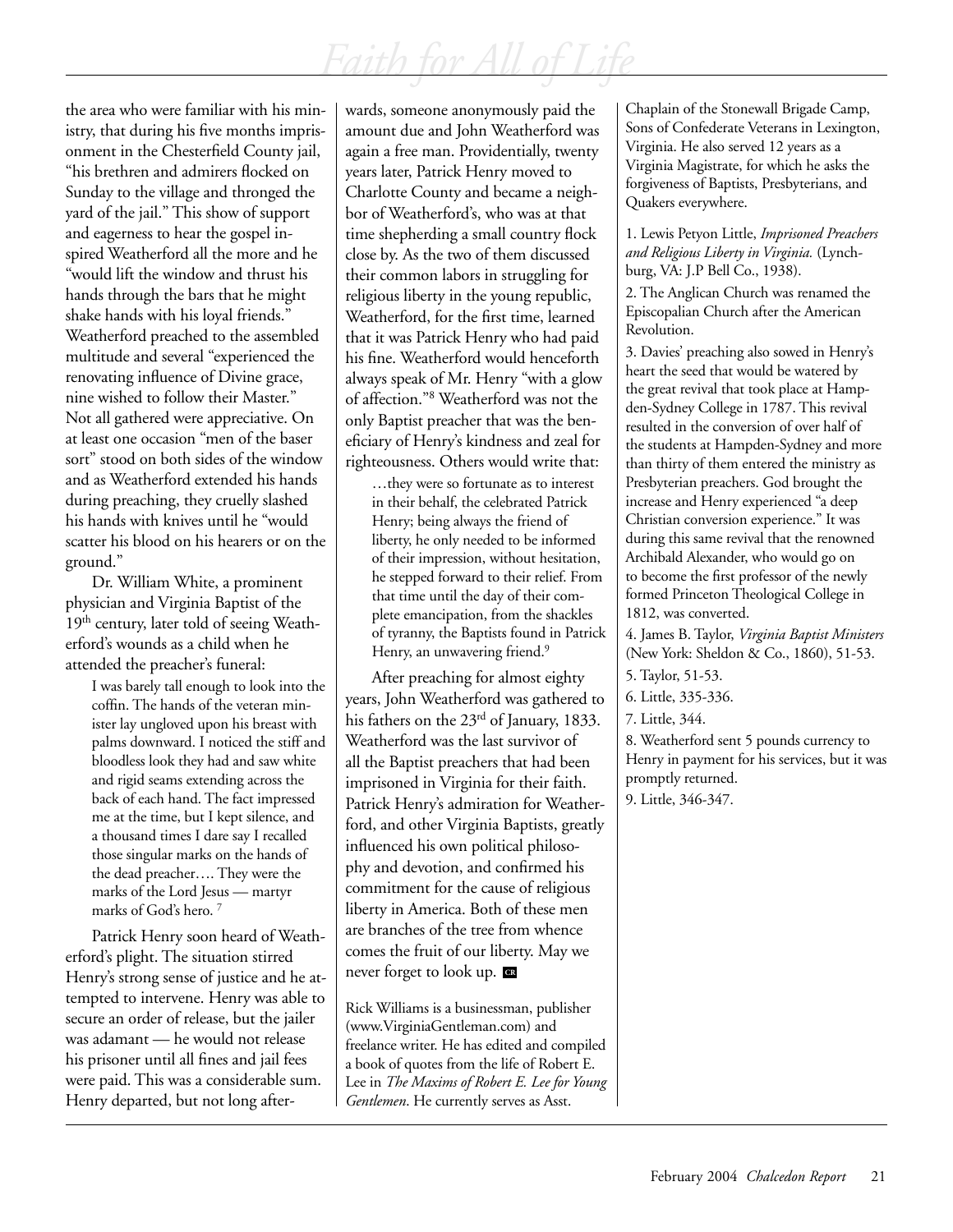the area who were familiar with his ministry, that during his five months imprisonment in the Chesterfield County jail, "his brethren and admirers flocked on Sunday to the village and thronged the yard of the jail." This show of support and eagerness to hear the gospel inspired Weatherford all the more and he "would lift the window and thrust his hands through the bars that he might shake hands with his loyal friends." Weatherford preached to the assembled multitude and several "experienced the renovating influence of Divine grace, nine wished to follow their Master." Not all gathered were appreciative. On at least one occasion "men of the baser sort" stood on both sides of the window and as Weatherford extended his hands during preaching, they cruelly slashed his hands with knives until he "would scatter his blood on his hearers or on the ground."

Dr. William White, a prominent physician and Virginia Baptist of the 19<sup>th</sup> century, later told of seeing Weatherford's wounds as a child when he attended the preacher's funeral:

> I was barely tall enough to look into the coffin. The hands of the veteran minister lay ungloved upon his breast with palms downward. I noticed the stiff and bloodless look they had and saw white and rigid seams extending across the back of each hand. The fact impressed me at the time, but I kept silence, and a thousand times I dare say I recalled those singular marks on the hands of the dead preacher…. They were the marks of the Lord Jesus — martyr marks of God's hero. 7

Patrick Henry soon heard of Weatherford's plight. The situation stirred Henry's strong sense of justice and he attempted to intervene. Henry was able to secure an order of release, but the jailer was adamant — he would not release his prisoner until all fines and jail fees were paid. This was a considerable sum. Henry departed, but not long afterwards, someone anonymously paid the amount due and John Weatherford was again a free man. Providentially, twenty years later, Patrick Henry moved to Charlotte County and became a neighbor of Weatherford's, who was at that time shepherding a small country flock close by. As the two of them discussed their common labors in struggling for religious liberty in the young republic, Weatherford, for the first time, learned that it was Patrick Henry who had paid his fine. Weatherford would henceforth always speak of Mr. Henry "with a glow of affection."8 Weatherford was not the only Baptist preacher that was the beneficiary of Henry's kindness and zeal for righteousness. Others would write that:

…they were so fortunate as to interest in their behalf, the celebrated Patrick Henry; being always the friend of liberty, he only needed to be informed of their impression, without hesitation, he stepped forward to their relief. From that time until the day of their complete emancipation, from the shackles of tyranny, the Baptists found in Patrick Henry, an unwavering friend.<sup>9</sup>

After preaching for almost eighty years, John Weatherford was gathered to his fathers on the 23<sup>rd</sup> of January, 1833. Weatherford was the last survivor of all the Baptist preachers that had been imprisoned in Virginia for their faith. Patrick Henry's admiration for Weatherford, and other Virginia Baptists, greatly influenced his own political philosophy and devotion, and confirmed his commitment for the cause of religious liberty in America. Both of these men are branches of the tree from whence comes the fruit of our liberty. May we never forget to look up. **CR**

Rick Williams is a businessman, publisher (www.VirginiaGentleman.com) and freelance writer. He has edited and compiled a book of quotes from the life of Robert E. Lee in *The Maxims of Robert E. Lee for Young Gentlemen*. He currently serves as Asst.

Chaplain of the Stonewall Brigade Camp, Sons of Confederate Veterans in Lexington, Virginia. He also served 12 years as a Virginia Magistrate, for which he asks the forgiveness of Baptists, Presbyterians, and Quakers everywhere.

1. Lewis Petyon Little, *Imprisoned Preachers and Religious Liberty in Virginia.* (Lynchburg, VA: J.P Bell Co., 1938).

2. The Anglican Church was renamed the Episcopalian Church after the American Revolution.

3. Davies' preaching also sowed in Henry's heart the seed that would be watered by the great revival that took place at Hampden-Sydney College in 1787. This revival resulted in the conversion of over half of the students at Hampden-Sydney and more than thirty of them entered the ministry as Presbyterian preachers. God brought the increase and Henry experienced "a deep Christian conversion experience." It was during this same revival that the renowned Archibald Alexander, who would go on to become the first professor of the newly formed Princeton Theological College in 1812, was converted.

4. James B. Taylor, *Virginia Baptist Ministers*  (New York: Sheldon & Co., 1860), 51-53.

6. Little, 335-336.

8. Weatherford sent 5 pounds currency to Henry in payment for his services, but it was promptly returned.

9. Little, 346-347.

<sup>5.</sup> Taylor, 51-53.

<sup>7.</sup> Little, 344.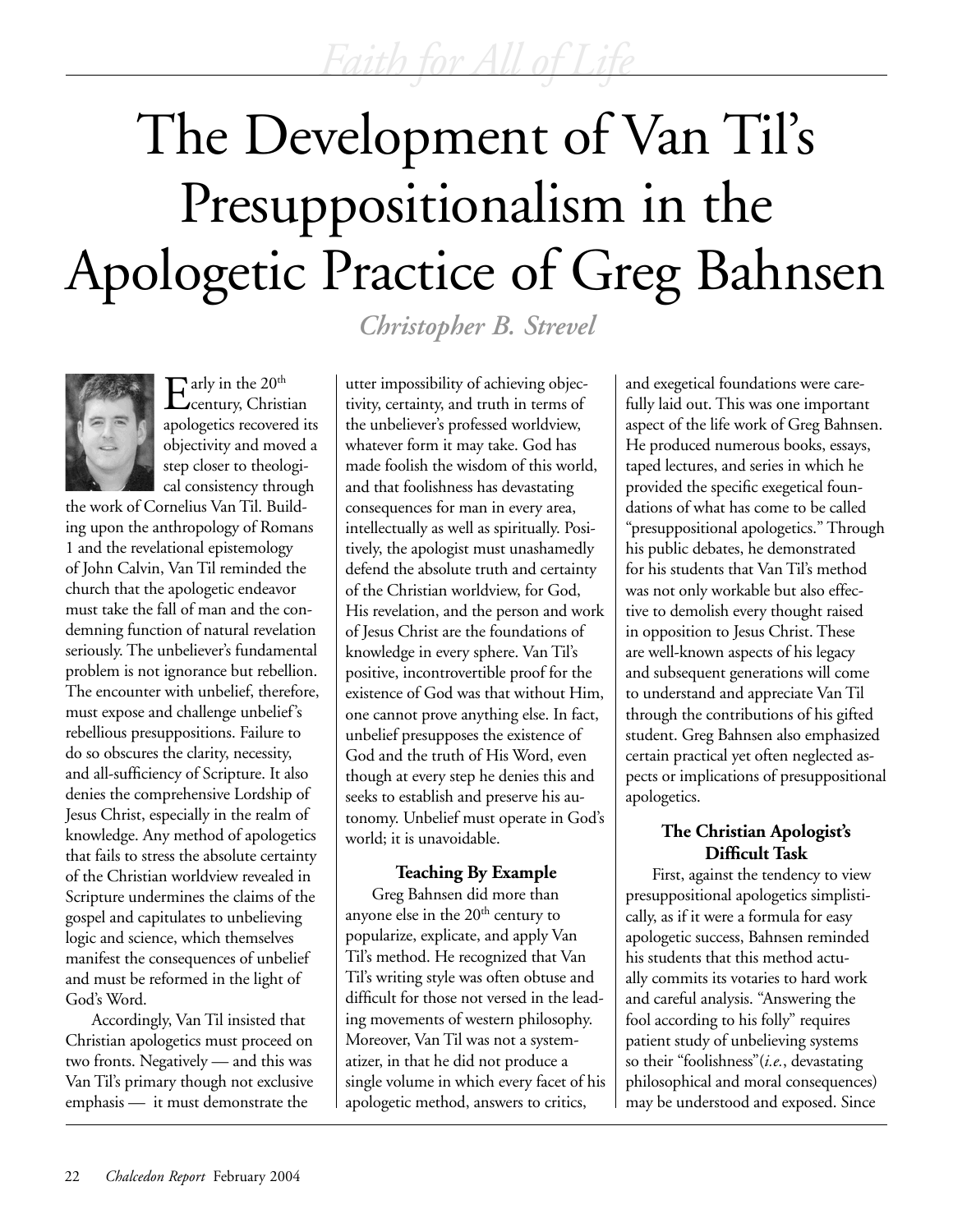# The Development of Van Til's Presuppositionalism in the Apologetic Practice of Greg Bahnsen

*Christopher B. Strevel*



 $\mathrm{E}^\mathrm{arly\,in\,the\,20^{th}}_\mathrm{century,\,Christian}$ apologetics recovered its objectivity and moved a step closer to theological consistency through

the work of Cornelius Van Til. Building upon the anthropology of Romans 1 and the revelational epistemology of John Calvin, Van Til reminded the church that the apologetic endeavor must take the fall of man and the condemning function of natural revelation seriously. The unbeliever's fundamental problem is not ignorance but rebellion. The encounter with unbelief, therefore, must expose and challenge unbelief's rebellious presuppositions. Failure to do so obscures the clarity, necessity, and all-sufficiency of Scripture. It also denies the comprehensive Lordship of Jesus Christ, especially in the realm of knowledge. Any method of apologetics that fails to stress the absolute certainty of the Christian worldview revealed in Scripture undermines the claims of the gospel and capitulates to unbelieving logic and science, which themselves manifest the consequences of unbelief and must be reformed in the light of God's Word.

Accordingly, Van Til insisted that Christian apologetics must proceed on two fronts. Negatively — and this was Van Til's primary though not exclusive emphasis — it must demonstrate the

utter impossibility of achieving objectivity, certainty, and truth in terms of the unbeliever's professed worldview, whatever form it may take. God has made foolish the wisdom of this world, and that foolishness has devastating consequences for man in every area, intellectually as well as spiritually. Positively, the apologist must unashamedly defend the absolute truth and certainty of the Christian worldview, for God, His revelation, and the person and work of Jesus Christ are the foundations of knowledge in every sphere. Van Til's positive, incontrovertible proof for the existence of God was that without Him, one cannot prove anything else. In fact, unbelief presupposes the existence of God and the truth of His Word, even though at every step he denies this and seeks to establish and preserve his autonomy. Unbelief must operate in God's world; it is unavoidable.

## **Teaching By Example**

Greg Bahnsen did more than anyone else in the 20<sup>th</sup> century to popularize, explicate, and apply Van Til's method. He recognized that Van Til's writing style was often obtuse and difficult for those not versed in the leading movements of western philosophy. Moreover, Van Til was not a systematizer, in that he did not produce a single volume in which every facet of his apologetic method, answers to critics,

and exegetical foundations were carefully laid out. This was one important aspect of the life work of Greg Bahnsen. He produced numerous books, essays, taped lectures, and series in which he provided the specific exegetical foundations of what has come to be called "presuppositional apologetics." Through his public debates, he demonstrated for his students that Van Til's method was not only workable but also effective to demolish every thought raised in opposition to Jesus Christ. These are well-known aspects of his legacy and subsequent generations will come to understand and appreciate Van Til through the contributions of his gifted student. Greg Bahnsen also emphasized certain practical yet often neglected aspects or implications of presuppositional apologetics.

## **The Christian Apologist's Difficult Task**

First, against the tendency to view presuppositional apologetics simplistically, as if it were a formula for easy apologetic success, Bahnsen reminded his students that this method actually commits its votaries to hard work and careful analysis. "Answering the fool according to his folly" requires patient study of unbelieving systems so their "foolishness"(*i.e.*, devastating philosophical and moral consequences) may be understood and exposed. Since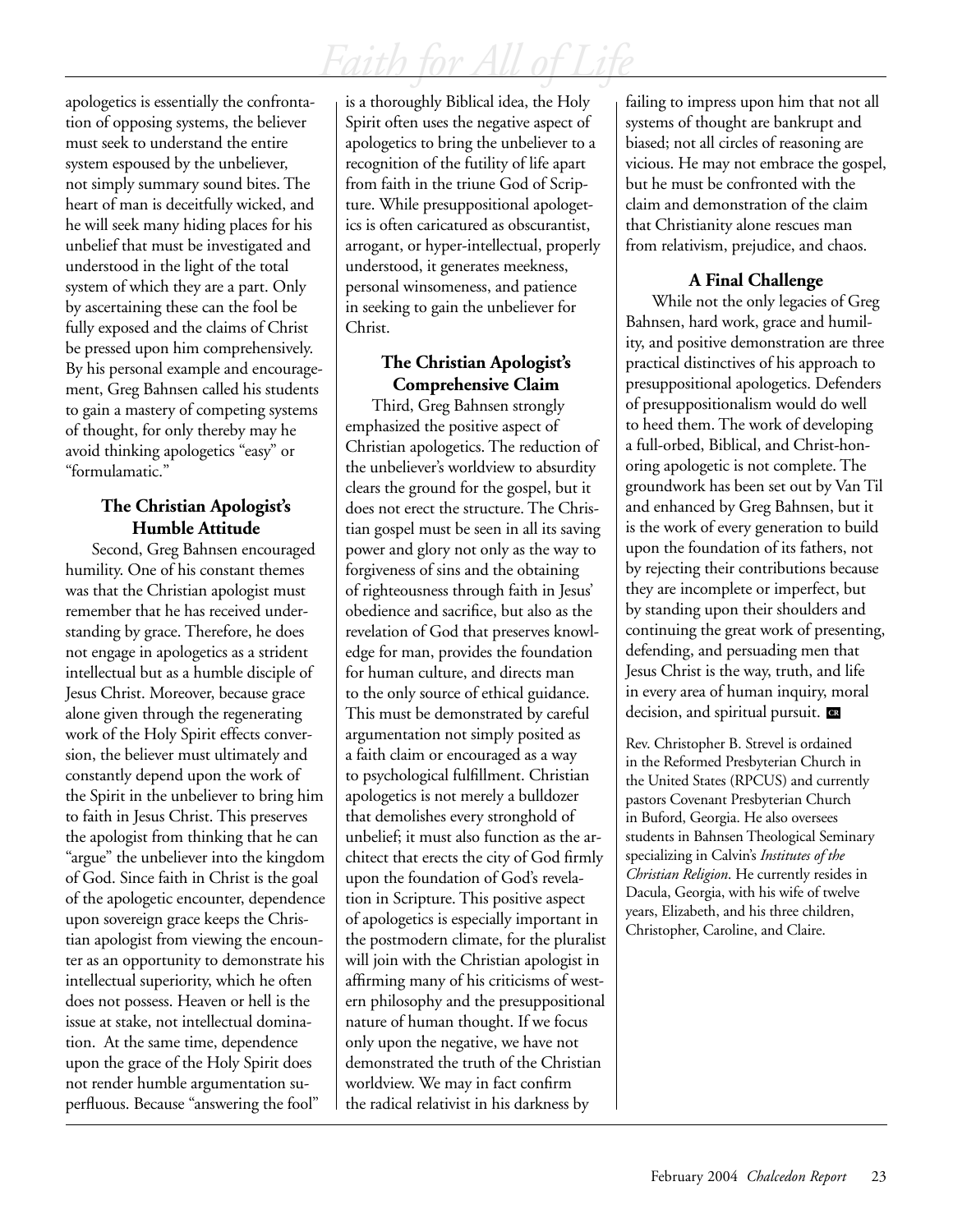apologetics is essentially the confrontation of opposing systems, the believer must seek to understand the entire system espoused by the unbeliever, not simply summary sound bites. The heart of man is deceitfully wicked, and he will seek many hiding places for his unbelief that must be investigated and understood in the light of the total system of which they are a part. Only by ascertaining these can the fool be fully exposed and the claims of Christ be pressed upon him comprehensively. By his personal example and encouragement, Greg Bahnsen called his students to gain a mastery of competing systems of thought, for only thereby may he avoid thinking apologetics "easy" or "formulamatic."

## **The Christian Apologist's Humble Attitude**

Second, Greg Bahnsen encouraged humility. One of his constant themes was that the Christian apologist must remember that he has received understanding by grace. Therefore, he does not engage in apologetics as a strident intellectual but as a humble disciple of Jesus Christ. Moreover, because grace alone given through the regenerating work of the Holy Spirit effects conversion, the believer must ultimately and constantly depend upon the work of the Spirit in the unbeliever to bring him to faith in Jesus Christ. This preserves the apologist from thinking that he can "argue" the unbeliever into the kingdom of God. Since faith in Christ is the goal of the apologetic encounter, dependence upon sovereign grace keeps the Christian apologist from viewing the encounter as an opportunity to demonstrate his intellectual superiority, which he often does not possess. Heaven or hell is the issue at stake, not intellectual domination. At the same time, dependence upon the grace of the Holy Spirit does not render humble argumentation superfluous. Because "answering the fool"

is a thoroughly Biblical idea, the Holy Spirit often uses the negative aspect of apologetics to bring the unbeliever to a recognition of the futility of life apart from faith in the triune God of Scripture. While presuppositional apologetics is often caricatured as obscurantist, arrogant, or hyper-intellectual, properly understood, it generates meekness, personal winsomeness, and patience in seeking to gain the unbeliever for Christ.

## **The Christian Apologist's Comprehensive Claim**

Third, Greg Bahnsen strongly emphasized the positive aspect of Christian apologetics. The reduction of the unbeliever's worldview to absurdity clears the ground for the gospel, but it does not erect the structure. The Christian gospel must be seen in all its saving power and glory not only as the way to forgiveness of sins and the obtaining of righteousness through faith in Jesus' obedience and sacrifice, but also as the revelation of God that preserves knowledge for man, provides the foundation for human culture, and directs man to the only source of ethical guidance. This must be demonstrated by careful argumentation not simply posited as a faith claim or encouraged as a way to psychological fulfillment. Christian apologetics is not merely a bulldozer that demolishes every stronghold of unbelief; it must also function as the architect that erects the city of God firmly upon the foundation of God's revelation in Scripture. This positive aspect of apologetics is especially important in the postmodern climate, for the pluralist will join with the Christian apologist in affirming many of his criticisms of western philosophy and the presuppositional nature of human thought. If we focus only upon the negative, we have not demonstrated the truth of the Christian worldview. We may in fact confirm the radical relativist in his darkness by

failing to impress upon him that not all systems of thought are bankrupt and biased; not all circles of reasoning are vicious. He may not embrace the gospel, but he must be confronted with the claim and demonstration of the claim that Christianity alone rescues man from relativism, prejudice, and chaos.

## **A Final Challenge**

While not the only legacies of Greg Bahnsen, hard work, grace and humility, and positive demonstration are three practical distinctives of his approach to presuppositional apologetics. Defenders of presuppositionalism would do well to heed them. The work of developing a full-orbed, Biblical, and Christ-honoring apologetic is not complete. The groundwork has been set out by Van Til and enhanced by Greg Bahnsen, but it is the work of every generation to build upon the foundation of its fathers, not by rejecting their contributions because they are incomplete or imperfect, but by standing upon their shoulders and continuing the great work of presenting, defending, and persuading men that Jesus Christ is the way, truth, and life in every area of human inquiry, moral decision, and spiritual pursuit. **CR**

Rev. Christopher B. Strevel is ordained in the Reformed Presbyterian Church in the United States (RPCUS) and currently pastors Covenant Presbyterian Church in Buford, Georgia. He also oversees students in Bahnsen Theological Seminary specializing in Calvin's *Institutes of the Christian Religion*. He currently resides in Dacula, Georgia, with his wife of twelve years, Elizabeth, and his three children, Christopher, Caroline, and Claire.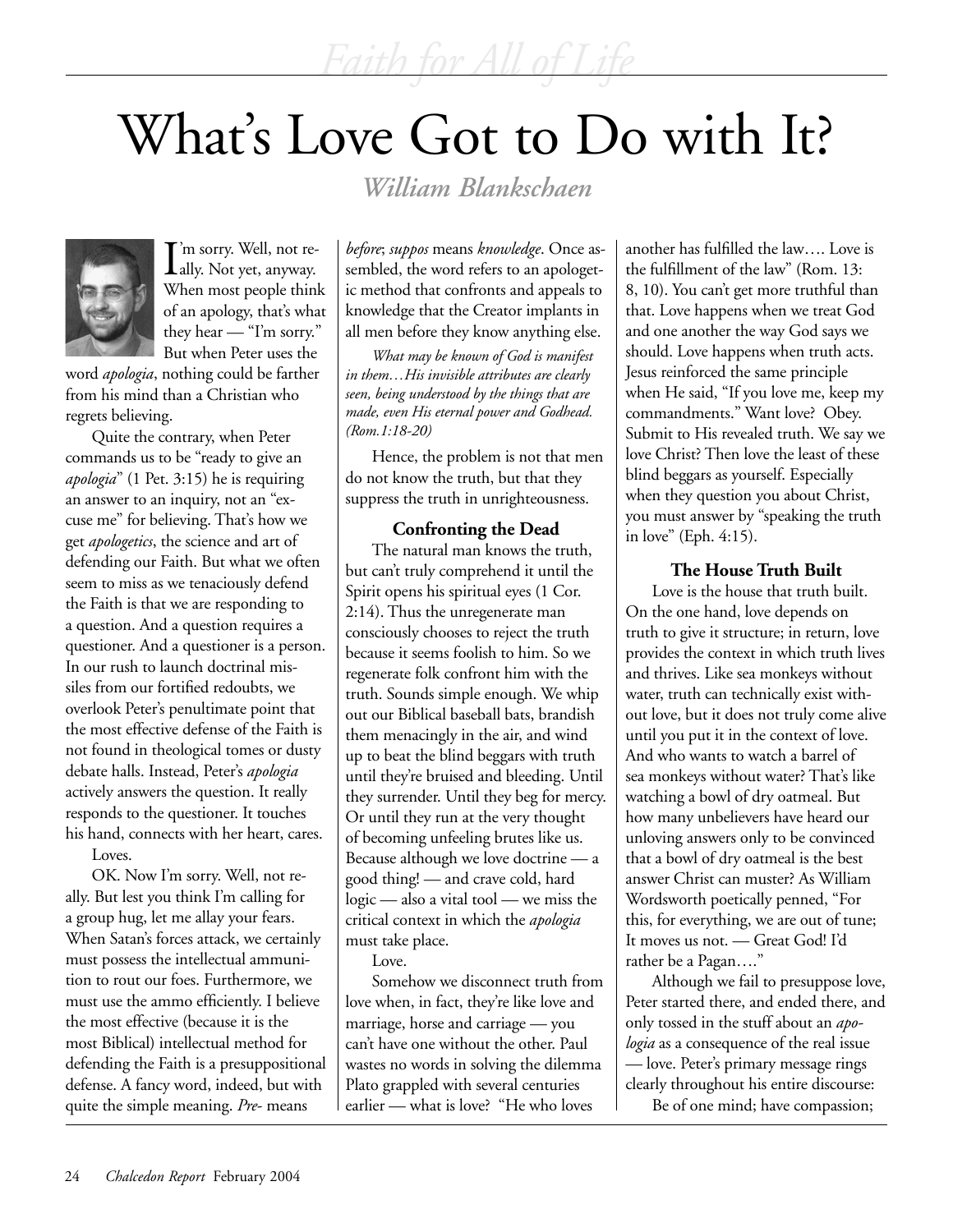# What's Love Got to Do with It?

*William Blankschaen*



I'm sorry. Well, not re-<br>ally. Not yet, anyway. ally. Not yet, anyway. When most people think of an apology, that's what they hear — "I'm sorry." But when Peter uses the

word *apologia*, nothing could be farther from his mind than a Christian who regrets believing.

Quite the contrary, when Peter commands us to be "ready to give an *apologia*" (1 Pet. 3:15) he is requiring an answer to an inquiry, not an "excuse me" for believing. That's how we get *apologetics*, the science and art of defending our Faith. But what we often seem to miss as we tenaciously defend the Faith is that we are responding to a question. And a question requires a questioner. And a questioner is a person. In our rush to launch doctrinal missiles from our fortified redoubts, we overlook Peter's penultimate point that the most effective defense of the Faith is not found in theological tomes or dusty debate halls. Instead, Peter's *apologia* actively answers the question. It really responds to the questioner. It touches his hand, connects with her heart, cares.

Loves.

OK. Now I'm sorry. Well, not really. But lest you think I'm calling for a group hug, let me allay your fears. When Satan's forces attack, we certainly must possess the intellectual ammunition to rout our foes. Furthermore, we must use the ammo efficiently. I believe the most effective (because it is the most Biblical) intellectual method for defending the Faith is a presuppositional defense. A fancy word, indeed, but with quite the simple meaning. *Pre*- means

*before*; *suppos* means *knowledge*. Once assembled, the word refers to an apologetic method that confronts and appeals to knowledge that the Creator implants in all men before they know anything else.

*What may be known of God is manifest in them…His invisible attributes are clearly seen, being understood by the things that are made, even His eternal power and Godhead. (Rom.1:18-20)*

Hence, the problem is not that men do not know the truth, but that they suppress the truth in unrighteousness.

**Confronting the Dead** The natural man knows the truth, but can't truly comprehend it until the Spirit opens his spiritual eyes (1 Cor. 2:14). Thus the unregenerate man consciously chooses to reject the truth because it seems foolish to him. So we regenerate folk confront him with the truth. Sounds simple enough. We whip out our Biblical baseball bats, brandish them menacingly in the air, and wind up to beat the blind beggars with truth until they're bruised and bleeding. Until they surrender. Until they beg for mercy. Or until they run at the very thought of becoming unfeeling brutes like us. Because although we love doctrine — a good thing! — and crave cold, hard logic — also a vital tool — we miss the critical context in which the *apologia* must take place.

Love.

Somehow we disconnect truth from love when, in fact, they're like love and marriage, horse and carriage — you can't have one without the other. Paul wastes no words in solving the dilemma Plato grappled with several centuries earlier — what is love? "He who loves

another has fulfilled the law…. Love is the fulfillment of the law" (Rom. 13: 8, 10). You can't get more truthful than that. Love happens when we treat God and one another the way God says we should. Love happens when truth acts. Jesus reinforced the same principle when He said, "If you love me, keep my commandments." Want love? Obey. Submit to His revealed truth. We say we love Christ? Then love the least of these blind beggars as yourself. Especially when they question you about Christ, you must answer by "speaking the truth in love" (Eph. 4:15).

### **The House Truth Built**

Love is the house that truth built. On the one hand, love depends on truth to give it structure; in return, love provides the context in which truth lives and thrives. Like sea monkeys without water, truth can technically exist without love, but it does not truly come alive until you put it in the context of love. And who wants to watch a barrel of sea monkeys without water? That's like watching a bowl of dry oatmeal. But how many unbelievers have heard our unloving answers only to be convinced that a bowl of dry oatmeal is the best answer Christ can muster? As William Wordsworth poetically penned, "For this, for everything, we are out of tune; It moves us not. — Great God! I'd rather be a Pagan…."

Although we fail to presuppose love, Peter started there, and ended there, and only tossed in the stuff about an *apologia* as a consequence of the real issue — love. Peter's primary message rings clearly throughout his entire discourse: Be of one mind; have compassion;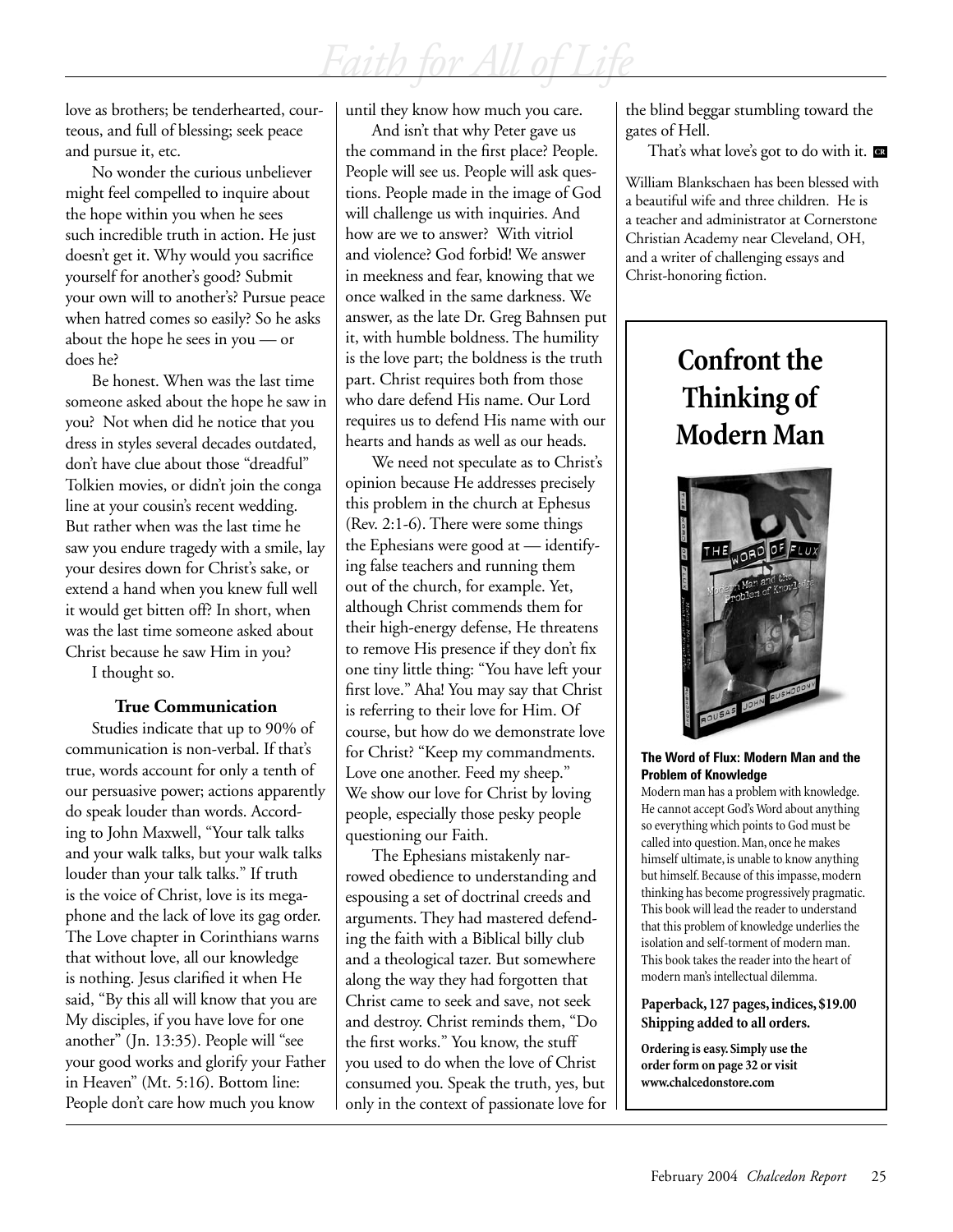love as brothers; be tenderhearted, courteous, and full of blessing; seek peace and pursue it, etc.

No wonder the curious unbeliever might feel compelled to inquire about the hope within you when he sees such incredible truth in action. He just doesn't get it. Why would you sacrifice yourself for another's good? Submit your own will to another's? Pursue peace when hatred comes so easily? So he asks about the hope he sees in you — or does he?

Be honest. When was the last time someone asked about the hope he saw in you? Not when did he notice that you dress in styles several decades outdated, don't have clue about those "dreadful" Tolkien movies, or didn't join the conga line at your cousin's recent wedding. But rather when was the last time he saw you endure tragedy with a smile, lay your desires down for Christ's sake, or extend a hand when you knew full well it would get bitten off? In short, when was the last time someone asked about Christ because he saw Him in you?

I thought so.

### **True Communication**

Studies indicate that up to 90% of communication is non-verbal. If that's true, words account for only a tenth of our persuasive power; actions apparently do speak louder than words. According to John Maxwell, "Your talk talks and your walk talks, but your walk talks louder than your talk talks." If truth is the voice of Christ, love is its megaphone and the lack of love its gag order. The Love chapter in Corinthians warns that without love, all our knowledge is nothing. Jesus clarified it when He said, "By this all will know that you are My disciples, if you have love for one another" (Jn. 13:35). People will "see your good works and glorify your Father in Heaven" (Mt. 5:16). Bottom line: People don't care how much you know

until they know how much you care.

And isn't that why Peter gave us the command in the first place? People. People will see us. People will ask questions. People made in the image of God will challenge us with inquiries. And how are we to answer? With vitriol and violence? God forbid! We answer in meekness and fear, knowing that we once walked in the same darkness. We answer, as the late Dr. Greg Bahnsen put it, with humble boldness. The humility is the love part; the boldness is the truth part. Christ requires both from those who dare defend His name. Our Lord requires us to defend His name with our hearts and hands as well as our heads.

We need not speculate as to Christ's opinion because He addresses precisely this problem in the church at Ephesus (Rev. 2:1-6). There were some things the Ephesians were good at — identifying false teachers and running them out of the church, for example. Yet, although Christ commends them for their high-energy defense, He threatens to remove His presence if they don't fix one tiny little thing: "You have left your first love." Aha! You may say that Christ is referring to their love for Him. Of course, but how do we demonstrate love for Christ? "Keep my commandments. Love one another. Feed my sheep." We show our love for Christ by loving people, especially those pesky people questioning our Faith.

The Ephesians mistakenly narrowed obedience to understanding and espousing a set of doctrinal creeds and arguments. They had mastered defending the faith with a Biblical billy club and a theological tazer. But somewhere along the way they had forgotten that Christ came to seek and save, not seek and destroy. Christ reminds them, "Do the first works." You know, the stuff you used to do when the love of Christ consumed you. Speak the truth, yes, but only in the context of passionate love for the blind beggar stumbling toward the gates of Hell.

That's what love's got to do with it. **CR**

William Blankschaen has been blessed with a beautiful wife and three children. He is a teacher and administrator at Cornerstone Christian Academy near Cleveland, OH, and a writer of challenging essays and Christ-honoring fiction.

## **Confront the Thinking of Modern Man**



#### **The Word of Flux: Modern Man and the Problem of Knowledge**

Modern man has a problem with knowledge. He cannot accept God's Word about anything so everything which points to God must be called into question. Man, once he makes himself ultimate, is unable to know anything but himself. Because of this impasse, modern thinking has become progressively pragmatic. This book will lead the reader to understand that this problem of knowledge underlies the isolation and self-torment of modern man. This book takes the reader into the heart of modern man's intellectual dilemma.

### **Paperback, 127 pages, indices, \$19.00 Shipping added to all orders.**

**Ordering is easy. Simply use the order form on page 32 or visit www.chalcedonstore.com**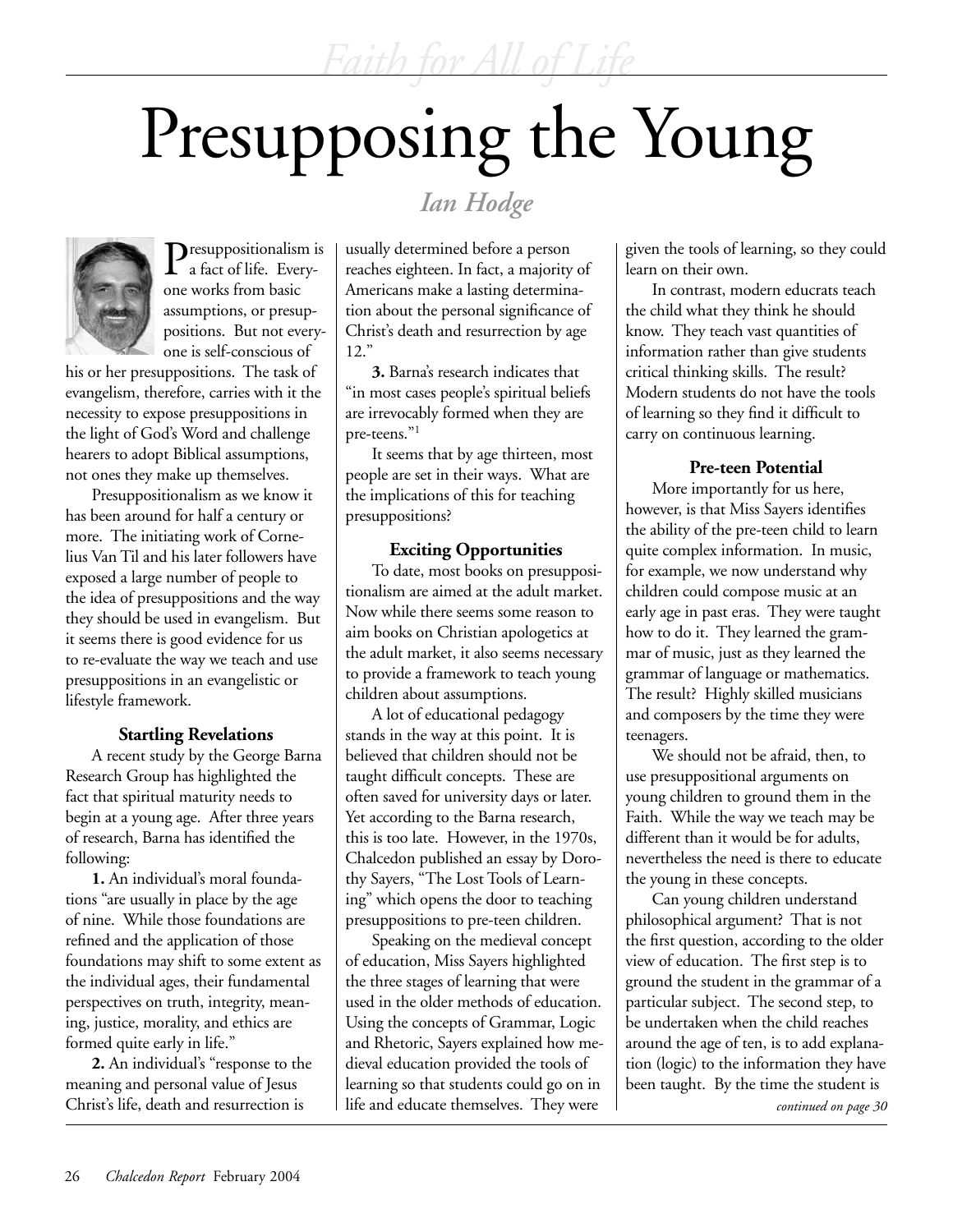# Presupposing the Young



Presuppositionalism is a fact of life. Everyone works from basic assumptions, or presuppositions. But not everyone is self-conscious of

his or her presuppositions. The task of evangelism, therefore, carries with it the necessity to expose presuppositions in the light of God's Word and challenge hearers to adopt Biblical assumptions, not ones they make up themselves.

Presuppositionalism as we know it has been around for half a century or more. The initiating work of Cornelius Van Til and his later followers have exposed a large number of people to the idea of presuppositions and the way they should be used in evangelism. But it seems there is good evidence for us to re-evaluate the way we teach and use presuppositions in an evangelistic or lifestyle framework.

### **Startling Revelations**

A recent study by the George Barna Research Group has highlighted the fact that spiritual maturity needs to begin at a young age. After three years of research, Barna has identified the following:

**1.** An individual's moral foundations "are usually in place by the age of nine. While those foundations are refined and the application of those foundations may shift to some extent as the individual ages, their fundamental perspectives on truth, integrity, meaning, justice, morality, and ethics are formed quite early in life."

**2.** An individual's "response to the meaning and personal value of Jesus Christ's life, death and resurrection is

*Ian Hodge*

usually determined before a person reaches eighteen. In fact, a majority of Americans make a lasting determination about the personal significance of Christ's death and resurrection by age 12."

**3.** Barna's research indicates that "in most cases people's spiritual beliefs are irrevocably formed when they are pre-teens."1

It seems that by age thirteen, most people are set in their ways. What are the implications of this for teaching presuppositions?

## **Exciting Opportunities**

To date, most books on presuppositionalism are aimed at the adult market. Now while there seems some reason to aim books on Christian apologetics at the adult market, it also seems necessary to provide a framework to teach young children about assumptions.

A lot of educational pedagogy stands in the way at this point. It is believed that children should not be taught difficult concepts. These are often saved for university days or later. Yet according to the Barna research, this is too late. However, in the 1970s, Chalcedon published an essay by Dorothy Sayers, "The Lost Tools of Learning" which opens the door to teaching presuppositions to pre-teen children.

Speaking on the medieval concept of education, Miss Sayers highlighted the three stages of learning that were used in the older methods of education. Using the concepts of Grammar, Logic and Rhetoric, Sayers explained how medieval education provided the tools of learning so that students could go on in life and educate themselves. They were

given the tools of learning, so they could learn on their own.

In contrast, modern educrats teach the child what they think he should know. They teach vast quantities of information rather than give students critical thinking skills. The result? Modern students do not have the tools of learning so they find it difficult to carry on continuous learning.

### **Pre-teen Potential**

More importantly for us here, however, is that Miss Sayers identifies the ability of the pre-teen child to learn quite complex information. In music, for example, we now understand why children could compose music at an early age in past eras. They were taught how to do it. They learned the grammar of music, just as they learned the grammar of language or mathematics. The result? Highly skilled musicians and composers by the time they were teenagers.

We should not be afraid, then, to use presuppositional arguments on young children to ground them in the Faith. While the way we teach may be different than it would be for adults, nevertheless the need is there to educate the young in these concepts.

Can young children understand philosophical argument? That is not the first question, according to the older view of education. The first step is to ground the student in the grammar of a particular subject. The second step, to be undertaken when the child reaches around the age of ten, is to add explanation (logic) to the information they have been taught. By the time the student is

*continued on page 30*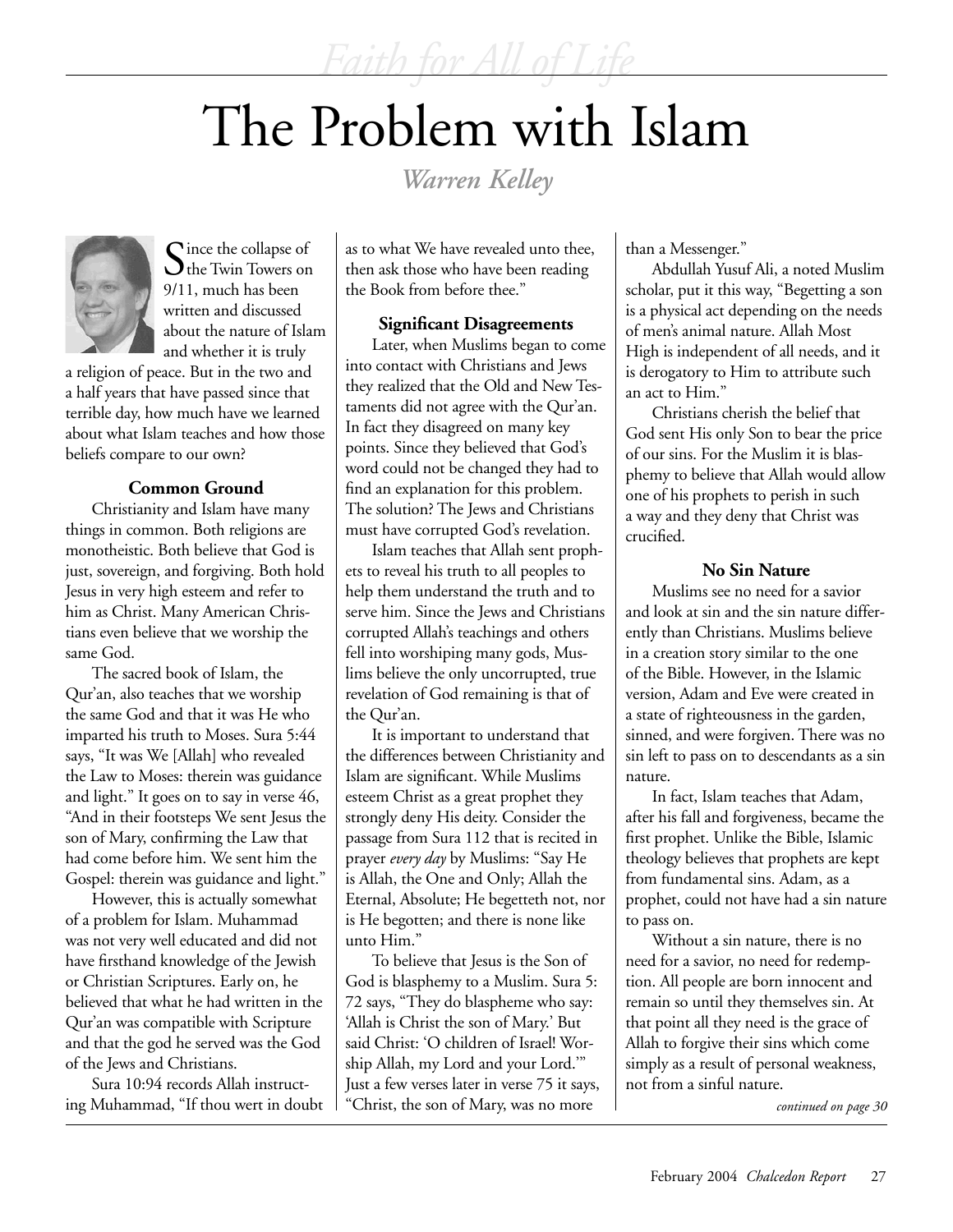# The Problem with Islam

*Warren Kelley*



Since the collapse of<br>Sthe Twin Towers on 9/11, much has been written and discussed about the nature of Islam and whether it is truly

a religion of peace. But in the two and a half years that have passed since that terrible day, how much have we learned about what Islam teaches and how those beliefs compare to our own?

## **Common Ground**

Christianity and Islam have many things in common. Both religions are monotheistic. Both believe that God is just, sovereign, and forgiving. Both hold Jesus in very high esteem and refer to him as Christ. Many American Christians even believe that we worship the same God.

The sacred book of Islam, the Qur'an, also teaches that we worship the same God and that it was He who imparted his truth to Moses. Sura 5:44 says, "It was We [Allah] who revealed the Law to Moses: therein was guidance and light." It goes on to say in verse 46, "And in their footsteps We sent Jesus the son of Mary, confirming the Law that had come before him. We sent him the Gospel: therein was guidance and light."

However, this is actually somewhat of a problem for Islam. Muhammad was not very well educated and did not have firsthand knowledge of the Jewish or Christian Scriptures. Early on, he believed that what he had written in the Qur'an was compatible with Scripture and that the god he served was the God of the Jews and Christians.

Sura 10:94 records Allah instructing Muhammad, "If thou wert in doubt as to what We have revealed unto thee, then ask those who have been reading the Book from before thee."

### **Significant Disagreements**

Later, when Muslims began to come into contact with Christians and Jews they realized that the Old and New Testaments did not agree with the Qur'an. In fact they disagreed on many key points. Since they believed that God's word could not be changed they had to find an explanation for this problem. The solution? The Jews and Christians must have corrupted God's revelation.

Islam teaches that Allah sent prophets to reveal his truth to all peoples to help them understand the truth and to serve him. Since the Jews and Christians corrupted Allah's teachings and others fell into worshiping many gods, Muslims believe the only uncorrupted, true revelation of God remaining is that of the Qur'an.

It is important to understand that the differences between Christianity and Islam are significant. While Muslims esteem Christ as a great prophet they strongly deny His deity. Consider the passage from Sura 112 that is recited in prayer *every day* by Muslims: "Say He is Allah, the One and Only; Allah the Eternal, Absolute; He begetteth not, nor is He begotten; and there is none like unto Him."

To believe that Jesus is the Son of God is blasphemy to a Muslim. Sura 5: 72 says, "They do blaspheme who say: 'Allah is Christ the son of Mary.' But said Christ: 'O children of Israel! Worship Allah, my Lord and your Lord.'" Just a few verses later in verse 75 it says, "Christ, the son of Mary, was no more

than a Messenger."

Abdullah Yusuf Ali, a noted Muslim scholar, put it this way, "Begetting a son is a physical act depending on the needs of men's animal nature. Allah Most High is independent of all needs, and it is derogatory to Him to attribute such an act to Him."

Christians cherish the belief that God sent His only Son to bear the price of our sins. For the Muslim it is blasphemy to believe that Allah would allow one of his prophets to perish in such a way and they deny that Christ was crucified.

### **No Sin Nature**

Muslims see no need for a savior and look at sin and the sin nature differently than Christians. Muslims believe in a creation story similar to the one of the Bible. However, in the Islamic version, Adam and Eve were created in a state of righteousness in the garden, sinned, and were forgiven. There was no sin left to pass on to descendants as a sin nature.

In fact, Islam teaches that Adam, after his fall and forgiveness, became the first prophet. Unlike the Bible, Islamic theology believes that prophets are kept from fundamental sins. Adam, as a prophet, could not have had a sin nature to pass on.

Without a sin nature, there is no need for a savior, no need for redemption. All people are born innocent and remain so until they themselves sin. At that point all they need is the grace of Allah to forgive their sins which come simply as a result of personal weakness, not from a sinful nature.

*continued on page 30*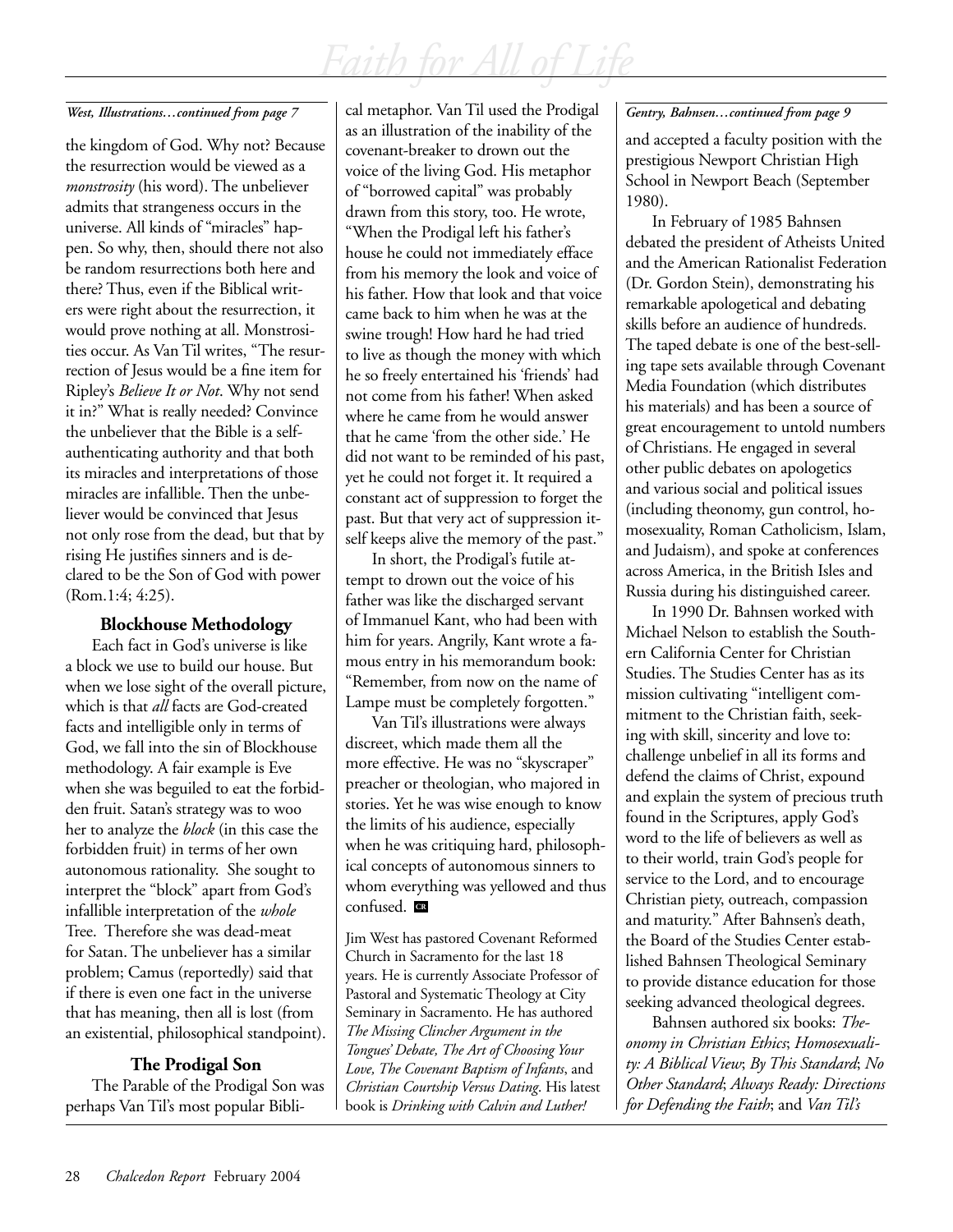### *West, Illustrations…continued from page 7*

the kingdom of God. Why not? Because the resurrection would be viewed as a *monstrosity* (his word). The unbeliever admits that strangeness occurs in the universe. All kinds of "miracles" happen. So why, then, should there not also be random resurrections both here and there? Thus, even if the Biblical writers were right about the resurrection, it would prove nothing at all. Monstrosities occur. As Van Til writes, "The resurrection of Jesus would be a fine item for Ripley's *Believe It or Not*. Why not send it in?" What is really needed? Convince the unbeliever that the Bible is a selfauthenticating authority and that both its miracles and interpretations of those miracles are infallible. Then the unbeliever would be convinced that Jesus not only rose from the dead, but that by rising He justifies sinners and is declared to be the Son of God with power (Rom.1:4; 4:25).

## **Blockhouse Methodology**

Each fact in God's universe is like a block we use to build our house. But when we lose sight of the overall picture, which is that *all* facts are God-created facts and intelligible only in terms of God, we fall into the sin of Blockhouse methodology. A fair example is Eve when she was beguiled to eat the forbidden fruit. Satan's strategy was to woo her to analyze the *block* (in this case the forbidden fruit) in terms of her own autonomous rationality. She sought to interpret the "block" apart from God's infallible interpretation of the *whole* Tree. Therefore she was dead-meat for Satan. The unbeliever has a similar problem; Camus (reportedly) said that if there is even one fact in the universe that has meaning, then all is lost (from an existential, philosophical standpoint).

## **The Prodigal Son**

The Parable of the Prodigal Son was perhaps Van Til's most popular Biblical metaphor. Van Til used the Prodigal as an illustration of the inability of the covenant-breaker to drown out the voice of the living God. His metaphor of "borrowed capital" was probably drawn from this story, too. He wrote, "When the Prodigal left his father's house he could not immediately efface from his memory the look and voice of his father. How that look and that voice came back to him when he was at the swine trough! How hard he had tried to live as though the money with which he so freely entertained his 'friends' had not come from his father! When asked where he came from he would answer that he came 'from the other side.' He did not want to be reminded of his past, yet he could not forget it. It required a constant act of suppression to forget the past. But that very act of suppression itself keeps alive the memory of the past."

In short, the Prodigal's futile attempt to drown out the voice of his father was like the discharged servant of Immanuel Kant, who had been with him for years. Angrily, Kant wrote a famous entry in his memorandum book: "Remember, from now on the name of Lampe must be completely forgotten."

Van Til's illustrations were always discreet, which made them all the more effective. He was no "skyscraper" preacher or theologian, who majored in stories. Yet he was wise enough to know the limits of his audience, especially when he was critiquing hard, philosophical concepts of autonomous sinners to whom everything was yellowed and thus confused. **CR** 

Jim West has pastored Covenant Reformed Church in Sacramento for the last 18 years. He is currently Associate Professor of Pastoral and Systematic Theology at City Seminary in Sacramento. He has authored *The Missing Clincher Argument in the Tongues' Debate, The Art of Choosing Your Love, The Covenant Baptism of Infants*, and *Christian Courtship Versus Dating*. His latest book is *Drinking with Calvin and Luther!*

## *Gentry, Bahnsen…continued from page 9*

and accepted a faculty position with the prestigious Newport Christian High School in Newport Beach (September 1980).

In February of 1985 Bahnsen debated the president of Atheists United and the American Rationalist Federation (Dr. Gordon Stein), demonstrating his remarkable apologetical and debating skills before an audience of hundreds. The taped debate is one of the best-selling tape sets available through Covenant Media Foundation (which distributes his materials) and has been a source of great encouragement to untold numbers of Christians. He engaged in several other public debates on apologetics and various social and political issues (including theonomy, gun control, homosexuality, Roman Catholicism, Islam, and Judaism), and spoke at conferences across America, in the British Isles and Russia during his distinguished career.

In 1990 Dr. Bahnsen worked with Michael Nelson to establish the Southern California Center for Christian Studies. The Studies Center has as its mission cultivating "intelligent commitment to the Christian faith, seeking with skill, sincerity and love to: challenge unbelief in all its forms and defend the claims of Christ, expound and explain the system of precious truth found in the Scriptures, apply God's word to the life of believers as well as to their world, train God's people for service to the Lord, and to encourage Christian piety, outreach, compassion and maturity." After Bahnsen's death, the Board of the Studies Center established Bahnsen Theological Seminary to provide distance education for those seeking advanced theological degrees.

Bahnsen authored six books: *Theonomy in Christian Ethics*; *Homosexuality: A Biblical View*; *By This Standard*; *No Other Standard*; *Always Ready: Directions for Defending the Faith*; and *Van Til's*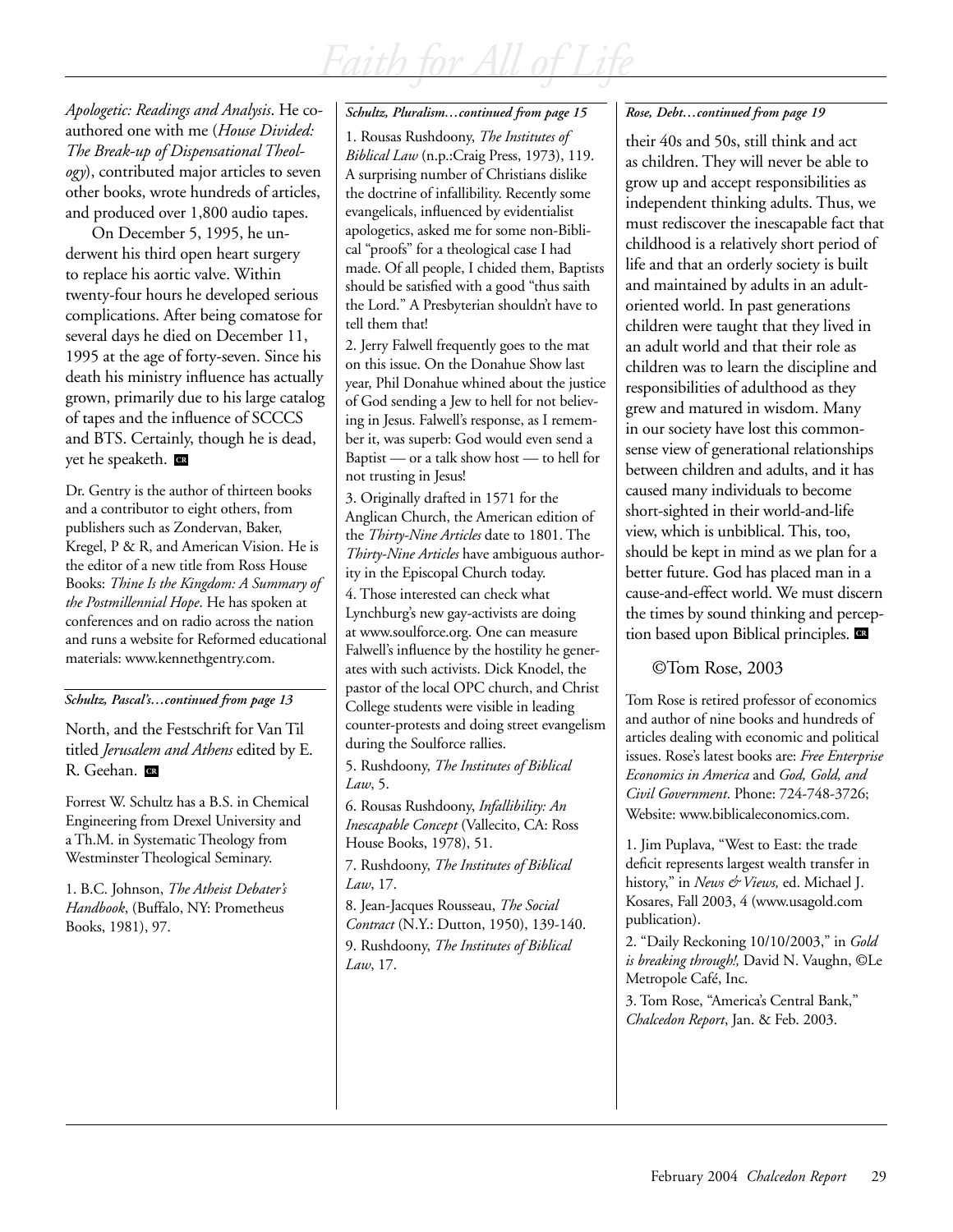*Apologetic: Readings and Analysis*. He coauthored one with me (*House Divided: The Break-up of Dispensational Theology*), contributed major articles to seven other books, wrote hundreds of articles, and produced over 1,800 audio tapes.

On December 5, 1995, he underwent his third open heart surgery to replace his aortic valve. Within twenty-four hours he developed serious complications. After being comatose for several days he died on December 11, 1995 at the age of forty-seven. Since his death his ministry influence has actually grown, primarily due to his large catalog of tapes and the influence of SCCCS and BTS. Certainly, though he is dead, yet he speaketh. **CR**

Dr. Gentry is the author of thirteen books and a contributor to eight others, from publishers such as Zondervan, Baker, Kregel, P & R, and American Vision. He is the editor of a new title from Ross House Books: *Thine Is the Kingdom: A Summary of the Postmillennial Hope*. He has spoken at conferences and on radio across the nation and runs a website for Reformed educational materials: www.kennethgentry.com.

*Schultz, Pascal's…continued from page 13*

North, and the Festschrift for Van Til titled *Jerusalem and Athens* edited by E. R. Geehan. **C** 

Forrest W. Schultz has a B.S. in Chemical Engineering from Drexel University and a Th.M. in Systematic Theology from Westminster Theological Seminary.

1. B.C. Johnson, *The Atheist Debater's Handbook*, (Buffalo, NY: Prometheus Books, 1981), 97.

#### *Schultz, Pluralism…continued from page 15*

1. Rousas Rushdoony, *The Institutes of Biblical Law* (n.p.:Craig Press, 1973), 119. A surprising number of Christians dislike the doctrine of infallibility. Recently some evangelicals, influenced by evidentialist apologetics, asked me for some non-Biblical "proofs" for a theological case I had made. Of all people, I chided them, Baptists should be satisfied with a good "thus saith the Lord." A Presbyterian shouldn't have to tell them that!

2. Jerry Falwell frequently goes to the mat on this issue. On the Donahue Show last year, Phil Donahue whined about the justice of God sending a Jew to hell for not believing in Jesus. Falwell's response, as I remember it, was superb: God would even send a Baptist — or a talk show host — to hell for not trusting in Jesus!

3. Originally drafted in 1571 for the Anglican Church, the American edition of the *Thirty-Nine Articles* date to 1801. The *Thirty-Nine Articles* have ambiguous authority in the Episcopal Church today.

4. Those interested can check what Lynchburg's new gay-activists are doing at www.soulforce.org. One can measure Falwell's influence by the hostility he generates with such activists. Dick Knodel, the pastor of the local OPC church, and Christ College students were visible in leading counter-protests and doing street evangelism during the Soulforce rallies.

5. Rushdoony, *The Institutes of Biblical Law*, 5.

6. Rousas Rushdoony, *Infallibility: An Inescapable Concept* (Vallecito, CA: Ross House Books, 1978), 51.

7. Rushdoony, *The Institutes of Biblical Law*, 17.

8. Jean-Jacques Rousseau, *The Social Contract* (N.Y.: Dutton, 1950), 139-140.

9. Rushdoony, *The Institutes of Biblical Law*, 17.

## *Rose, Debt…continued from page 19*

their 40s and 50s, still think and act as children. They will never be able to grow up and accept responsibilities as independent thinking adults. Thus, we must rediscover the inescapable fact that childhood is a relatively short period of life and that an orderly society is built and maintained by adults in an adultoriented world. In past generations children were taught that they lived in an adult world and that their role as children was to learn the discipline and responsibilities of adulthood as they grew and matured in wisdom. Many in our society have lost this commonsense view of generational relationships between children and adults, and it has caused many individuals to become short-sighted in their world-and-life view, which is unbiblical. This, too, should be kept in mind as we plan for a better future. God has placed man in a cause-and-effect world. We must discern the times by sound thinking and perception based upon Biblical principles. **CR**

©Tom Rose, 2003

Tom Rose is retired professor of economics and author of nine books and hundreds of articles dealing with economic and political issues. Rose's latest books are: *Free Enterprise Economics in America* and *God, Gold, and Civil Government*. Phone: 724-748-3726; Website: www.biblicaleconomics.com.

1. Jim Puplava, "West to East: the trade deficit represents largest wealth transfer in history," in *News & Views,* ed. Michael J. Kosares, Fall 2003, 4 (www.usagold.com publication).

2. "Daily Reckoning 10/10/2003," in *Gold is breaking through!,* David N. Vaughn, ©Le Metropole Café, Inc.

3. Tom Rose, "America's Central Bank," *Chalcedon Report*, Jan. & Feb. 2003.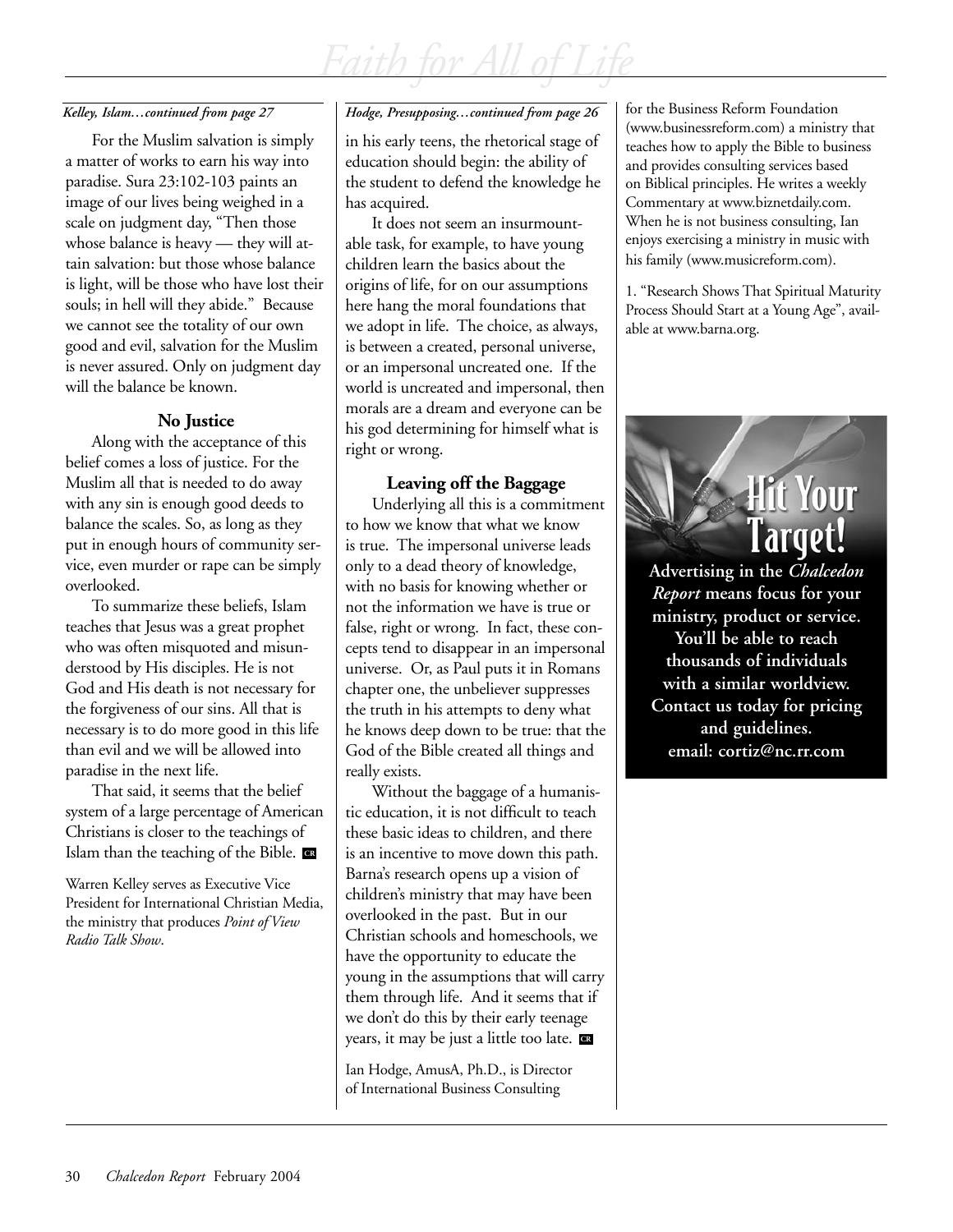For the Muslim salvation is simply a matter of works to earn his way into paradise. Sura 23:102-103 paints an image of our lives being weighed in a scale on judgment day, "Then those whose balance is heavy — they will attain salvation: but those whose balance is light, will be those who have lost their souls; in hell will they abide." Because we cannot see the totality of our own good and evil, salvation for the Muslim is never assured. Only on judgment day will the balance be known.

## **No Justice**

Along with the acceptance of this belief comes a loss of justice. For the Muslim all that is needed to do away with any sin is enough good deeds to balance the scales. So, as long as they put in enough hours of community service, even murder or rape can be simply overlooked.

To summarize these beliefs, Islam teaches that Jesus was a great prophet who was often misquoted and misunderstood by His disciples. He is not God and His death is not necessary for the forgiveness of our sins. All that is necessary is to do more good in this life than evil and we will be allowed into paradise in the next life.

That said, it seems that the belief system of a large percentage of American Christians is closer to the teachings of Islam than the teaching of the Bible. **CR**

Warren Kelley serves as Executive Vice President for International Christian Media, the ministry that produces *Point of View Radio Talk Show*.

## Kelley, Islam…continued from page 27 **Folge, Presupposing…continued from page 26** for the Business Reform Foundation

in his early teens, the rhetorical stage of education should begin: the ability of the student to defend the knowledge he has acquired.

It does not seem an insurmountable task, for example, to have young children learn the basics about the origins of life, for on our assumptions here hang the moral foundations that we adopt in life. The choice, as always, is between a created, personal universe, or an impersonal uncreated one. If the world is uncreated and impersonal, then morals are a dream and everyone can be his god determining for himself what is right or wrong.

## **Leaving off the Baggage**

Underlying all this is a commitment to how we know that what we know is true. The impersonal universe leads only to a dead theory of knowledge, with no basis for knowing whether or not the information we have is true or false, right or wrong. In fact, these concepts tend to disappear in an impersonal universe. Or, as Paul puts it in Romans chapter one, the unbeliever suppresses the truth in his attempts to deny what he knows deep down to be true: that the God of the Bible created all things and really exists.

Without the baggage of a humanistic education, it is not difficult to teach these basic ideas to children, and there is an incentive to move down this path. Barna's research opens up a vision of children's ministry that may have been overlooked in the past. But in our Christian schools and homeschools, we have the opportunity to educate the young in the assumptions that will carry them through life. And it seems that if we don't do this by their early teenage years, it may be just a little too late. **CR**

Ian Hodge, AmusA, Ph.D., is Director of International Business Consulting

(www.businessreform.com) a ministry that teaches how to apply the Bible to business and provides consulting services based on Biblical principles. He writes a weekly Commentary at www.biznetdaily.com. When he is not business consulting, Ian enjoys exercising a ministry in music with his family (www.musicreform.com).

1. "Research Shows That Spiritual Maturity Process Should Start at a Young Age", available at www.barna.org.

# **Hit Your** l'arqet!

**Advertising in the** *Chalcedon Report* **means focus for your ministry, product or service. You'll be able to reach thousands of individuals with a similar worldview. Contact us today for pricing and guidelines. email: cortiz@nc.rr.com**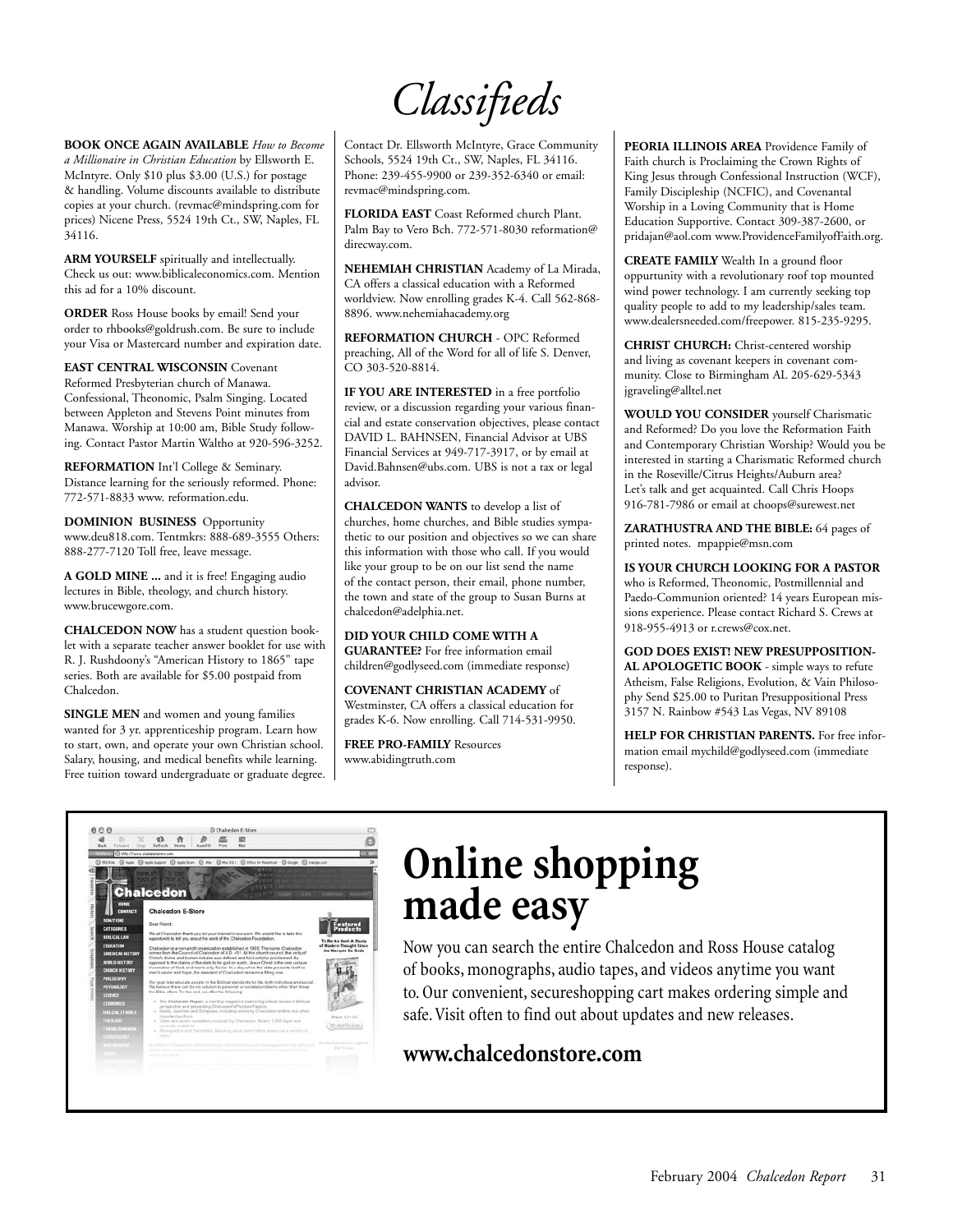*Classifieds*

**BOOK ONCE AGAIN AVAILABLE** *How to Become a Millionaire in Christian Education* by Ellsworth E. McIntyre. Only \$10 plus \$3.00 (U.S.) for postage & handling. Volume discounts available to distribute copies at your church. (revmac@mindspring.com for prices) Nicene Press, 5524 19th Ct., SW, Naples, FL 34116.

**ARM YOURSELF** spiritually and intellectually. Check us out: www.biblicaleconomics.com. Mention this ad for a 10% discount.

**ORDER** Ross House books by email! Send your order to rhbooks@goldrush.com. Be sure to include your Visa or Mastercard number and expiration date.

**EAST CENTRAL WISCONSIN** Covenant Reformed Presbyterian church of Manawa. Confessional, Theonomic, Psalm Singing. Located between Appleton and Stevens Point minutes from Manawa. Worship at 10:00 am, Bible Study following. Contact Pastor Martin Waltho at 920-596-3252.

**REFORMATION** Int'l College & Seminary. Distance learning for the seriously reformed. Phone: 772-571-8833 www. reformation.edu.

**DOMINION BUSINESS** Opportunity www.deu818.com. Tentmkrs: 888-689-3555 Others: 888-277-7120 Toll free, leave message.

**A GOLD MINE ...** and it is free! Engaging audio lectures in Bible, theology, and church history. www.brucewgore.com.

**CHALCEDON NOW** has a student question booklet with a separate teacher answer booklet for use with R. J. Rushdoony's "American History to 1865" tape series. Both are available for \$5.00 postpaid from Chalcedon.

**SINGLE MEN** and women and young families wanted for 3 yr. apprenticeship program. Learn how to start, own, and operate your own Christian school. Salary, housing, and medical benefits while learning. Free tuition toward undergraduate or graduate degree. Contact Dr. Ellsworth McIntyre, Grace Community Schools, 5524 19th Ct., SW, Naples, FL 34116. Phone: 239-455-9900 or 239-352-6340 or email: revmac@mindspring.com.

**FLORIDA EAST** Coast Reformed church Plant. Palm Bay to Vero Bch. 772-571-8030 reformation@ direcway.com.

**NEHEMIAH CHRISTIAN** Academy of La Mirada, CA offers a classical education with a Reformed worldview. Now enrolling grades K-4. Call 562-868- 8896. www.nehemiahacademy.org

**REFORMATION CHURCH** - OPC Reformed preaching, All of the Word for all of life S. Denver, CO 303-520-8814.

**IF YOU ARE INTERESTED** in a free portfolio review, or a discussion regarding your various financial and estate conservation objectives, please contact DAVID L. BAHNSEN, Financial Advisor at UBS Financial Services at 949-717-3917, or by email at David.Bahnsen@ubs.com. UBS is not a tax or legal advisor.

**CHALCEDON WANTS** to develop a list of churches, home churches, and Bible studies sympathetic to our position and objectives so we can share this information with those who call. If you would like your group to be on our list send the name of the contact person, their email, phone number, the town and state of the group to Susan Burns at chalcedon@adelphia.net.

**DID YOUR CHILD COME WITH A GUARANTEE?** For free information email children@godlyseed.com (immediate response)

**COVENANT CHRISTIAN ACADEMY** of Westminster, CA offers a classical education for grades K-6. Now enrolling. Call 714-531-9950.

**FREE PRO-FAMILY** Resources www.abidingtruth.com

**PEORIA ILLINOIS AREA** Providence Family of Faith church is Proclaiming the Crown Rights of King Jesus through Confessional Instruction (WCF), Family Discipleship (NCFIC), and Covenantal Worship in a Loving Community that is Home Education Supportive. Contact 309-387-2600, or pridajan@aol.com www.ProvidenceFamilyofFaith.org.

**CREATE FAMILY** Wealth In a ground floor oppurtunity with a revolutionary roof top mounted wind power technology. I am currently seeking top quality people to add to my leadership/sales team. www.dealersneeded.com/freepower. 815-235-9295.

**CHRIST CHURCH:** Christ-centered worship and living as covenant keepers in covenant community. Close to Birmingham AL 205-629-5343 jgraveling@alltel.net

**WOULD YOU CONSIDER** yourself Charismatic and Reformed? Do you love the Reformation Faith and Contemporary Christian Worship? Would you be interested in starting a Charismatic Reformed church in the Roseville/Citrus Heights/Auburn area? Let's talk and get acquainted. Call Chris Hoops 916-781-7986 or email at choops@surewest.net

**ZARATHUSTRA AND THE BIBLE:** 64 pages of printed notes. mpappie@msn.com

**IS YOUR CHURCH LOOKING FOR A PASTOR** who is Reformed, Theonomic, Postmillennial and Paedo-Communion oriented? 14 years European missions experience. Please contact Richard S. Crews at 918-955-4913 or r.crews@cox.net.

**GOD DOES EXIST! NEW PRESUPPOSITION-AL APOLOGETIC BOOK** - simple ways to refute Atheism, False Religions, Evolution, & Vain Philosophy Send \$25.00 to Puritan Presuppositional Press 3157 N. Rainbow #543 Las Vegas, NV 89108

**HELP FOR CHRISTIAN PARENTS.** For free information email mychild@godlyseed.com (immediate response).



# **Online shopping made easy**

Now you can search the entire Chalcedon and Ross House catalog of books, monographs, audio tapes, and videos anytime you want to. Our convenient, secureshopping cart makes ordering simple and safe. Visit often to find out about updates and new releases.

## **www.chalcedonstore.com**